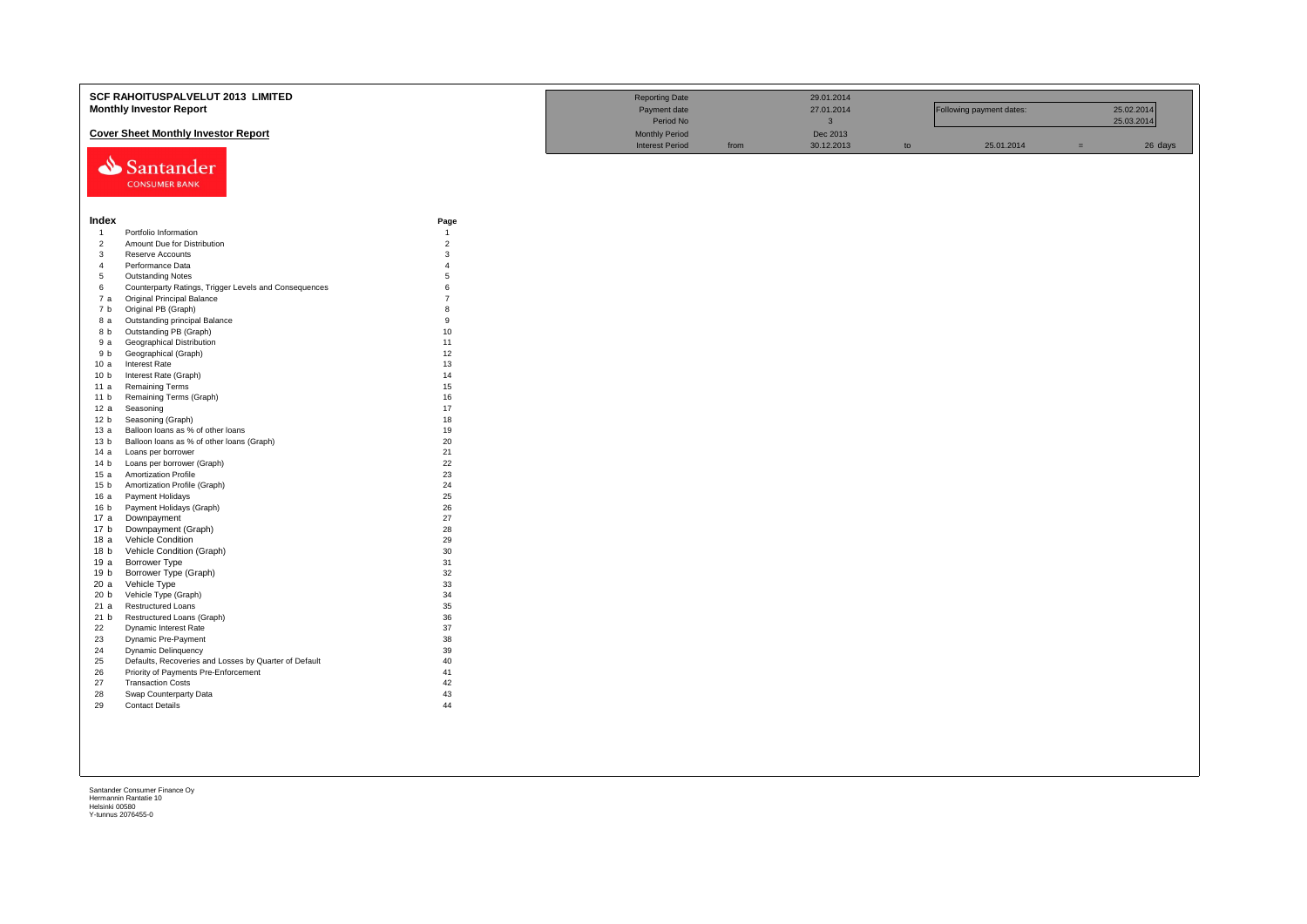|                         | SCF RAHOITUSPALVELUT 2013 LIMITED<br><b>Monthly Investor Report</b> |                     | <b>Reporting Date</b><br>Payment date<br>Period No |      | 29.01.2014<br>27.01.2014<br>$\mathbf{3}$ |               | Following payment dates: |     | 25.02.2014<br>25.03.2014 |
|-------------------------|---------------------------------------------------------------------|---------------------|----------------------------------------------------|------|------------------------------------------|---------------|--------------------------|-----|--------------------------|
|                         | <b>Cover Sheet Monthly Investor Report</b>                          |                     | <b>Monthly Period</b>                              |      | Dec 2013                                 |               |                          |     |                          |
|                         | Santander<br><b>CONSUMER BANK</b>                                   |                     | <b>Interest Period</b>                             | from | 30.12.2013                               | $\mathsf{to}$ | 25.01.2014               | $=$ | 26 days                  |
| Index                   |                                                                     | Page                |                                                    |      |                                          |               |                          |     |                          |
| $\overline{1}$          | Portfolio Information                                               | $\overline{1}$      |                                                    |      |                                          |               |                          |     |                          |
| $\overline{2}$          | Amount Due for Distribution                                         | $\overline{2}$      |                                                    |      |                                          |               |                          |     |                          |
| $\overline{\mathbf{3}}$ | Reserve Accounts                                                    | 3                   |                                                    |      |                                          |               |                          |     |                          |
| $\overline{4}$          | Performance Data                                                    | $\overline{4}$      |                                                    |      |                                          |               |                          |     |                          |
| 5                       | <b>Outstanding Notes</b>                                            | 5                   |                                                    |      |                                          |               |                          |     |                          |
| 6                       | Counterparty Ratings, Trigger Levels and Consequences               | 6<br>$\overline{7}$ |                                                    |      |                                          |               |                          |     |                          |
| 7 а                     | <b>Original Principal Balance</b><br>Original PB (Graph)            | 8                   |                                                    |      |                                          |               |                          |     |                          |
| 7 b                     |                                                                     | 9                   |                                                    |      |                                          |               |                          |     |                          |
| 8 a<br>8 b              | Outstanding principal Balance<br>Outstanding PB (Graph)             | 10                  |                                                    |      |                                          |               |                          |     |                          |
| 9 a                     | Geographical Distribution                                           | 11                  |                                                    |      |                                          |               |                          |     |                          |
| 9 b                     | Geographical (Graph)                                                | 12                  |                                                    |      |                                          |               |                          |     |                          |
| 10a                     | Interest Rate                                                       | 13                  |                                                    |      |                                          |               |                          |     |                          |
| 10 <sub>b</sub>         | Interest Rate (Graph)                                               | 14                  |                                                    |      |                                          |               |                          |     |                          |
| 11a                     | <b>Remaining Terms</b>                                              | 15                  |                                                    |      |                                          |               |                          |     |                          |
| 11 <sub>b</sub>         | Remaining Terms (Graph)                                             | 16                  |                                                    |      |                                          |               |                          |     |                          |
| 12a                     | Seasoning                                                           | 17                  |                                                    |      |                                          |               |                          |     |                          |
| 12 <sub>b</sub>         | Seasoning (Graph)                                                   | 18                  |                                                    |      |                                          |               |                          |     |                          |
| 13a                     | Balloon loans as % of other loans                                   | 19                  |                                                    |      |                                          |               |                          |     |                          |
| 13 <sub>b</sub>         | Balloon loans as % of other loans (Graph)                           | 20                  |                                                    |      |                                          |               |                          |     |                          |
| 14 a                    | Loans per borrower                                                  | 21                  |                                                    |      |                                          |               |                          |     |                          |
| 14 b                    | Loans per borrower (Graph)                                          | 22                  |                                                    |      |                                          |               |                          |     |                          |
| 15a                     | <b>Amortization Profile</b>                                         | 23                  |                                                    |      |                                          |               |                          |     |                          |
| 15 <sub>b</sub>         | Amortization Profile (Graph)                                        | 24                  |                                                    |      |                                          |               |                          |     |                          |
| 16a                     | Payment Holidays                                                    | 25                  |                                                    |      |                                          |               |                          |     |                          |
| 16 <sub>b</sub>         | Payment Holidays (Graph)                                            | 26                  |                                                    |      |                                          |               |                          |     |                          |
| 17 a                    | Downpayment                                                         | 27                  |                                                    |      |                                          |               |                          |     |                          |
| 17 <sub>b</sub>         | Downpayment (Graph)                                                 | 28                  |                                                    |      |                                          |               |                          |     |                          |
| 18 a                    | Vehicle Condition                                                   | 29                  |                                                    |      |                                          |               |                          |     |                          |
| 18 <sub>b</sub>         | Vehicle Condition (Graph)                                           | 30                  |                                                    |      |                                          |               |                          |     |                          |
| 19 a                    | Borrower Type                                                       | 31                  |                                                    |      |                                          |               |                          |     |                          |
| 19 b<br>20a             | Borrower Type (Graph)<br>Vehicle Type                               | 32<br>33            |                                                    |      |                                          |               |                          |     |                          |
| 20 <sub>b</sub>         | Vehicle Type (Graph)                                                | 34                  |                                                    |      |                                          |               |                          |     |                          |
| 21 a                    | <b>Restructured Loans</b>                                           | 35                  |                                                    |      |                                          |               |                          |     |                          |
| 21 b                    | Restructured Loans (Graph)                                          | 36                  |                                                    |      |                                          |               |                          |     |                          |
| 22                      | Dynamic Interest Rate                                               | 37                  |                                                    |      |                                          |               |                          |     |                          |
| 23                      | Dynamic Pre-Payment                                                 | 38                  |                                                    |      |                                          |               |                          |     |                          |
| 24                      | <b>Dynamic Delinquency</b>                                          | 39                  |                                                    |      |                                          |               |                          |     |                          |
| 25                      | Defaults, Recoveries and Losses by Quarter of Default               | 40                  |                                                    |      |                                          |               |                          |     |                          |
| 26                      | Priority of Payments Pre-Enforcement                                | 41                  |                                                    |      |                                          |               |                          |     |                          |
| 27                      | <b>Transaction Costs</b>                                            | 42                  |                                                    |      |                                          |               |                          |     |                          |
| 28                      | Swap Counterparty Data                                              | 43                  |                                                    |      |                                          |               |                          |     |                          |
| 29                      | <b>Contact Details</b>                                              | 44                  |                                                    |      |                                          |               |                          |     |                          |
|                         |                                                                     |                     |                                                    |      |                                          |               |                          |     |                          |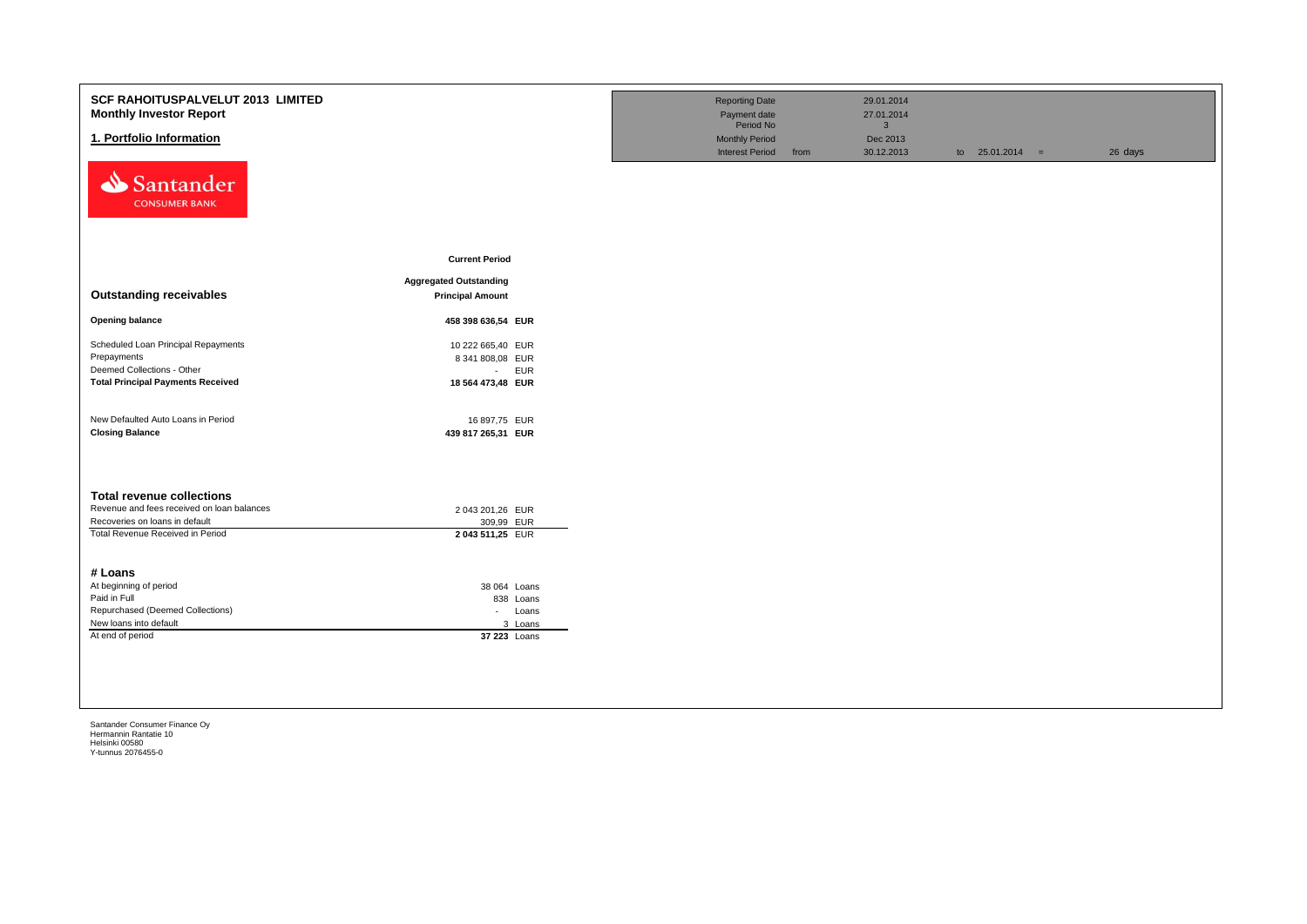| <b>SCF RAHOITUSPALVELUT 2013 LIMITED</b><br><b>Monthly Investor Report</b>                                                                           |                                                    | <b>Reporting Date</b><br>Payment date           |      | 29.01.2014<br>27.01.2014 |                   |         |
|------------------------------------------------------------------------------------------------------------------------------------------------------|----------------------------------------------------|-------------------------------------------------|------|--------------------------|-------------------|---------|
|                                                                                                                                                      |                                                    | Period No                                       |      | 3 <sup>1</sup>           |                   |         |
| 1. Portfolio Information                                                                                                                             |                                                    | <b>Monthly Period</b><br><b>Interest Period</b> | from | Dec 2013<br>30.12.2013   | to $25.01.2014 =$ | 26 days |
| Santander<br><b>CONSUMER BANK</b>                                                                                                                    |                                                    |                                                 |      |                          |                   |         |
|                                                                                                                                                      | <b>Current Period</b>                              |                                                 |      |                          |                   |         |
|                                                                                                                                                      | <b>Aggregated Outstanding</b>                      |                                                 |      |                          |                   |         |
| <b>Outstanding receivables</b>                                                                                                                       | <b>Principal Amount</b>                            |                                                 |      |                          |                   |         |
| <b>Opening balance</b>                                                                                                                               | 458 398 636,54 EUR                                 |                                                 |      |                          |                   |         |
| Scheduled Loan Principal Repayments                                                                                                                  | 10 222 665,40 EUR                                  |                                                 |      |                          |                   |         |
| Prepayments                                                                                                                                          | 8 341 808,08 EUR                                   |                                                 |      |                          |                   |         |
| Deemed Collections - Other                                                                                                                           | <b>EUR</b><br>$\sim$                               |                                                 |      |                          |                   |         |
| <b>Total Principal Payments Received</b>                                                                                                             | 18 564 473,48 EUR                                  |                                                 |      |                          |                   |         |
| New Defaulted Auto Loans in Period<br><b>Closing Balance</b>                                                                                         | 16 897,75 EUR<br>439 817 265,31 EUR                |                                                 |      |                          |                   |         |
| <b>Total revenue collections</b><br>Revenue and fees received on loan balances<br>Recoveries on loans in default<br>Total Revenue Received in Period | 2 043 201,26 EUR<br>309,99 EUR<br>2 043 511,25 EUR |                                                 |      |                          |                   |         |
| # Loans                                                                                                                                              |                                                    |                                                 |      |                          |                   |         |
| At beginning of period                                                                                                                               | 38 064 Loans                                       |                                                 |      |                          |                   |         |
| Paid in Full<br>Repurchased (Deemed Collections)                                                                                                     | 838 Loans                                          |                                                 |      |                          |                   |         |
| New loans into default                                                                                                                               | Loans<br>$\sim$<br>3 Loans                         |                                                 |      |                          |                   |         |
| At end of period                                                                                                                                     | 37 223 Loans                                       |                                                 |      |                          |                   |         |
|                                                                                                                                                      |                                                    |                                                 |      |                          |                   |         |
|                                                                                                                                                      |                                                    |                                                 |      |                          |                   |         |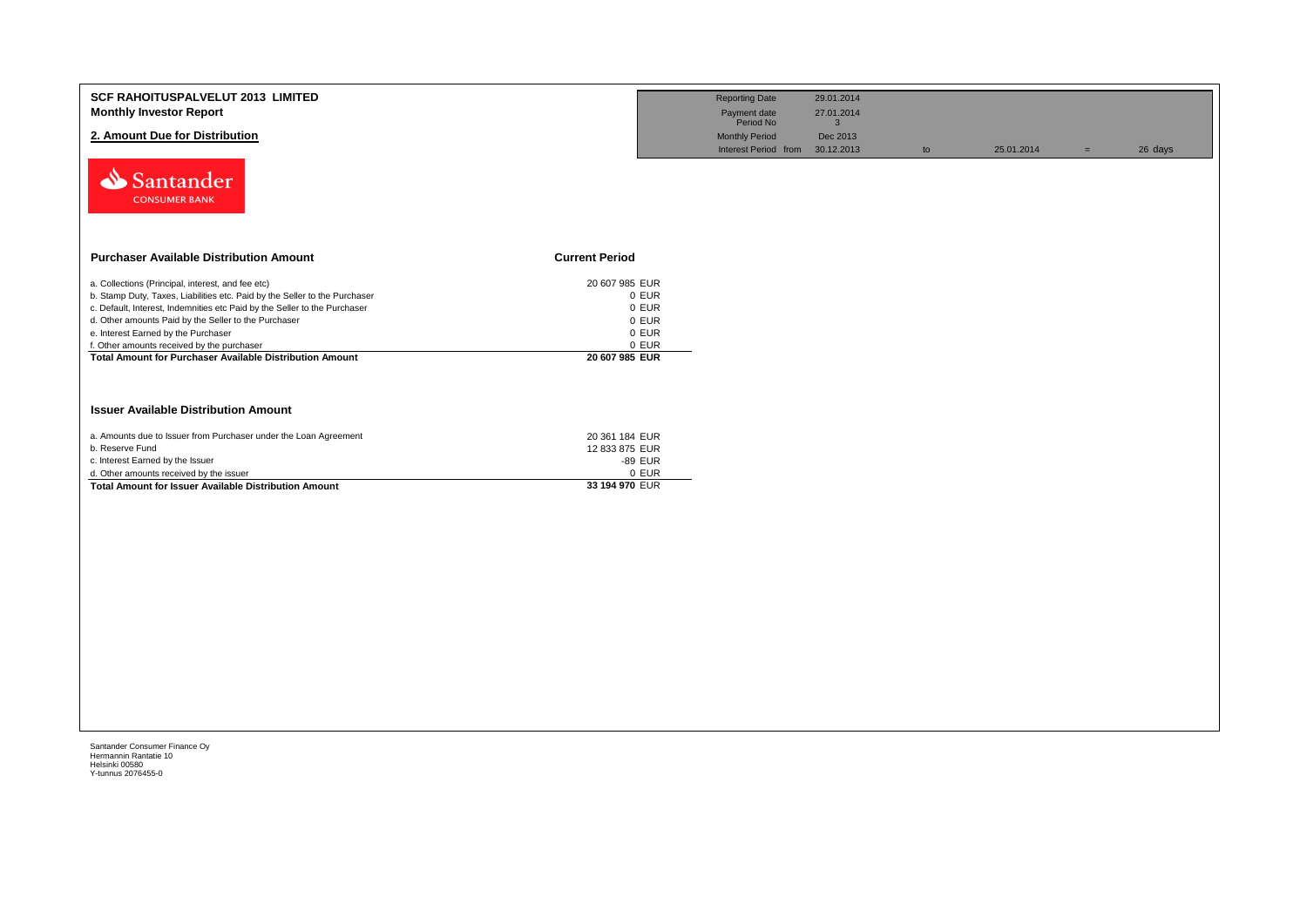| <b>SCF RAHOITUSPALVELUT 2013 LIMITED</b>                                                                |                         | <b>Reporting Date</b>           | 29.01.2014   |    |            |     |         |
|---------------------------------------------------------------------------------------------------------|-------------------------|---------------------------------|--------------|----|------------|-----|---------|
| <b>Monthly Investor Report</b>                                                                          |                         | Payment date                    | 27.01.2014   |    |            |     |         |
|                                                                                                         |                         | Period No                       | $\mathbf{3}$ |    |            |     |         |
| 2. Amount Due for Distribution                                                                          |                         | <b>Monthly Period</b>           | Dec 2013     |    |            |     |         |
|                                                                                                         |                         | Interest Period from 30.12.2013 |              | to | 25.01.2014 | $=$ | 26 days |
| Santander<br><b>CONSUMER BANK</b>                                                                       |                         |                                 |              |    |            |     |         |
| <b>Purchaser Available Distribution Amount</b>                                                          | <b>Current Period</b>   |                                 |              |    |            |     |         |
| a. Collections (Principal, interest, and fee etc)                                                       | 20 607 985 EUR          |                                 |              |    |            |     |         |
| b. Stamp Duty, Taxes, Liabilities etc. Paid by the Seller to the Purchaser                              | 0 EUR                   |                                 |              |    |            |     |         |
| c. Default, Interest, Indemnities etc Paid by the Seller to the Purchaser                               | 0 EUR                   |                                 |              |    |            |     |         |
| d. Other amounts Paid by the Seller to the Purchaser                                                    | 0 EUR                   |                                 |              |    |            |     |         |
| e. Interest Earned by the Purchaser                                                                     | 0 EUR                   |                                 |              |    |            |     |         |
| f. Other amounts received by the purchaser                                                              | 0 EUR                   |                                 |              |    |            |     |         |
| <b>Total Amount for Purchaser Available Distribution Amount</b>                                         | 20 607 985 EUR          |                                 |              |    |            |     |         |
|                                                                                                         |                         |                                 |              |    |            |     |         |
| <b>Issuer Available Distribution Amount</b>                                                             |                         |                                 |              |    |            |     |         |
| a. Amounts due to Issuer from Purchaser under the Loan Agreement                                        | 20 361 184 EUR          |                                 |              |    |            |     |         |
| b. Reserve Fund                                                                                         | 12 833 875 EUR          |                                 |              |    |            |     |         |
| c. Interest Earned by the Issuer                                                                        | -89 EUR                 |                                 |              |    |            |     |         |
| d. Other amounts received by the issuer<br><b>Total Amount for Issuer Available Distribution Amount</b> | 0 EUR<br>33 194 970 EUR |                                 |              |    |            |     |         |
|                                                                                                         |                         |                                 |              |    |            |     |         |
|                                                                                                         |                         |                                 |              |    |            |     |         |
|                                                                                                         |                         |                                 |              |    |            |     |         |
|                                                                                                         |                         |                                 |              |    |            |     |         |
|                                                                                                         |                         |                                 |              |    |            |     |         |
|                                                                                                         |                         |                                 |              |    |            |     |         |
|                                                                                                         |                         |                                 |              |    |            |     |         |
|                                                                                                         |                         |                                 |              |    |            |     |         |
|                                                                                                         |                         |                                 |              |    |            |     |         |
|                                                                                                         |                         |                                 |              |    |            |     |         |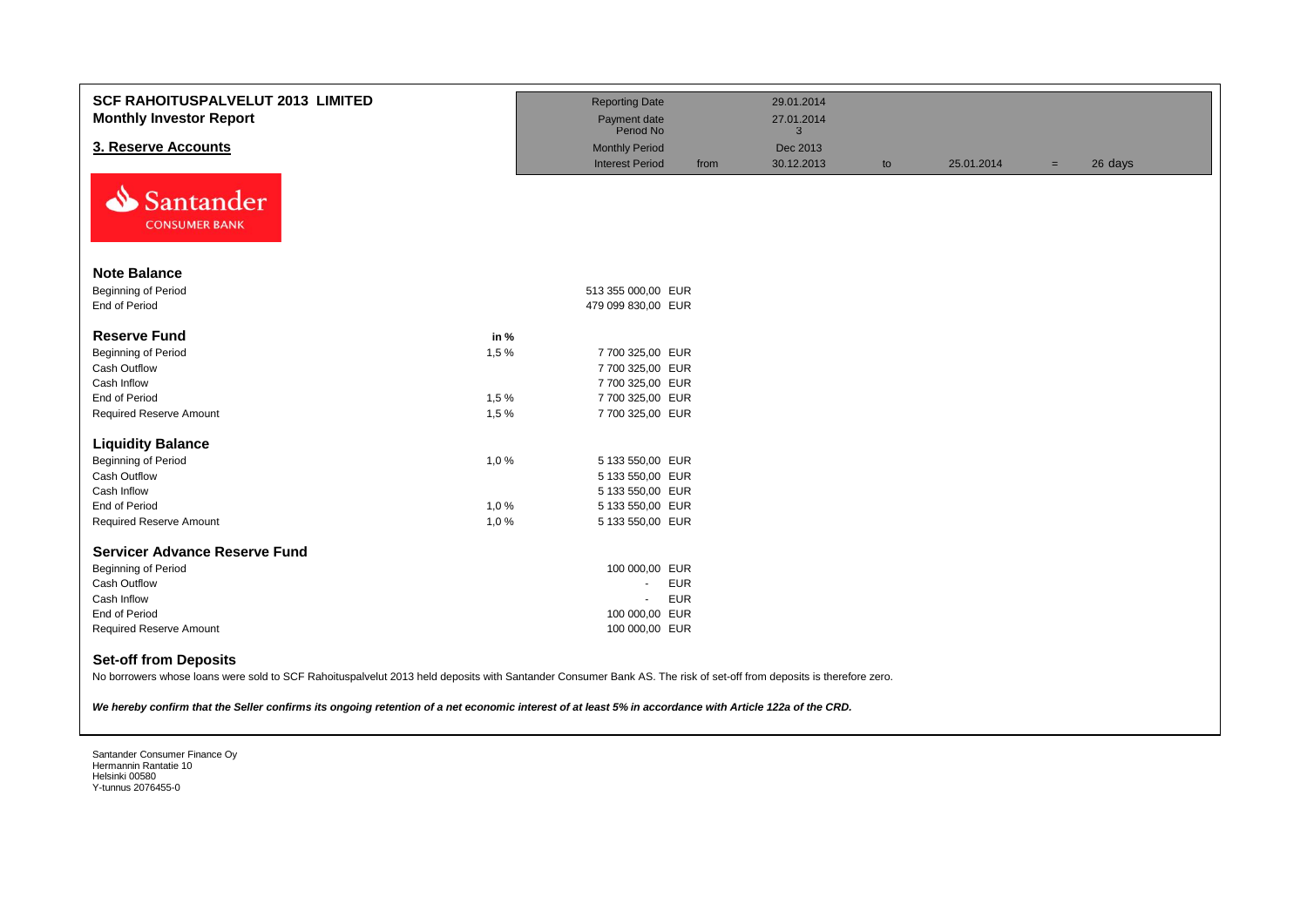| <b>SCF RAHOITUSPALVELUT 2013 LIMITED</b><br><b>Monthly Investor Report</b>                                                                                                                                                                                                                                                                                    |      | <b>Reporting Date</b><br>Payment date<br>Period No |            | 29.01.2014<br>27.01.2014<br>3 |    |            |     |         |
|---------------------------------------------------------------------------------------------------------------------------------------------------------------------------------------------------------------------------------------------------------------------------------------------------------------------------------------------------------------|------|----------------------------------------------------|------------|-------------------------------|----|------------|-----|---------|
| 3. Reserve Accounts                                                                                                                                                                                                                                                                                                                                           |      | <b>Monthly Period</b>                              |            | Dec 2013                      |    |            |     |         |
|                                                                                                                                                                                                                                                                                                                                                               |      | <b>Interest Period</b>                             | from       | 30.12.2013                    | to | 25.01.2014 | $=$ | 26 days |
| Santander<br>N<br><b>CONSUMER BANK</b>                                                                                                                                                                                                                                                                                                                        |      |                                                    |            |                               |    |            |     |         |
| <b>Note Balance</b>                                                                                                                                                                                                                                                                                                                                           |      |                                                    |            |                               |    |            |     |         |
| <b>Beginning of Period</b>                                                                                                                                                                                                                                                                                                                                    |      | 513 355 000,00 EUR                                 |            |                               |    |            |     |         |
| End of Period                                                                                                                                                                                                                                                                                                                                                 |      | 479 099 830,00 EUR                                 |            |                               |    |            |     |         |
|                                                                                                                                                                                                                                                                                                                                                               |      |                                                    |            |                               |    |            |     |         |
| <b>Reserve Fund</b>                                                                                                                                                                                                                                                                                                                                           | in % |                                                    |            |                               |    |            |     |         |
| <b>Beginning of Period</b>                                                                                                                                                                                                                                                                                                                                    | 1,5% | 7 700 325,00 EUR                                   |            |                               |    |            |     |         |
| <b>Cash Outflow</b><br>Cash Inflow                                                                                                                                                                                                                                                                                                                            |      | 7 700 325,00 EUR                                   |            |                               |    |            |     |         |
| End of Period                                                                                                                                                                                                                                                                                                                                                 | 1,5% | 7 700 325,00 EUR<br>7 700 325,00 EUR               |            |                               |    |            |     |         |
| Required Reserve Amount                                                                                                                                                                                                                                                                                                                                       | 1,5% | 7 700 325,00 EUR                                   |            |                               |    |            |     |         |
|                                                                                                                                                                                                                                                                                                                                                               |      |                                                    |            |                               |    |            |     |         |
| <b>Liquidity Balance</b>                                                                                                                                                                                                                                                                                                                                      |      |                                                    |            |                               |    |            |     |         |
| <b>Beginning of Period</b>                                                                                                                                                                                                                                                                                                                                    | 1,0% | 5 133 550,00 EUR                                   |            |                               |    |            |     |         |
| Cash Outflow                                                                                                                                                                                                                                                                                                                                                  |      | 5 133 550,00 EUR                                   |            |                               |    |            |     |         |
| Cash Inflow                                                                                                                                                                                                                                                                                                                                                   |      | 5 133 550,00 EUR                                   |            |                               |    |            |     |         |
| End of Period                                                                                                                                                                                                                                                                                                                                                 | 1,0% | 5 133 550,00 EUR                                   |            |                               |    |            |     |         |
| Required Reserve Amount                                                                                                                                                                                                                                                                                                                                       | 1,0% | 5 133 550,00 EUR                                   |            |                               |    |            |     |         |
| <b>Servicer Advance Reserve Fund</b>                                                                                                                                                                                                                                                                                                                          |      |                                                    |            |                               |    |            |     |         |
| <b>Beginning of Period</b>                                                                                                                                                                                                                                                                                                                                    |      | 100 000,00 EUR                                     |            |                               |    |            |     |         |
| <b>Cash Outflow</b>                                                                                                                                                                                                                                                                                                                                           |      | $\sim$                                             | <b>EUR</b> |                               |    |            |     |         |
| Cash Inflow                                                                                                                                                                                                                                                                                                                                                   |      | $\blacksquare$                                     | <b>EUR</b> |                               |    |            |     |         |
| End of Period                                                                                                                                                                                                                                                                                                                                                 |      | 100 000,00 EUR                                     |            |                               |    |            |     |         |
| <b>Required Reserve Amount</b>                                                                                                                                                                                                                                                                                                                                |      | 100 000,00 EUR                                     |            |                               |    |            |     |         |
| <b>Set-off from Deposits</b><br>No borrowers whose loans were sold to SCF Rahoituspalvelut 2013 held deposits with Santander Consumer Bank AS. The risk of set-off from deposits is therefore zero.<br>We hereby confirm that the Seller confirms its ongoing retention of a net economic interest of at least 5% in accordance with Article 122a of the CRD. |      |                                                    |            |                               |    |            |     |         |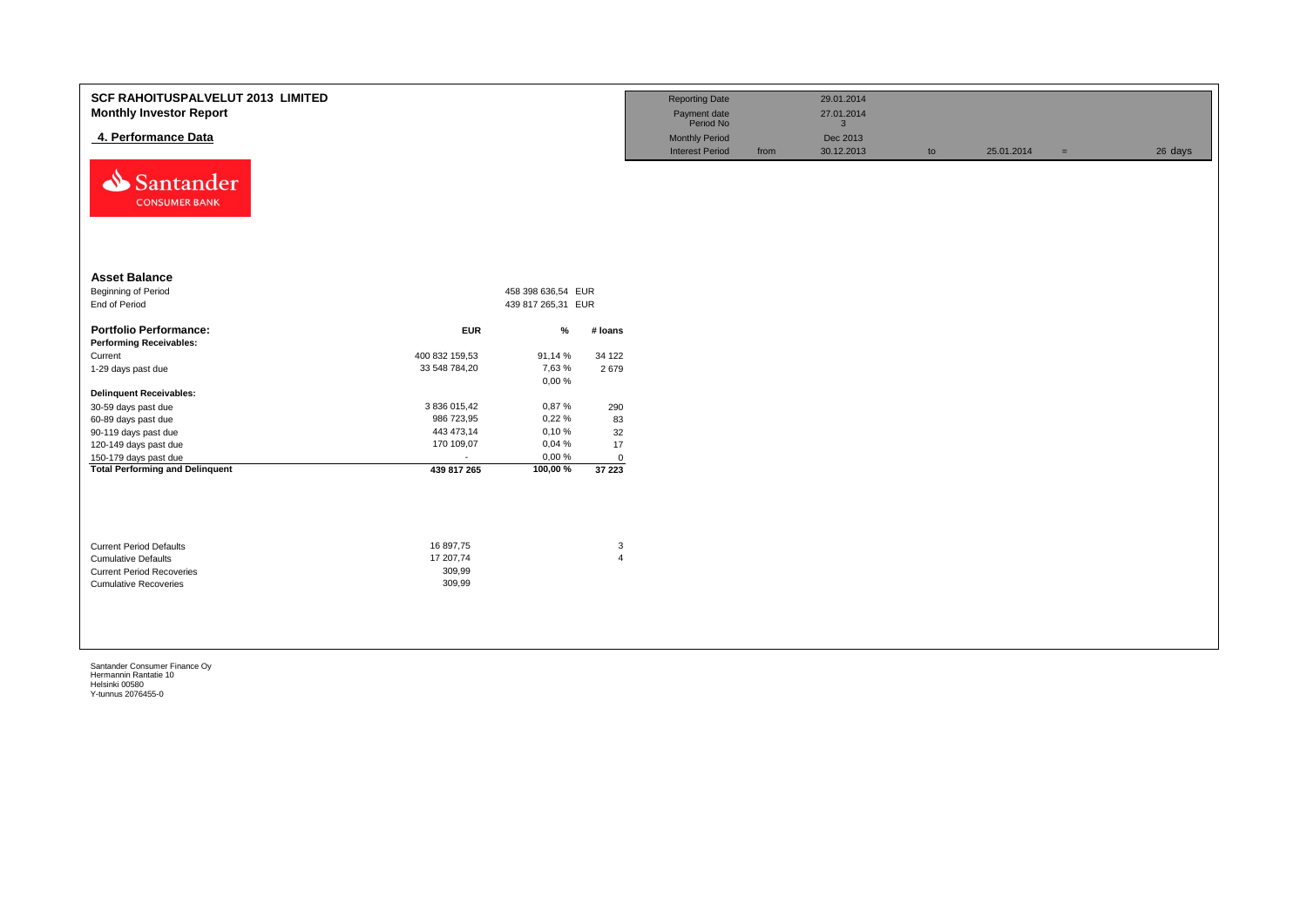| <b>SCF RAHOITUSPALVELUT 2013 LIMITED</b><br><b>Monthly Investor Report</b><br>4. Performance Data<br>Santander<br><b>CONSUMER BANK</b> |                                            |                    |                     | <b>Reporting Date</b><br>Payment date<br>Period No<br><b>Monthly Period</b><br><b>Interest Period</b> | from | 29.01.2014<br>27.01.2014<br>$\overline{3}$<br>Dec 2013<br>30.12.2013 | to | 25.01.2014 | $=$ | 26 days |
|----------------------------------------------------------------------------------------------------------------------------------------|--------------------------------------------|--------------------|---------------------|-------------------------------------------------------------------------------------------------------|------|----------------------------------------------------------------------|----|------------|-----|---------|
| <b>Asset Balance</b>                                                                                                                   |                                            |                    |                     |                                                                                                       |      |                                                                      |    |            |     |         |
| Beginning of Period                                                                                                                    |                                            | 458 398 636,54 EUR |                     |                                                                                                       |      |                                                                      |    |            |     |         |
| End of Period                                                                                                                          |                                            | 439 817 265,31 EUR |                     |                                                                                                       |      |                                                                      |    |            |     |         |
| <b>Portfolio Performance:</b><br><b>Performing Receivables:</b>                                                                        | <b>EUR</b>                                 | %                  | # Ioans             |                                                                                                       |      |                                                                      |    |            |     |         |
| Current                                                                                                                                | 400 832 159,53                             | 91,14 %            | 34 122              |                                                                                                       |      |                                                                      |    |            |     |         |
| 1-29 days past due                                                                                                                     | 33 548 784,20                              | 7,63 %<br>0,00%    | 2679                |                                                                                                       |      |                                                                      |    |            |     |         |
| <b>Delinquent Receivables:</b>                                                                                                         |                                            |                    |                     |                                                                                                       |      |                                                                      |    |            |     |         |
| 30-59 days past due                                                                                                                    | 3 836 015,42                               | 0,87%              | 290                 |                                                                                                       |      |                                                                      |    |            |     |         |
| 60-89 days past due                                                                                                                    | 986 723,95                                 | 0,22%              | 83                  |                                                                                                       |      |                                                                      |    |            |     |         |
| 90-119 days past due                                                                                                                   | 443 473,14                                 | 0,10%              | 32                  |                                                                                                       |      |                                                                      |    |            |     |         |
| 120-149 days past due                                                                                                                  | 170 109,07                                 | 0,04%              | 17                  |                                                                                                       |      |                                                                      |    |            |     |         |
| 150-179 days past due                                                                                                                  | $\sim$                                     | 0,00%              | $\mathbf 0$         |                                                                                                       |      |                                                                      |    |            |     |         |
| <b>Total Performing and Delinquent</b>                                                                                                 | 439 817 265                                | 100,00%            | 37 223              |                                                                                                       |      |                                                                      |    |            |     |         |
| <b>Current Period Defaults</b><br><b>Cumulative Defaults</b><br><b>Current Period Recoveries</b><br><b>Cumulative Recoveries</b>       | 16 897,75<br>17 207,74<br>309,99<br>309,99 |                    | 3<br>$\overline{4}$ |                                                                                                       |      |                                                                      |    |            |     |         |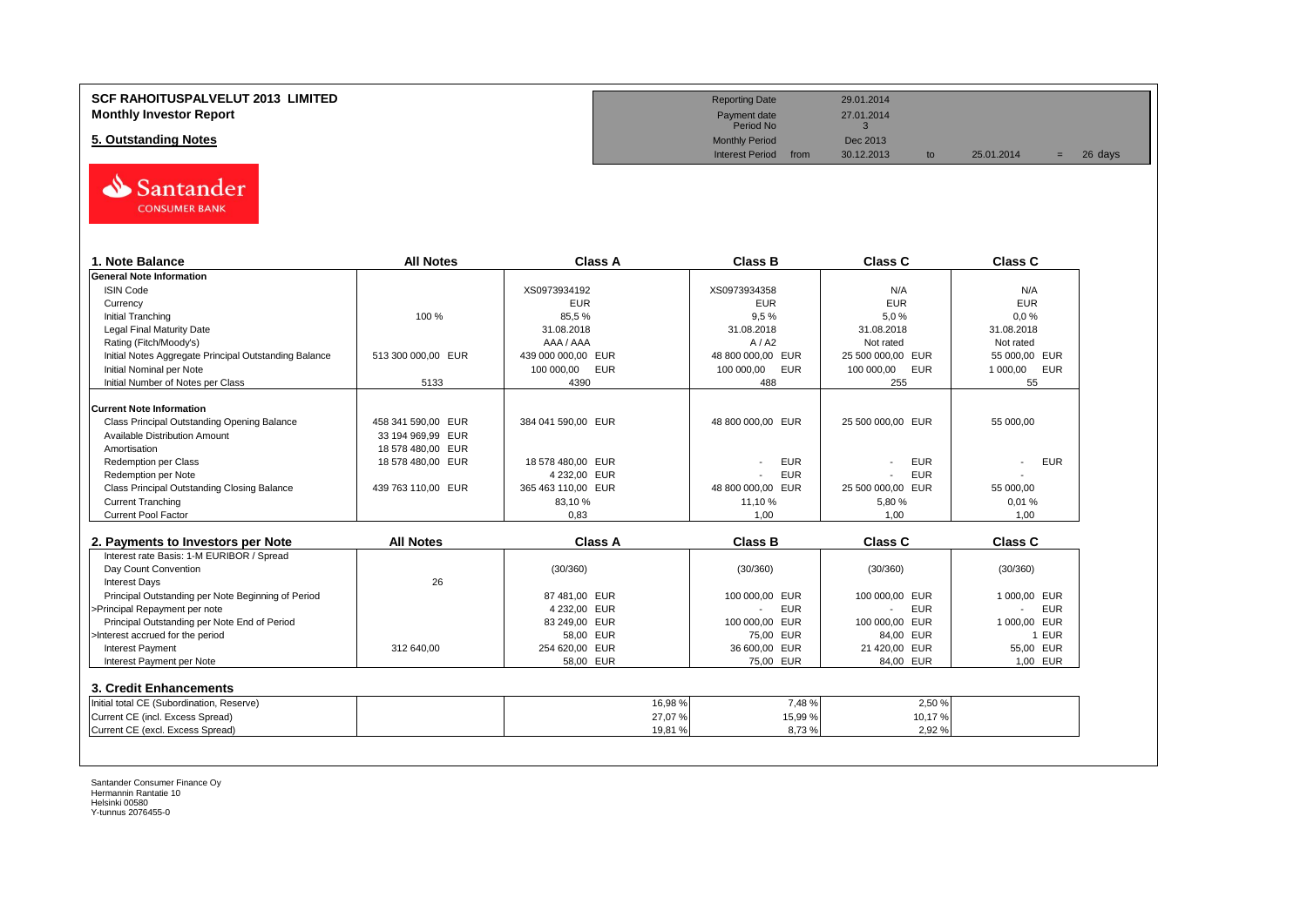# **SCF RAHOITUSPALVELUT 2013 LIMITED Reporting Date** 29.01.2014 **Monthly Investor Report**<br> **Monthly Investor Report** 27.01.2014<br>
Payment date 27.01.2014

# **5. Outstanding Notes** Dec 2013<br> **5. Outstanding Notes** Dec 2013<br>
Interest Period from 30.12.2013



| 1. Note Balance                                                      | <b>All Notes</b>   | Class A            | <b>Class B</b>               | <b>Class C</b>           | Class C                |
|----------------------------------------------------------------------|--------------------|--------------------|------------------------------|--------------------------|------------------------|
| <b>General Note Information</b>                                      |                    |                    |                              |                          |                        |
| <b>ISIN Code</b>                                                     |                    | XS0973934192       | XS0973934358                 | N/A                      | N/A                    |
| Currency                                                             |                    | <b>EUR</b>         | <b>EUR</b>                   | <b>EUR</b>               | <b>EUR</b>             |
| <b>Initial Tranching</b>                                             | 100 %              | 85,5%              | 9,5%                         | 5,0%                     | 0.0%                   |
| <b>Legal Final Maturity Date</b>                                     |                    | 31.08.2018         | 31.08.2018                   | 31.08.2018               | 31.08.2018             |
| Rating (Fitch/Moody's)                                               |                    | AAA / AAA          | A/ A2                        | Not rated                | Not rated              |
| Initial Notes Aggregate Principal Outstanding Balance                | 513 300 000.00 EUR | 439 000 000,00 EUR | 48 800 000,00 EUR            | 25 500 000,00 EUR        | 55 000.00 EUR          |
| Initial Nominal per Note                                             |                    | 100 000,00<br>EUR  | <b>EUR</b><br>100 000,00     | 100 000,00<br><b>EUR</b> | <b>EUR</b><br>1 000,00 |
| Initial Number of Notes per Class                                    | 5133               | 4390               | 488                          | 255                      | 55                     |
| <b>Current Note Information</b>                                      |                    |                    |                              |                          |                        |
| Class Principal Outstanding Opening Balance                          | 458 341 590.00 EUR | 384 041 590.00 EUR | 48 800 000.00 EUR            | 25 500 000.00 EUR        | 55 000.00              |
| Available Distribution Amount                                        | 33 194 969,99 EUR  |                    |                              |                          |                        |
| Amortisation                                                         | 18 578 480,00 EUR  |                    |                              |                          |                        |
| <b>Redemption per Class</b>                                          | 18 578 480,00 EUR  | 18 578 480,00 EUR  | <b>EUR</b>                   | <b>EUR</b>               | <b>EUR</b>             |
| Redemption per Note                                                  |                    | 4 232,00 EUR       | <b>EUR</b>                   | <b>EUR</b>               |                        |
| Class Principal Outstanding Closing Balance                          | 439 763 110.00 EUR | 365 463 110.00 EUR | 48 800 000.00 EUR            | 25 500 000.00 EUR        | 55 000.00              |
| <b>Current Tranching</b>                                             |                    | 83.10%             | 11,10%                       | 5,80 %                   | 0.01%                  |
| <b>Current Pool Factor</b>                                           |                    | 0.83               | 1.00                         | 1,00                     | 1.00                   |
| 2. Payments to Investors per Note                                    | <b>All Notes</b>   | <b>Class A</b>     | <b>Class B</b>               | <b>Class C</b>           | <b>Class C</b>         |
| Interest rate Basis: 1-M EURIBOR / Spread                            |                    |                    |                              |                          |                        |
| Day Count Convention                                                 |                    | (30/360)           | (30/360)                     | (30/360)                 | (30/360)               |
| <b>Interest Days</b>                                                 | 26                 |                    |                              |                          |                        |
| Principal Outstanding per Note Beginning of Period                   |                    | 87 481.00 EUR      | 100 000.00 EUR               | 100 000.00 EUR           | 1 000.00 EUR           |
| >Principal Repayment per note                                        |                    | 4 232,00 EUR       | <b>EUR</b><br>$\blacksquare$ | <b>EUR</b>               | <b>EUR</b>             |
| Principal Outstanding per Note End of Period                         |                    | 83 249,00 EUR      | 100 000,00<br><b>EUR</b>     | 100 000.00<br><b>EUR</b> | 1 000.00 EUR           |
| >Interest accrued for the period                                     |                    | 58,00 EUR          | 75,00 EUR                    | 84.00 EUR                | 1 EUR                  |
| <b>Interest Payment</b>                                              | 312 640,00         | 254 620,00 EUR     | 36 600,00 EUR                | 21 420,00 EUR            | 55,00 EUR              |
| Interest Payment per Note                                            |                    | 58,00 EUR          | 75,00 EUR                    | 84,00 EUR                | 1.00 EUR               |
|                                                                      |                    |                    |                              |                          |                        |
| 3. Credit Enhancements                                               |                    |                    |                              |                          |                        |
| Initial total CE (Subordination, Reserve)                            |                    | 16,98%             | 7,48%                        | 2,50 %                   |                        |
|                                                                      |                    |                    |                              | 10,17%                   |                        |
| Current CE (incl. Excess Spread)<br>Current CE (excl. Excess Spread) |                    | 27,07%<br>19,81%   | 15,99 %<br>8,73%             | 2,92 %                   |                        |

Payment date<br>Period No

Interest Period from 30.12.2013 to 25.01.2014 = 26 days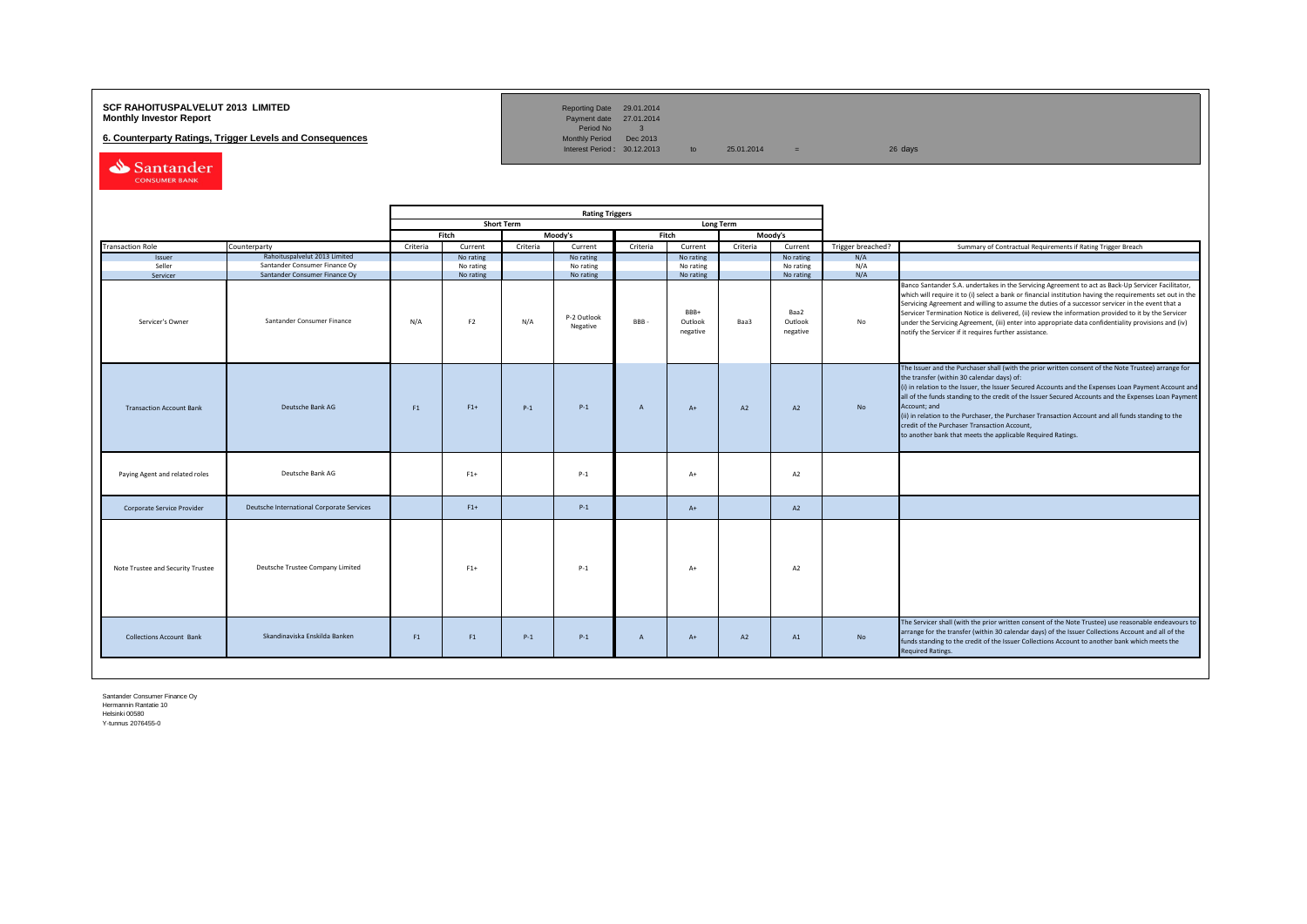# **SCF RAHOITUSPALVELUT 2013 LIMITED**<br>**Monthly Investor Report** Payment date 27.01.2014

**6. Counterparty Ratings, Trigger Levels and Consequences** 

Reporting Date 29.01.2014<br>Payment date 27.01.2014<br>Period No 3<br>Monthly Period Dec 2013

Interest Period:  $30.12.2013$  to  $25.01.2014$  =  $26 \text{ days}$ 

Santander CONSUMER BANK

|                                   |                                                                |          |                        |                   | <b>Rating Triggers</b>  |                |                             |                  |                             |                   |                                                                                                                                                                                                                                                                                                                                                                                                                                                                                                                                                                                                        |
|-----------------------------------|----------------------------------------------------------------|----------|------------------------|-------------------|-------------------------|----------------|-----------------------------|------------------|-----------------------------|-------------------|--------------------------------------------------------------------------------------------------------------------------------------------------------------------------------------------------------------------------------------------------------------------------------------------------------------------------------------------------------------------------------------------------------------------------------------------------------------------------------------------------------------------------------------------------------------------------------------------------------|
|                                   |                                                                |          |                        | <b>Short Term</b> |                         |                |                             | <b>Long Term</b> |                             |                   |                                                                                                                                                                                                                                                                                                                                                                                                                                                                                                                                                                                                        |
|                                   |                                                                |          | Fitch                  |                   | Moody's                 | Fitch          |                             |                  | Moody's                     |                   |                                                                                                                                                                                                                                                                                                                                                                                                                                                                                                                                                                                                        |
| <b>Transaction Role</b>           | Counterparty                                                   | Criteria | Current                | Criteria          | Current                 | Criteria       | Current                     | Criteria         | Current                     | Trigger breached? | Summary of Contractual Requirements if Rating Trigger Breach                                                                                                                                                                                                                                                                                                                                                                                                                                                                                                                                           |
| Issuer<br>Seller                  | Rahoituspalvelut 2013 Limited<br>Santander Consumer Finance Oy |          | No rating<br>No rating |                   | No rating<br>No rating  |                | No rating<br>No rating      |                  | No rating<br>No rating      | N/A<br>N/A        |                                                                                                                                                                                                                                                                                                                                                                                                                                                                                                                                                                                                        |
| Servicer                          | Santander Consumer Finance Oy                                  |          | No rating              |                   | No rating               |                | No rating                   |                  | No rating                   | N/A               |                                                                                                                                                                                                                                                                                                                                                                                                                                                                                                                                                                                                        |
| Servicer's Owner                  | Santander Consumer Finance                                     | N/A      | F <sub>2</sub>         | N/A               | P-2 Outlook<br>Negative | <b>BBB</b>     | BBB+<br>Outlook<br>negative | Baa3             | Baa2<br>Outlook<br>negative | No                | Banco Santander S.A. undertakes in the Servicing Agreement to act as Back-Up Servicer Facilitator,<br>which will require it to (i) select a bank or financial institution having the requirements set out in the<br>Servicing Agreement and willing to assume the duties of a successor servicer in the event that a<br>Servicer Termination Notice is delivered, (ii) review the information provided to it by the Servicer<br>under the Servicing Agreement, (iii) enter into appropriate data confidentiality provisions and (iv)<br>notify the Servicer if it requires further assistance.         |
| <b>Transaction Account Bank</b>   | Deutsche Bank AG                                               | F1       | $F1+$                  | $P-1$             | $P-1$                   | $\overline{A}$ | $A+$                        | A2               | A2                          | <b>No</b>         | The Issuer and the Purchaser shall (with the prior written consent of the Note Trustee) arrange for<br>the transfer (within 30 calendar days) of:<br>(i) in relation to the Issuer, the Issuer Secured Accounts and the Expenses Loan Payment Account and<br>all of the funds standing to the credit of the Issuer Secured Accounts and the Expenses Loan Payment<br>Account; and<br>(ii) in relation to the Purchaser, the Purchaser Transaction Account and all funds standing to the<br>credit of the Purchaser Transaction Account,<br>to another bank that meets the applicable Required Ratings. |
| Paying Agent and related roles    | Deutsche Bank AG                                               |          | $F1+$                  |                   | $P-1$                   |                | $A+$                        |                  | A <sub>2</sub>              |                   |                                                                                                                                                                                                                                                                                                                                                                                                                                                                                                                                                                                                        |
| Corporate Service Provider        | Deutsche International Corporate Services                      |          | $F1+$                  |                   | $P-1$                   |                | $A+$                        |                  | A2                          |                   |                                                                                                                                                                                                                                                                                                                                                                                                                                                                                                                                                                                                        |
| Note Trustee and Security Trustee | Deutsche Trustee Company Limited                               |          | $F1+$                  |                   | $P-1$                   |                | $A+$                        |                  | A2                          |                   |                                                                                                                                                                                                                                                                                                                                                                                                                                                                                                                                                                                                        |
| <b>Collections Account Bank</b>   | Skandinaviska Enskilda Banken                                  | F1       | F1                     | $P-1$             | $P-1$                   | $\overline{A}$ | $A+$                        | A2               | A1                          | No                | The Servicer shall (with the prior written consent of the Note Trustee) use reasonable endeavours to<br>arrange for the transfer (within 30 calendar days) of the Issuer Collections Account and all of the<br>funds standing to the credit of the Issuer Collections Account to another bank which meets the<br><b>Required Ratings.</b>                                                                                                                                                                                                                                                              |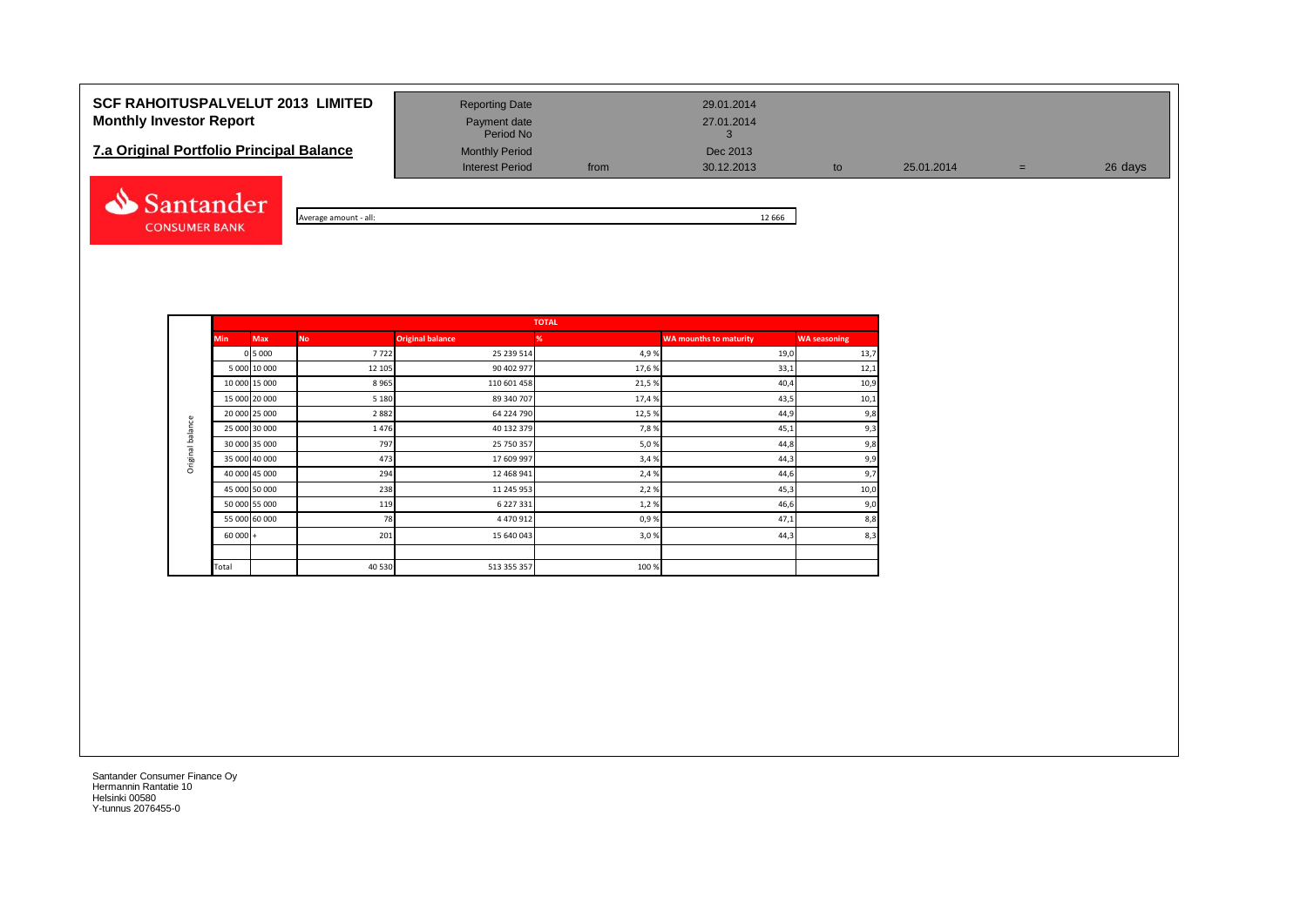# **SCF RAHOITUSPALVELUT 2013 LIMITED** Reporting Date 29.01.2014 **Monthly Investor Report Payment date** Payment date 27.01.2014

# **7.a Original Portfolio Principal Balance** Monthly Period Dec 2013<br>Interest Period from 30.12.2013



| - all:         | 666 |
|----------------|-----|
| Average amount | --  |

Payment date<br>Period No

Interest Period from 30.12.2013 to 25.01.2014 = 26 days

|                  |            |               |           |                         | <b>TOTAL</b> |                               |                     |
|------------------|------------|---------------|-----------|-------------------------|--------------|-------------------------------|---------------------|
|                  | <b>Min</b> | <b>Max</b>    | <b>No</b> | <b>Original balance</b> | %            | <b>WA mounths to maturity</b> | <b>WA seasoning</b> |
|                  |            | 0 5 0 0 0     | 7722      | 25 239 514              | 4,9%         | 19,0                          | 13,7                |
|                  |            | 5 000 10 000  | 12 105    | 90 402 977              | 17,6%        | 33,1                          | 12,1                |
|                  |            | 10 000 15 000 | 8965      | 110 601 458             | 21,5%        | 40,4                          | 10,9                |
|                  |            | 15 000 20 000 | 5 1 8 0   | 89 340 707              | 17,4 %       | 43,5                          | 10,1                |
|                  |            | 20 000 25 000 | 2882      | 64 224 790              | 12,5%        | 44,9                          | 9,8                 |
| Original balance |            | 25 000 30 000 | 1476      | 40 132 379              | 7,8%         | 45,1                          | 9,3                 |
|                  |            | 30 000 35 000 | 797       | 25 750 357              | 5,0%         | 44,8                          | 9,8                 |
|                  |            | 35 000 40 000 | 473       | 17 609 997              | 3,4 %        | 44,3                          | 9,9                 |
|                  |            | 40 000 45 000 | 294       | 12 468 941              | 2,4 %        | 44,6                          | 9,7                 |
|                  |            | 45 000 50 000 | 238       | 11 245 953              | 2,2%         | 45,3                          | 10,0                |
|                  |            | 50 000 55 000 | 119       | 6 227 331               | 1,2%         | 46,6                          | 9,0                 |
|                  |            | 55 000 60 000 | 78        | 4 470 912               | 0,9%         | 47,1                          | 8,8                 |
|                  | $60000 +$  |               | 201       | 15 640 043              | 3,0%         | 44,3                          | 8,3                 |
|                  |            |               |           |                         |              |                               |                     |
|                  | Total      |               | 40 530    | 513 355 357             | 100 %        |                               |                     |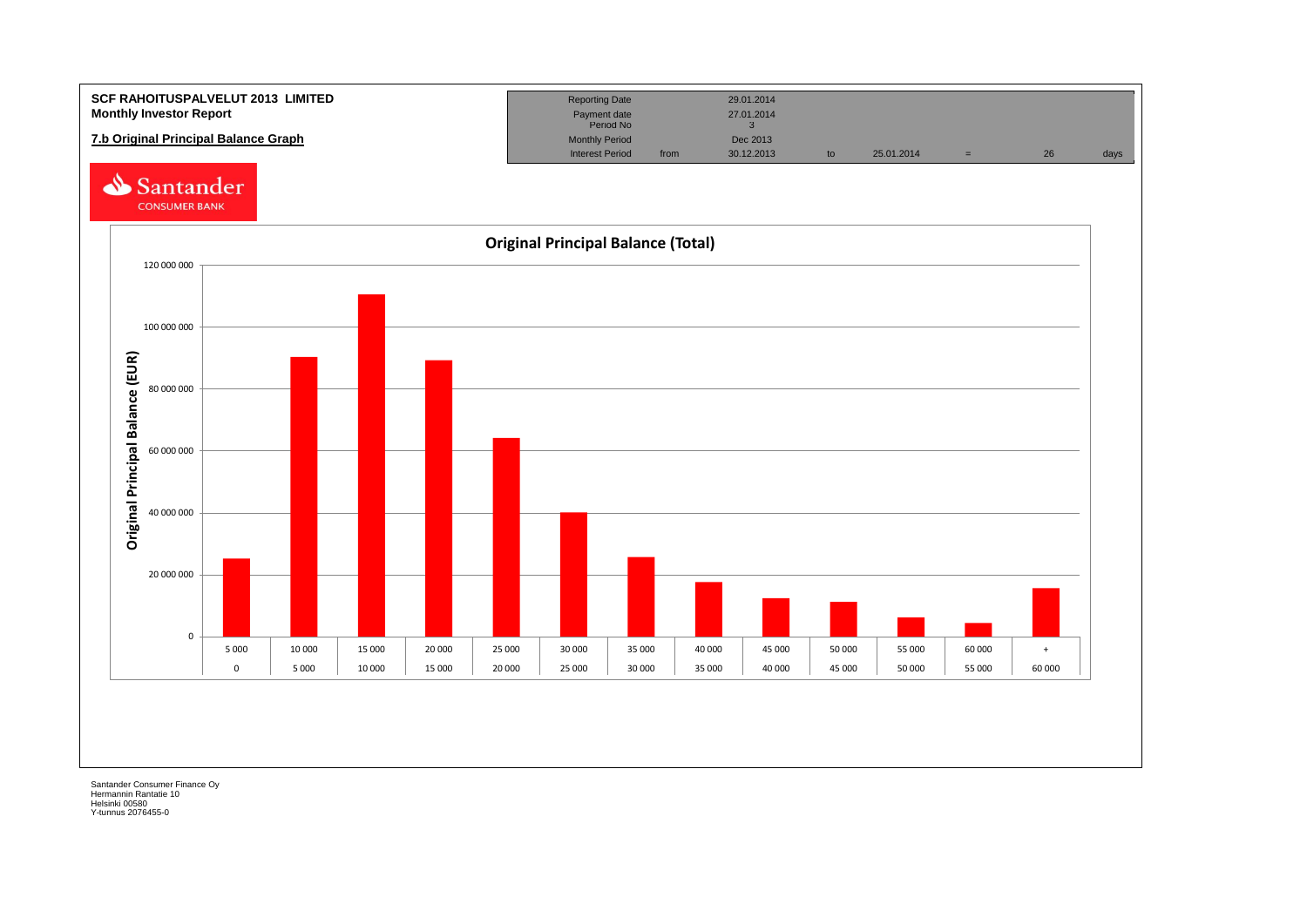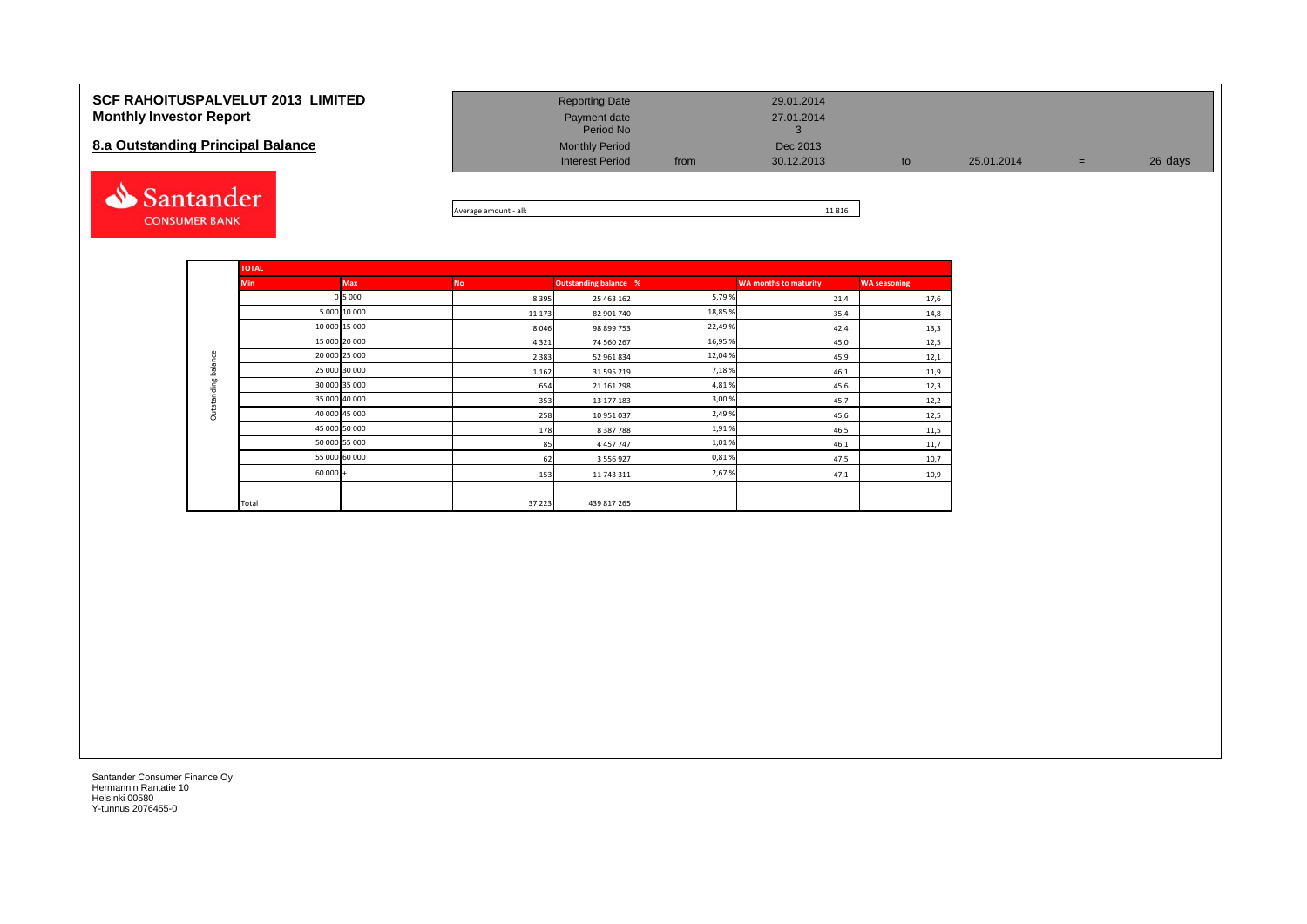#### **SCF RAHOITUSPALVELUT 2013 LIMITED Monthly Investor Report**

## **8.a Outstanding Principal Balance**



| <b>Reporting Date</b><br>Payment date<br>Period No |      | 29.01.2014<br>27.01.2014 |    |            |     |         |
|----------------------------------------------------|------|--------------------------|----|------------|-----|---------|
| <b>Monthly Period</b><br><b>Interest Period</b>    | from | Dec 2013<br>30.12.2013   | to | 25.01.2014 | $=$ | 26 days |

Average amount - all: 11 816

|                     | <b>TOTAL</b> |               |           |                              |         |                              |                     |
|---------------------|--------------|---------------|-----------|------------------------------|---------|------------------------------|---------------------|
|                     | <b>Min</b>   | <b>Max</b>    | <b>No</b> | <b>Outstanding balance %</b> |         | <b>WA months to maturity</b> | <b>WA seasoning</b> |
|                     |              | 0 5 0 0 0     | 8395      | 25 463 162                   | 5,79%   | 21,4                         | 17,6                |
|                     |              | 5 000 10 000  | 11 173    | 82 901 740                   | 18,85 % | 35,4                         | 14,8                |
|                     |              | 10 000 15 000 | 8046      | 98 899 753                   | 22,49%  | 42,4                         | 13,3                |
|                     |              | 15 000 20 000 | 4321      | 74 560 267                   | 16,95 % | 45,0                         | 12,5                |
|                     |              | 20 000 25 000 | 2 3 8 3   | 52 961 834                   | 12,04 % | 45,9                         | 12,1                |
| Outstanding balance |              | 25 000 30 000 | 1 1 6 2   | 31 595 219                   | 7,18%   | 46,1                         | 11,9                |
|                     |              | 30 000 35 000 | 654       | 21 161 298                   | 4,81%   | 45,6                         | 12,3                |
|                     |              | 35 000 40 000 | 353       | 13 177 183                   | 3,00 %  | 45,7                         | 12,2                |
|                     |              | 40 000 45 000 | 258       | 10 951 037                   | 2,49%   | 45,6                         | 12,5                |
|                     |              | 45 000 50 000 | 178       | 8 387 788                    | 1,91%   | 46,5                         | 11,5                |
|                     |              | 50 000 55 000 | 85        | 4 4 5 7 7 4 7                | 1,01%   | 46,1                         | 11,7                |
|                     |              | 55 000 60 000 | 62        | 3 556 927                    | 0,81%   | 47,5                         | 10,7                |
|                     | $60000 +$    |               | 153       | 11 743 311                   | 2,67%   | 47,1                         | 10,9                |
|                     |              |               |           |                              |         |                              |                     |
|                     | Total        |               | 37 223    | 439 817 265                  |         |                              |                     |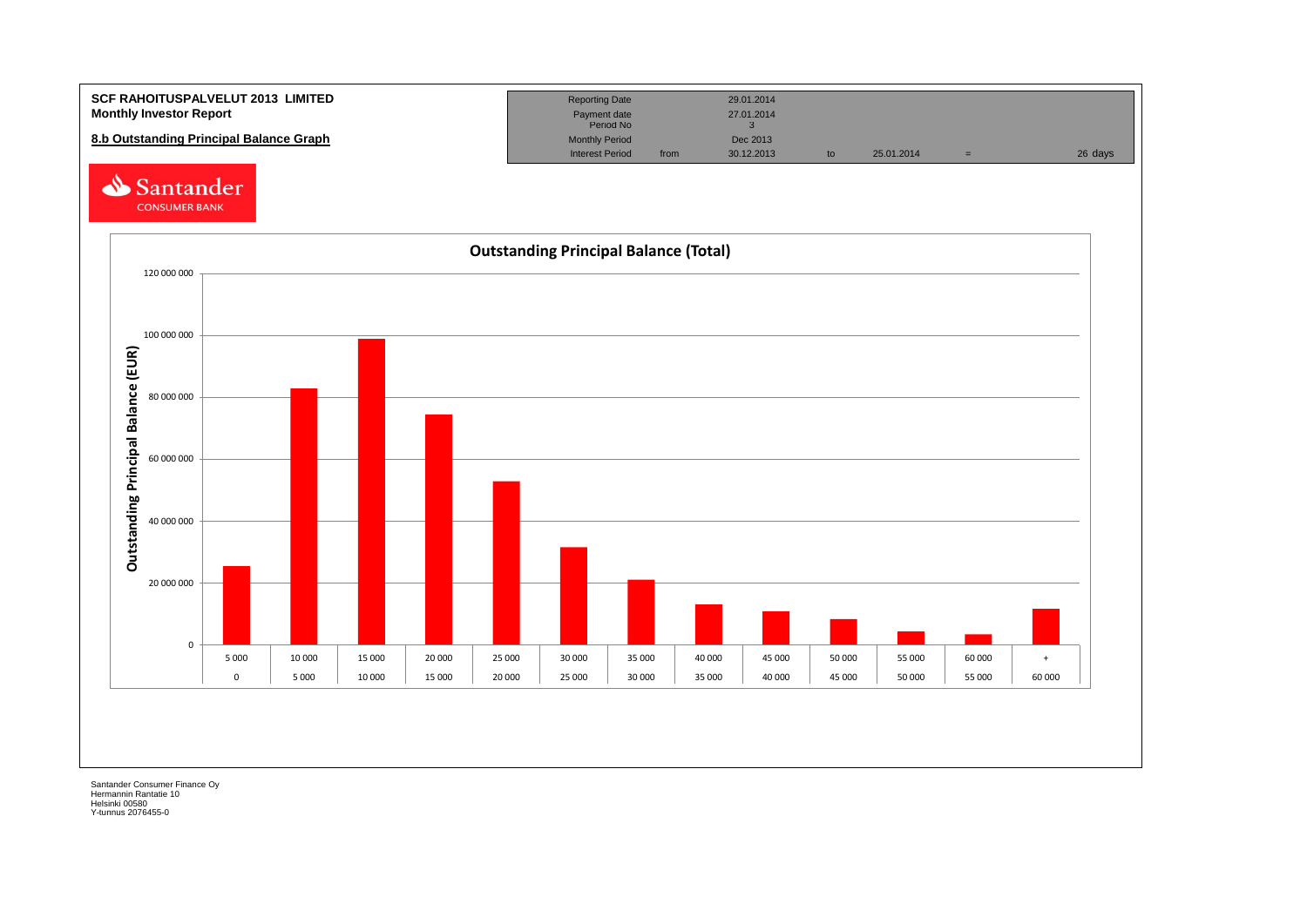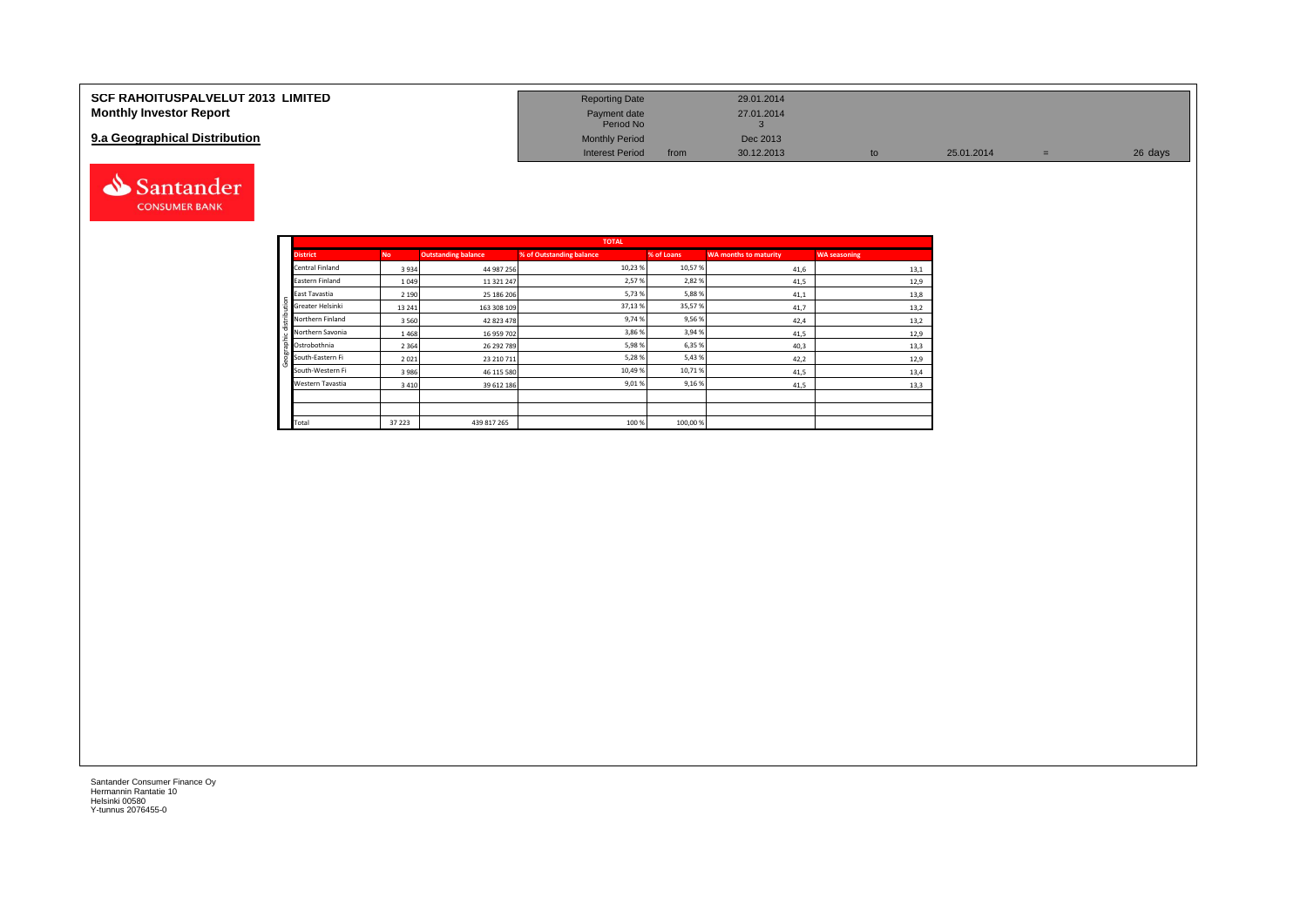| <b>SCF RAHOITUSPALVELUT 2013 LIMITED</b> | <b>Reporting Date</b>     |      | 29.01.2014 |            |         |
|------------------------------------------|---------------------------|------|------------|------------|---------|
| <b>Monthly Investor Report</b>           | Payment date<br>Period No |      | 27.01.2014 |            |         |
| 9.a Geographical Distribution            | <b>Monthly Period</b>     |      | Dec 2013   |            |         |
|                                          | <b>Interest Period</b>    | from | 30.12.2013 | 25.01.2014 | 26 days |



|       |                                               |           |                            | <b>TOTAL</b>             |            |                              |                     |
|-------|-----------------------------------------------|-----------|----------------------------|--------------------------|------------|------------------------------|---------------------|
|       | <b>District</b>                               | <b>No</b> | <b>Outstanding balance</b> | % of Outstanding balance | % of Loans | <b>WA months to maturity</b> | <b>WA seasoning</b> |
|       | Central Finland                               | 3934      | 44 987 256                 | 10,23%                   | 10,57%     | 41,6                         | 13,1                |
|       | Eastern Finland                               | 1 0 4 9   | 11 321 247                 | 2,57%                    | 2,82%      | 41,5                         | 12,9                |
|       | East Tavastia                                 | 2 1 9 0   | 25 186 206                 | 5,73%                    | 5,88%      | 41,1                         | 13,8                |
| ution | Greater Helsinki                              | 13 24 1   | 163 308 109                | 37,13%                   | 35,57%     | 41,7                         | 13,2                |
| t,    | Northern Finland                              | 3560      | 42 823 478                 | 9,74%                    | 9,56%      | 42,4                         | 13,2                |
|       | se<br>El Northern Savonia<br>Tel Ostrobothnia | 1468      | 16 959 702                 | 3,86 %                   | 3,94 %     | 41,5                         | 12,9                |
|       |                                               | 2 3 6 4   | 26 292 789                 | 5,98%                    | 6,35 %     | 40,3                         | 13,3                |
| eogra | South-Eastern Fi                              | 2021      | 23 210 711                 | 5,28%                    | 5,43%      | 42,2                         | 12,9                |
|       | South-Western Fi                              | 3986      | 46 115 580                 | 10,49%                   | 10,71%     | 41,5                         | 13,4                |
|       | Western Tavastia                              | 3410      | 39 612 186                 | 9,01%                    | 9,16%      | 41,5                         | 13,3                |
|       |                                               |           |                            |                          |            |                              |                     |
|       |                                               |           |                            |                          |            |                              |                     |
|       | Total                                         | 37 223    | 439 817 265                | 100 %                    | 100,00 %   |                              |                     |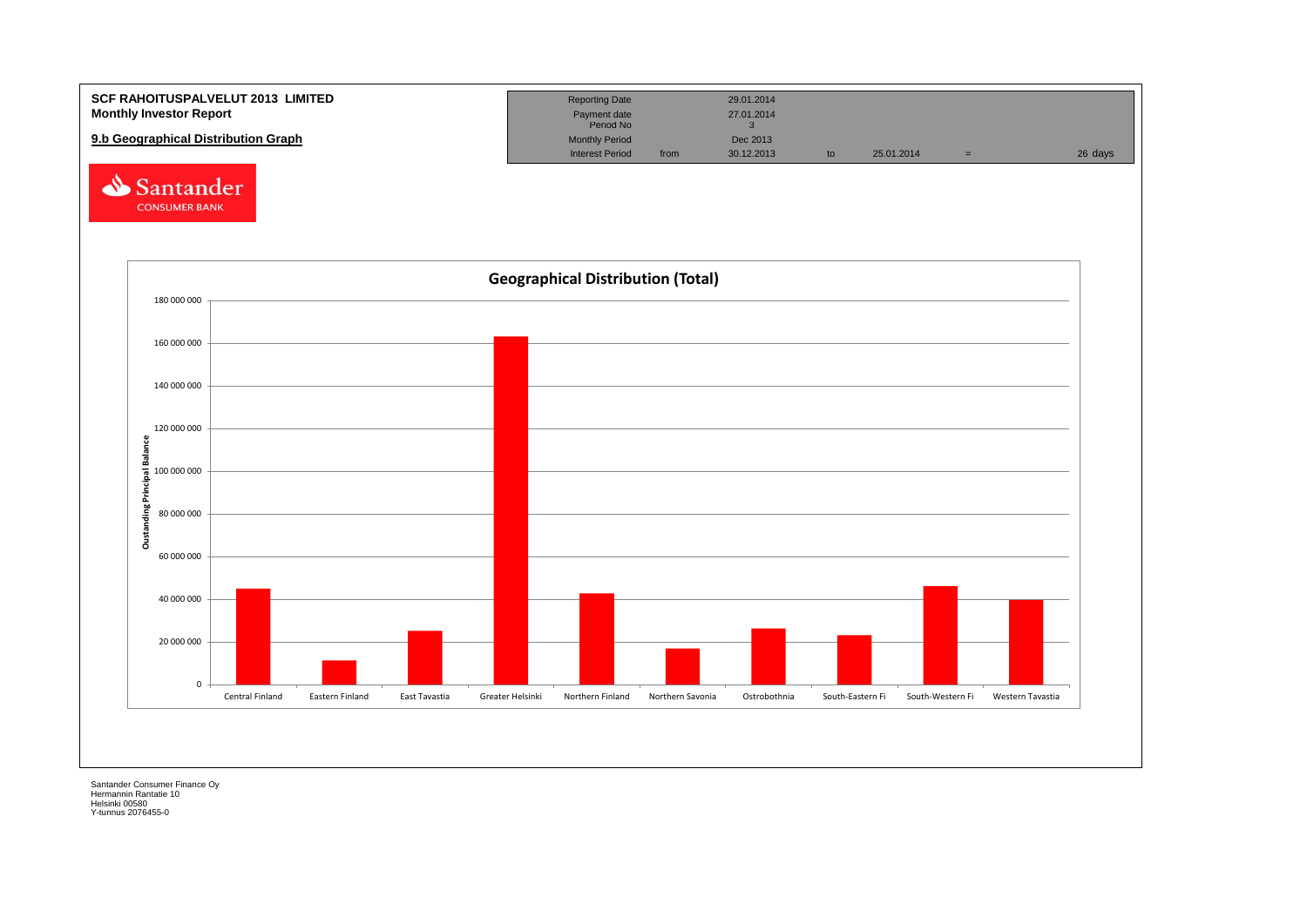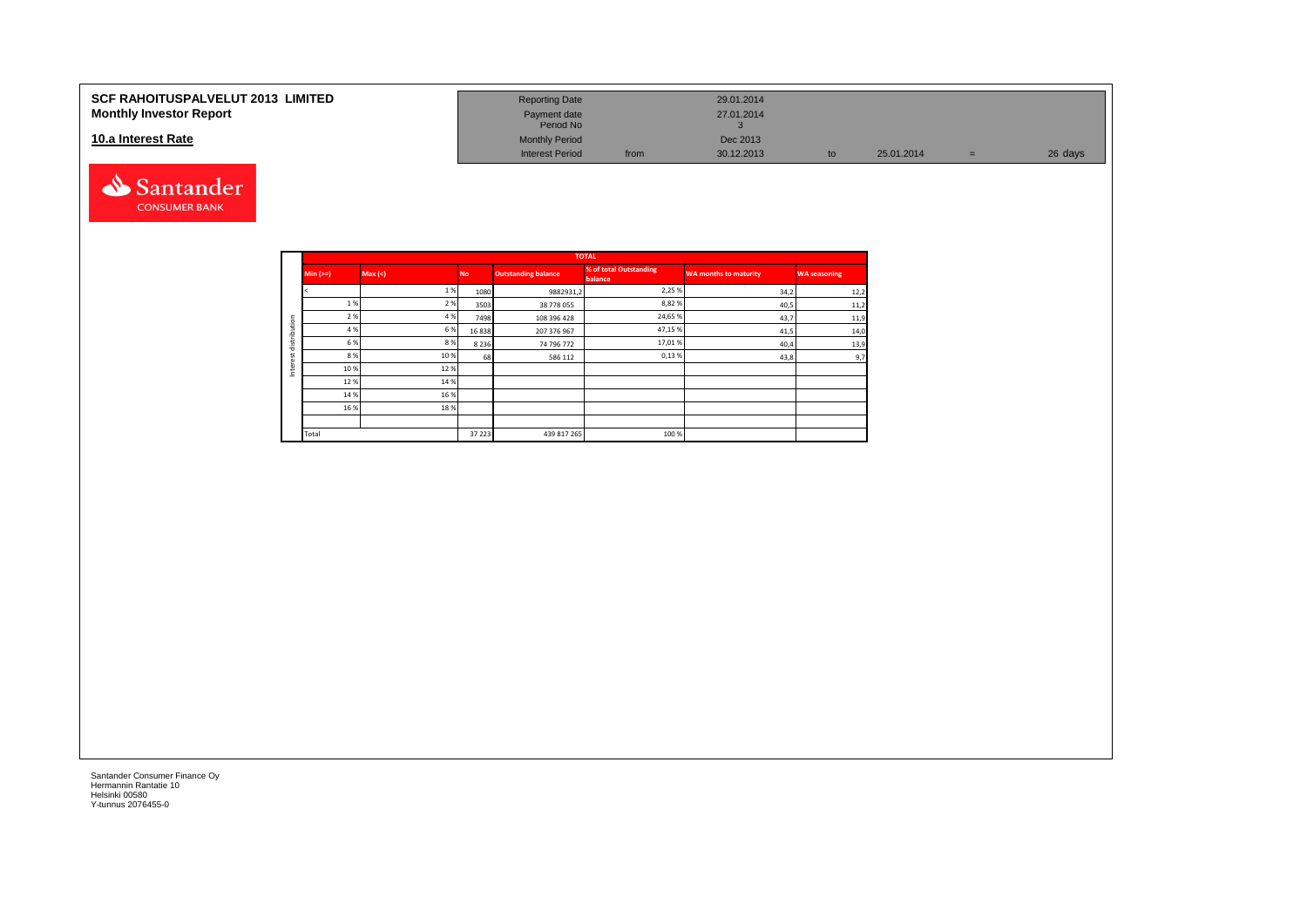#### **10.a Interest Rate**



| SCF RAHOITUSPALVELUT 2013  LIMITED | <b>Reporting Date</b>     |      | 29.01.2014 |            |         |
|------------------------------------|---------------------------|------|------------|------------|---------|
| <b>Monthly Investor Report</b>     | Payment date<br>Period No |      | 27.01.2014 |            |         |
| 10.a Interest Rate                 | <b>Monthly Period</b>     |      | Dec 2013   |            |         |
|                                    | <b>Interest Period</b>    | from | 30.12.2013 | 25.01.2014 | 26 days |

|         |          |         |           |                            | <b>TOTAL</b>                      |                              |                     |
|---------|----------|---------|-----------|----------------------------|-----------------------------------|------------------------------|---------------------|
|         | $Min (=$ | Max (<) | <b>No</b> | <b>Outstanding balance</b> | % of total Outstanding<br>balance | <b>WA months to maturity</b> | <b>WA seasoning</b> |
|         |          | 1%      | 1080      | 9882931,2                  | 2,25 %                            | 34,2                         | 12,2                |
|         | 1 %      | 2 %     | 3503      | 38 778 055                 | 8,82%                             | 40,5                         | 11,2                |
| ution   | 2 %      | 4 %     | 7498      | 108 396 428                | 24,65%                            | 43,7                         | 11,9                |
|         | 4 %      | 6%      | 16838     | 207 376 967                | 47,15%                            | 41,5                         | 14,0                |
| distrib | 6 %      | 8%      | 8 2 3 6   | 74 796 772                 | 17,01%                            | 40,4                         | 13,9                |
| ٠<br>ö  | 8 %      | 10%     | 68        | 586 112                    | 0,13%                             | 43,8                         | 9,7                 |
| Inter   | 10%      | 12%     |           |                            |                                   |                              |                     |
|         | 12%      | 14 %    |           |                            |                                   |                              |                     |
|         | 14 %     | 16%     |           |                            |                                   |                              |                     |
|         | 16 %     | 18%     |           |                            |                                   |                              |                     |
|         |          |         |           |                            |                                   |                              |                     |
|         | Total    |         | 37 223    | 439 817 265                | 100 %                             |                              |                     |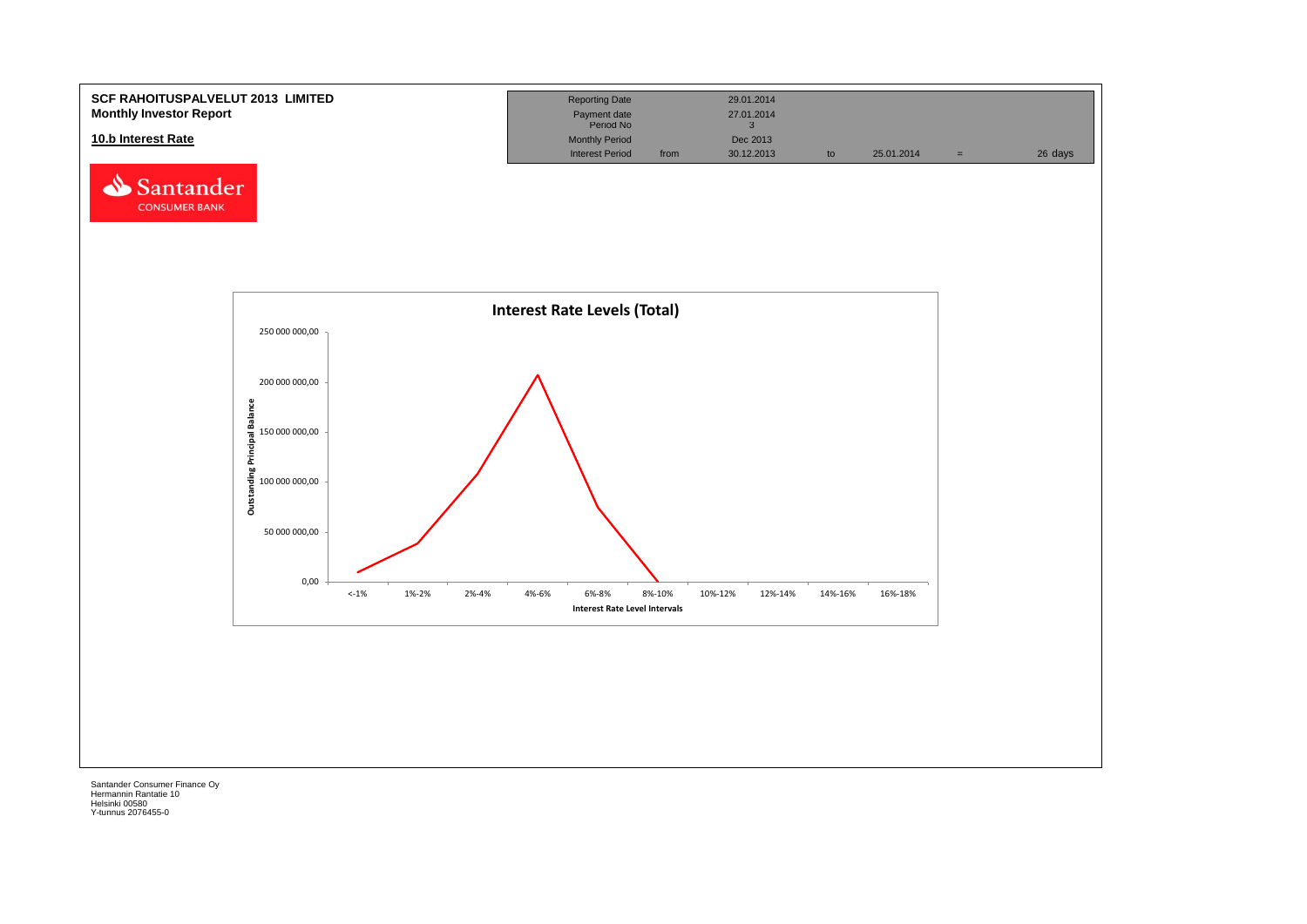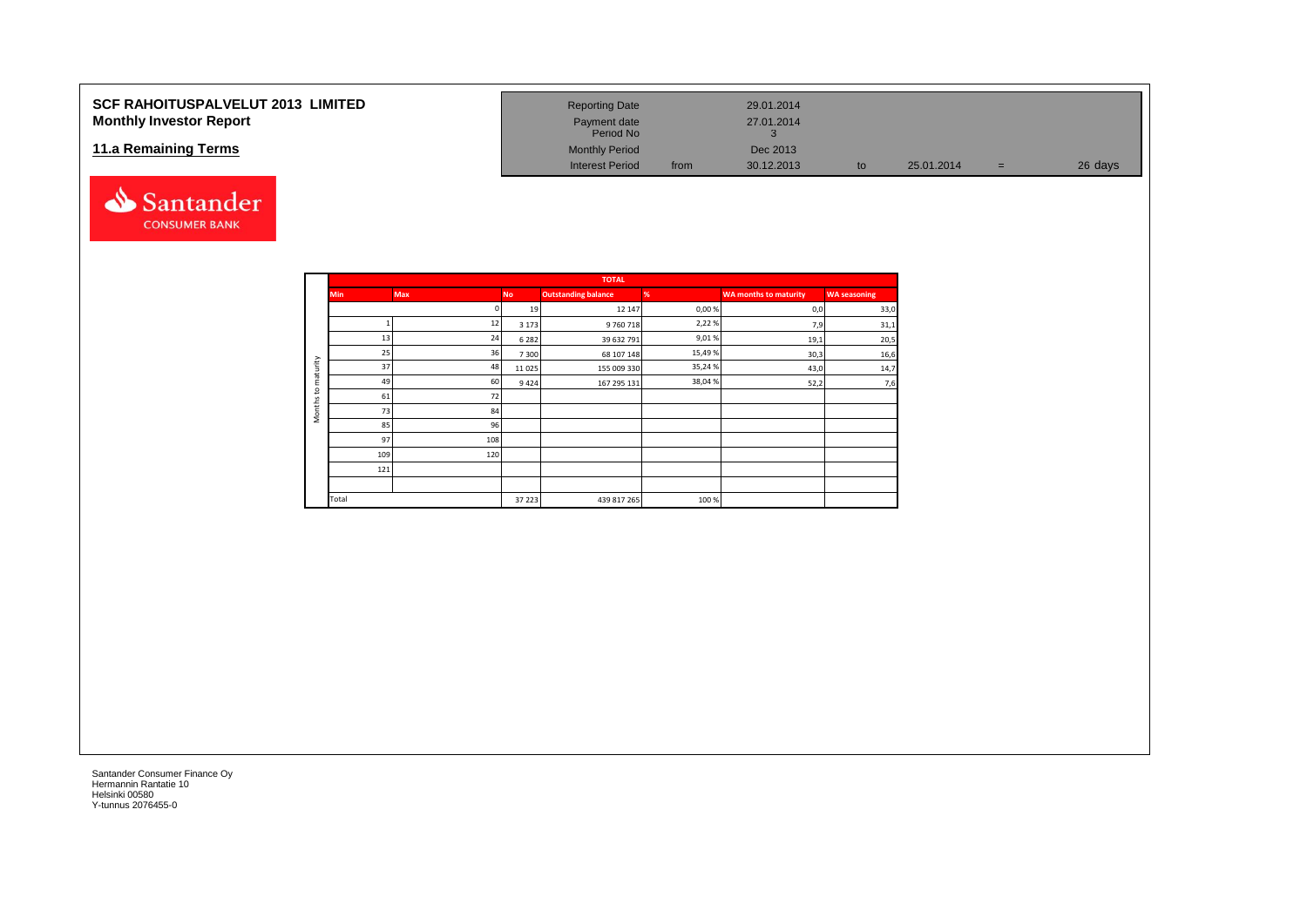# **SCF RAHOITUSPALVELUT 2013 LIMITED Monthly Investor Report**

## **11.a Remaining Terms**



| <b>Reporting Date</b>     |      | 29.01.2014 |    |            |   |         |
|---------------------------|------|------------|----|------------|---|---------|
| Payment date<br>Period No |      | 27.01.2014 |    |            |   |         |
| <b>Monthly Period</b>     |      | Dec 2013   |    |            |   |         |
| <b>Interest Period</b>    | from | 30.12.2013 | to | 25.01.2014 | = | 26 days |

|                     |            |            |           | <b>TOTAL</b>               |         |                              |                     |
|---------------------|------------|------------|-----------|----------------------------|---------|------------------------------|---------------------|
|                     | <b>Min</b> | <b>Max</b> | <b>No</b> | <b>Outstanding balance</b> | %       | <b>WA months to maturity</b> | <b>WA seasoning</b> |
|                     |            | n          | 19        | 12 147                     | 0,00%   | 0,0                          | 33,0                |
|                     |            | 12         | 3 1 7 3   | 9760718                    | 2,22%   | 7,9                          | 31,1                |
|                     | 13         | 24         | 6 2 8 2   | 39 632 791                 | 9,01%   | 19,1                         | 20,5                |
|                     | 25         | 36         | 7300      | 68 107 148                 | 15,49 % | 30,3                         | 16,6                |
| aturity             | 37         | 48         | 11025     | 155 009 330                | 35,24 % | 43,0                         | 14,7                |
| ε<br>$\mathsf{S}$   | 49         | 60         | 9424      | 167 295 131                | 38,04 % | 52,2                         | 7,6                 |
|                     | 61         | 72         |           |                            |         |                              |                     |
| Months <sup>-</sup> | 73         | 84         |           |                            |         |                              |                     |
|                     | 85         | 96         |           |                            |         |                              |                     |
|                     | 97         | 108        |           |                            |         |                              |                     |
|                     | 109        | 120        |           |                            |         |                              |                     |
|                     | 121        |            |           |                            |         |                              |                     |
|                     |            |            |           |                            |         |                              |                     |
|                     | Total      |            | 37 223    | 439 817 265                | 100%    |                              |                     |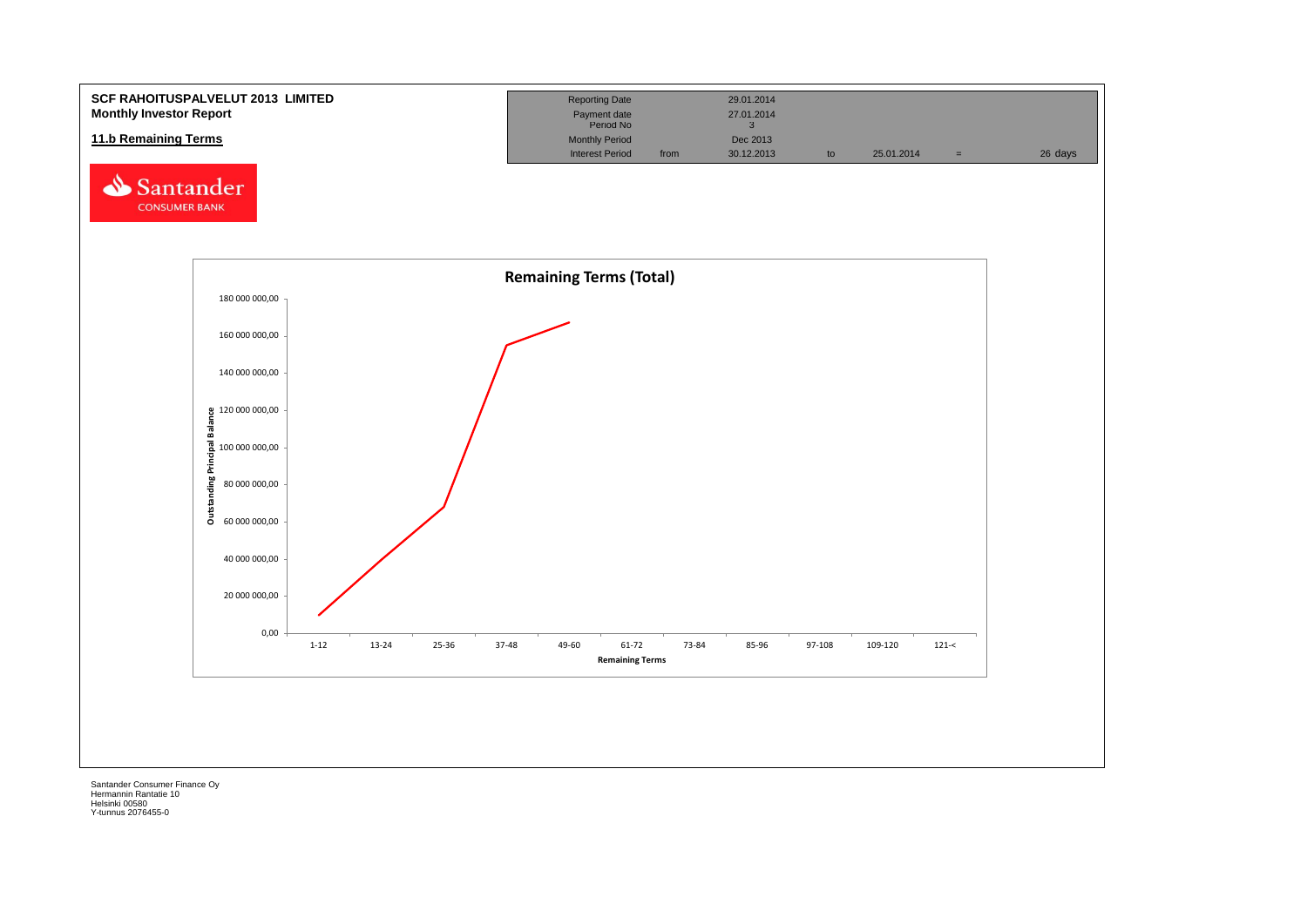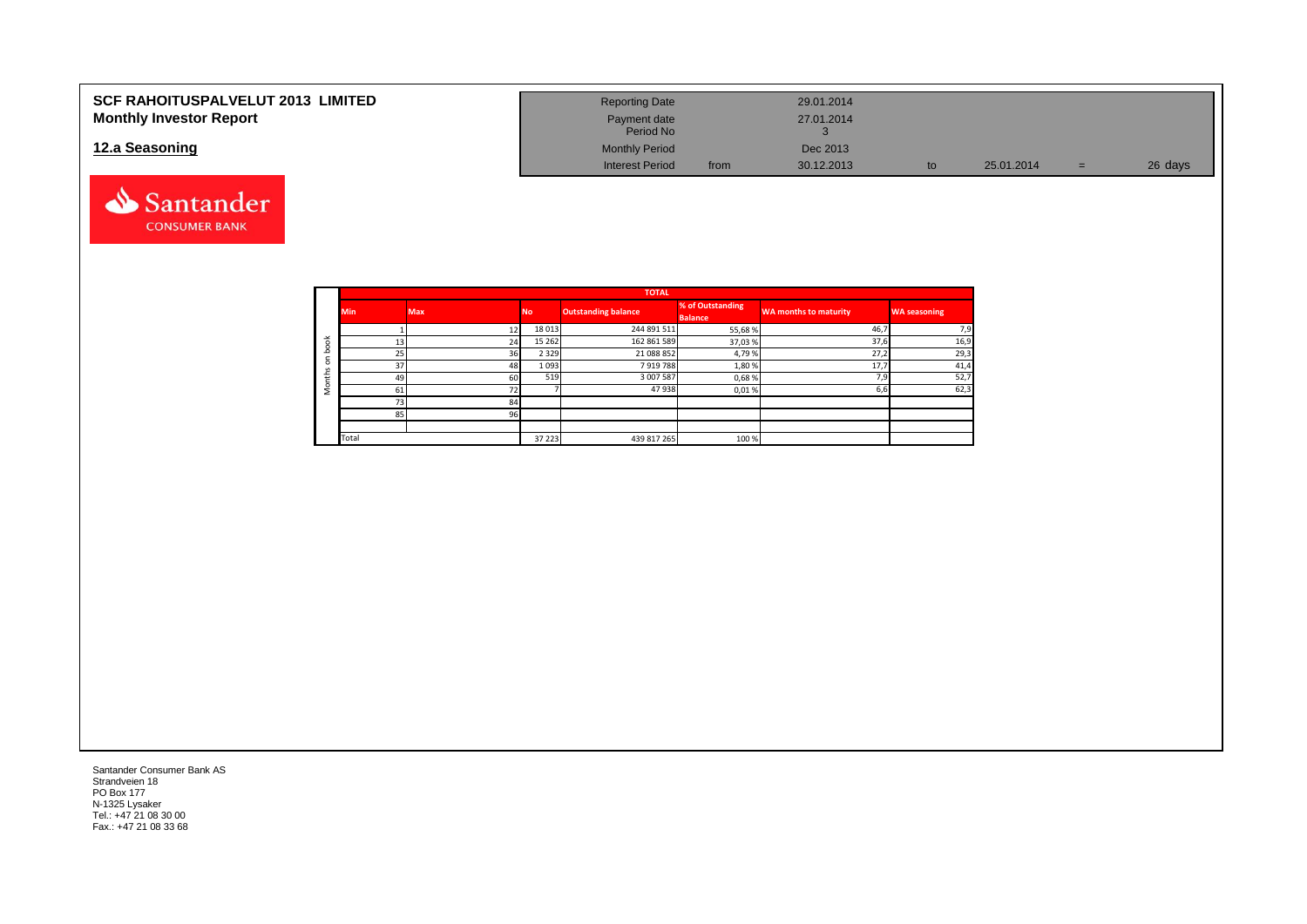| <b>SCF RAHOITUSPALVELUT 2013 LIMITED</b> | <b>Reporting Date</b>     | 29.01.2014         |    |            |     |         |
|------------------------------------------|---------------------------|--------------------|----|------------|-----|---------|
| <b>Monthly Investor Report</b>           | Payment date<br>Period No | 27.01.2014         |    |            |     |         |
| 12.a Seasoning                           | <b>Monthly Period</b>     | Dec 2013           |    |            |     |         |
|                                          | <b>Interest Period</b>    | 30.12.2013<br>from | to | 25.01.2014 | $=$ | 26 days |



|          |            |            |           | <b>TOTAL</b>               |                                    |                       |                     |
|----------|------------|------------|-----------|----------------------------|------------------------------------|-----------------------|---------------------|
|          | <b>Min</b> | <b>Max</b> | <b>No</b> | <b>Outstanding balance</b> | % of Outstanding<br><b>Balance</b> | WA months to maturity | <b>WA seasoning</b> |
|          |            |            | 18 013    | 244 891 511                | 55,68%                             | 46,7                  | 7,9                 |
| ¥        | 13         | 24         | 15 26 2   | 162 861 589                | 37,03%                             | 37,6                  | 16,9                |
|          | 25         | 36         | 2 3 2 9   | 21 088 852                 | 4,79%                              | 27,2                  | 29,3                |
| $\Omega$ | 37         | 48         | 1 0 9 3   | 7919788                    | 1,80%                              | 17.7                  | 41,4                |
| ⇇        | 49         | 60         | 519       | 3 007 587                  | 0,68%                              | 7.9                   | 52,7                |
|          | 61         |            |           | 47938                      | 0,01%                              | 6,6                   | 62,3                |
|          | 73         | 84         |           |                            |                                    |                       |                     |
|          | 85         | 96         |           |                            |                                    |                       |                     |
|          |            |            |           |                            |                                    |                       |                     |
|          | Total      |            | 37 223    | 439 817 265                | 100 %                              |                       |                     |

Santander Consumer Bank AS Strandveien 18 PO Box 177 N-1325 Lysaker Tel.: +47 21 08 30 00 Fax.: +47 21 08 33 68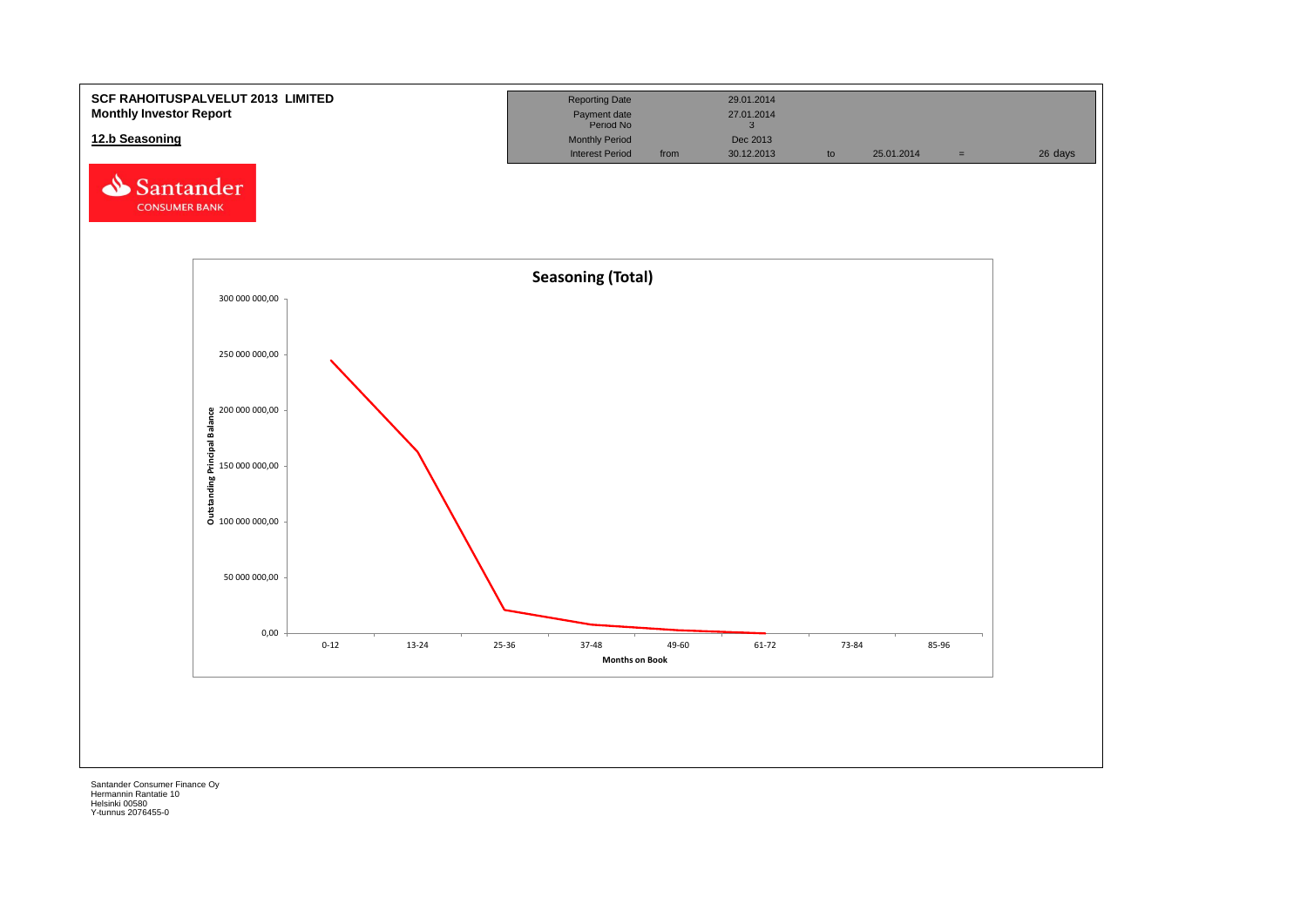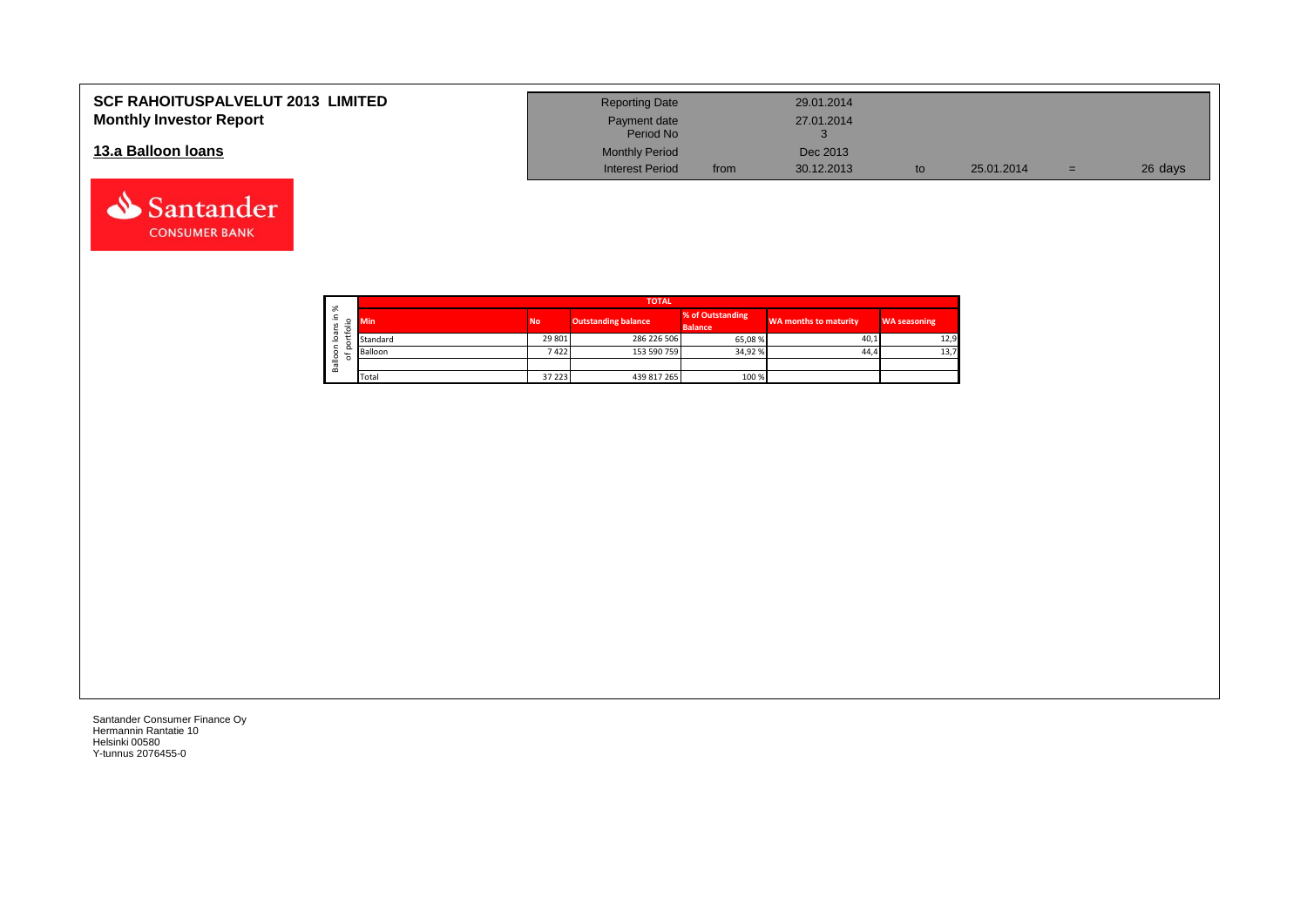| <b>SCF RAHOITUSPALVELUT 2013 LIMITED</b> | <b>Reporting Date</b>     |      | 29.01.2014 |            |     |         |
|------------------------------------------|---------------------------|------|------------|------------|-----|---------|
| <b>Monthly Investor Report</b>           | Payment date<br>Period No |      | 27.01.2014 |            |     |         |
| 13.a Balloon Ioans                       | <b>Monthly Period</b>     |      | Dec 2013   |            |     |         |
|                                          | <b>Interest Period</b>    | from | 30.12.2013 | 25.01.2014 | $=$ | 26 days |

┑

| ৯ৎ                     |            | <b>TOTAL</b> |                     |                                    |                              |                     |  |  |  |  |  |  |  |  |
|------------------------|------------|--------------|---------------------|------------------------------------|------------------------------|---------------------|--|--|--|--|--|--|--|--|
| ∸.<br>ິ<br>S<br>⋍<br>∽ | <b>Min</b> | <b>No</b>    | Outstanding balance | % of Outstanding<br><b>Balance</b> | <b>WA months to maturity</b> | <b>WA seasoning</b> |  |  |  |  |  |  |  |  |
| ᢐ<br>c<br>∘            | Standard   | 29 801       | 286 226 506         | 65,08 %                            | 40,1                         | 12,9                |  |  |  |  |  |  |  |  |
| ∽<br>۰<br>৳            | Balloon    | 7422         | 153 590 759         | 34,92 %                            | 44.4                         | 13,7                |  |  |  |  |  |  |  |  |
| ≗<br>B <sub>a</sub>    |            |              |                     |                                    |                              |                     |  |  |  |  |  |  |  |  |
|                        | Total      | 37 223       | 439 817 265         | 100 %                              |                              |                     |  |  |  |  |  |  |  |  |

Santander Consumer Finance Oy Hermannin Rantatie 10 Helsinki 00580 Y-tunnus 2076455-0

Santander **CONSUMER BANK**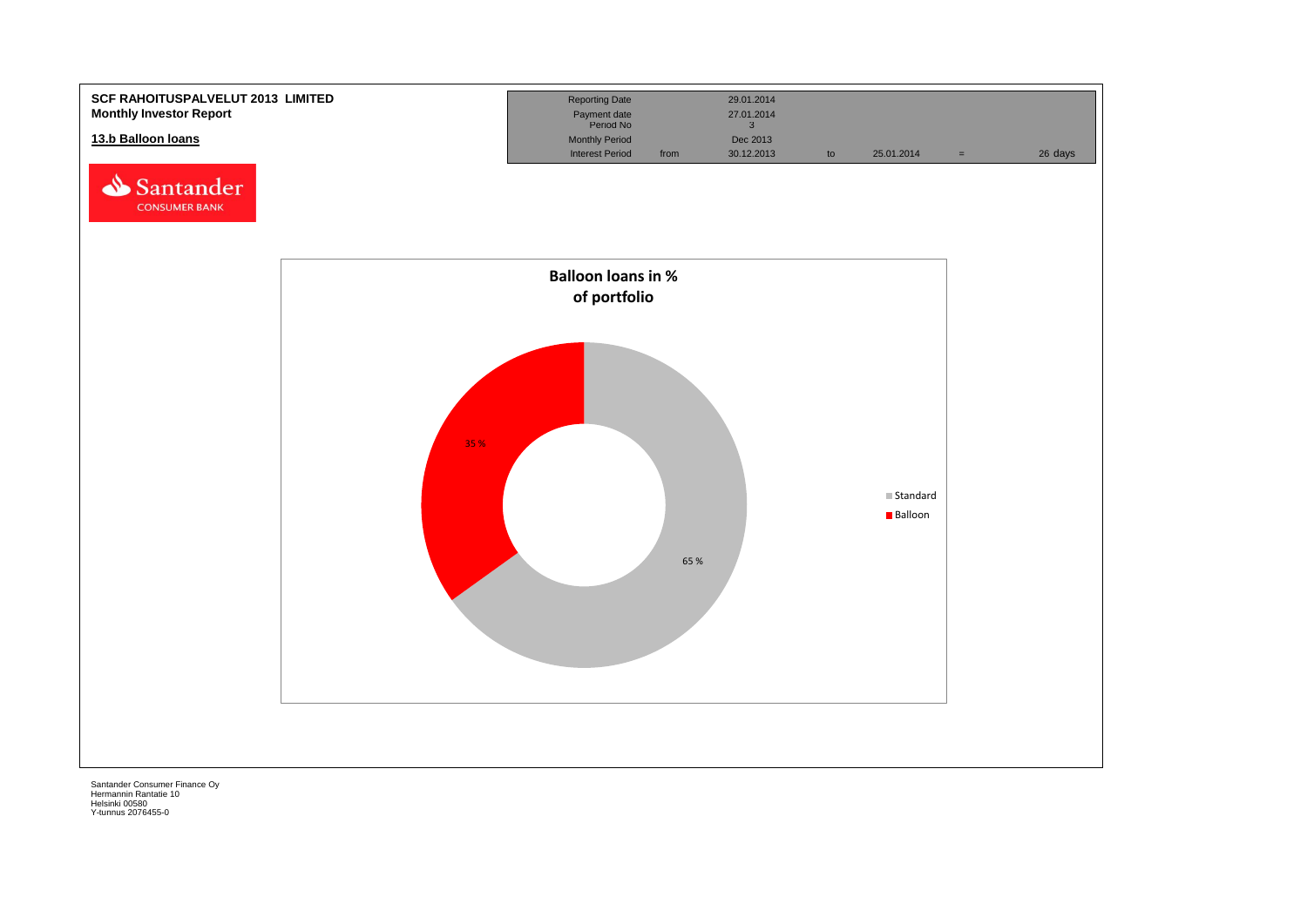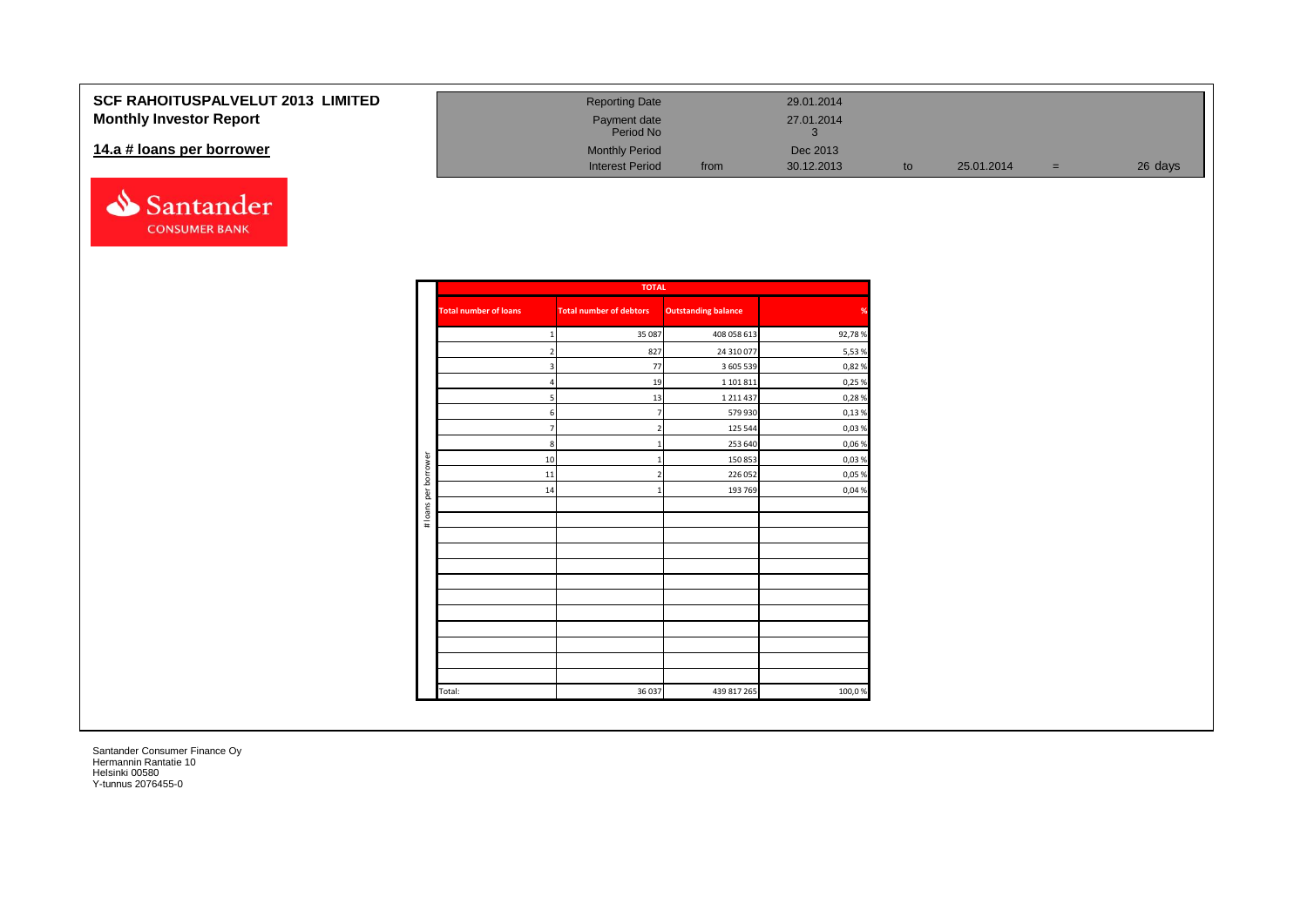# **SCF RAHOITUSPALVELUT Monthly Investor Report**

#### 14.a # loans per borrower



| 2013 LIMITED | <b>Reporting Date</b>     |      | 29.01.2014 |    |            |     |         |
|--------------|---------------------------|------|------------|----|------------|-----|---------|
|              | Payment date<br>Period No |      | 27.01.2014 |    |            |     |         |
|              | <b>Monthly Period</b>     |      | Dec 2013   |    |            |     |         |
|              | <b>Interest Period</b>    | from | 30.12.2013 | to | 25.01.2014 | $=$ | 26 days |

|                      |                              | <b>TOTAL</b>                   |                            |        |
|----------------------|------------------------------|--------------------------------|----------------------------|--------|
|                      | <b>Total number of loans</b> | <b>Total number of debtors</b> | <b>Outstanding balance</b> | %      |
|                      | 1                            | 35 087                         | 408 058 613                | 92,78% |
|                      | $\overline{2}$               | 827                            | 24 310 077                 | 5,53%  |
|                      | 3                            | 77                             | 3 605 539                  | 0,82%  |
|                      | $\overline{a}$               | 19                             | 1 101 811                  | 0,25%  |
|                      | 5                            | 13                             | 1 2 1 4 4 3 7              | 0,28%  |
|                      | 6                            | $\overline{7}$                 | 579 930                    | 0,13%  |
|                      | $\overline{7}$               | $\overline{2}$                 | 125 544                    | 0,03%  |
|                      | $\bf8$                       | $\mathbf{1}$                   | 253 640                    | 0,06%  |
|                      | 10                           | $\mathbf{1}$                   | 150 853                    | 0,03%  |
| # loans per borrower | $11\,$                       | $\overline{2}$                 | 226 052                    | 0,05 % |
|                      | 14                           | $\mathbf 1$                    | 193 769                    | 0,04%  |
|                      |                              |                                |                            |        |
|                      |                              |                                |                            |        |
|                      |                              |                                |                            |        |
|                      |                              |                                |                            |        |
|                      |                              |                                |                            |        |
|                      |                              |                                |                            |        |
|                      |                              |                                |                            |        |
|                      |                              |                                |                            |        |
|                      |                              |                                |                            |        |
|                      |                              |                                |                            |        |
|                      |                              |                                |                            |        |
|                      |                              |                                |                            |        |
|                      | Total:                       | 36 037                         | 439 817 265                | 100,0% |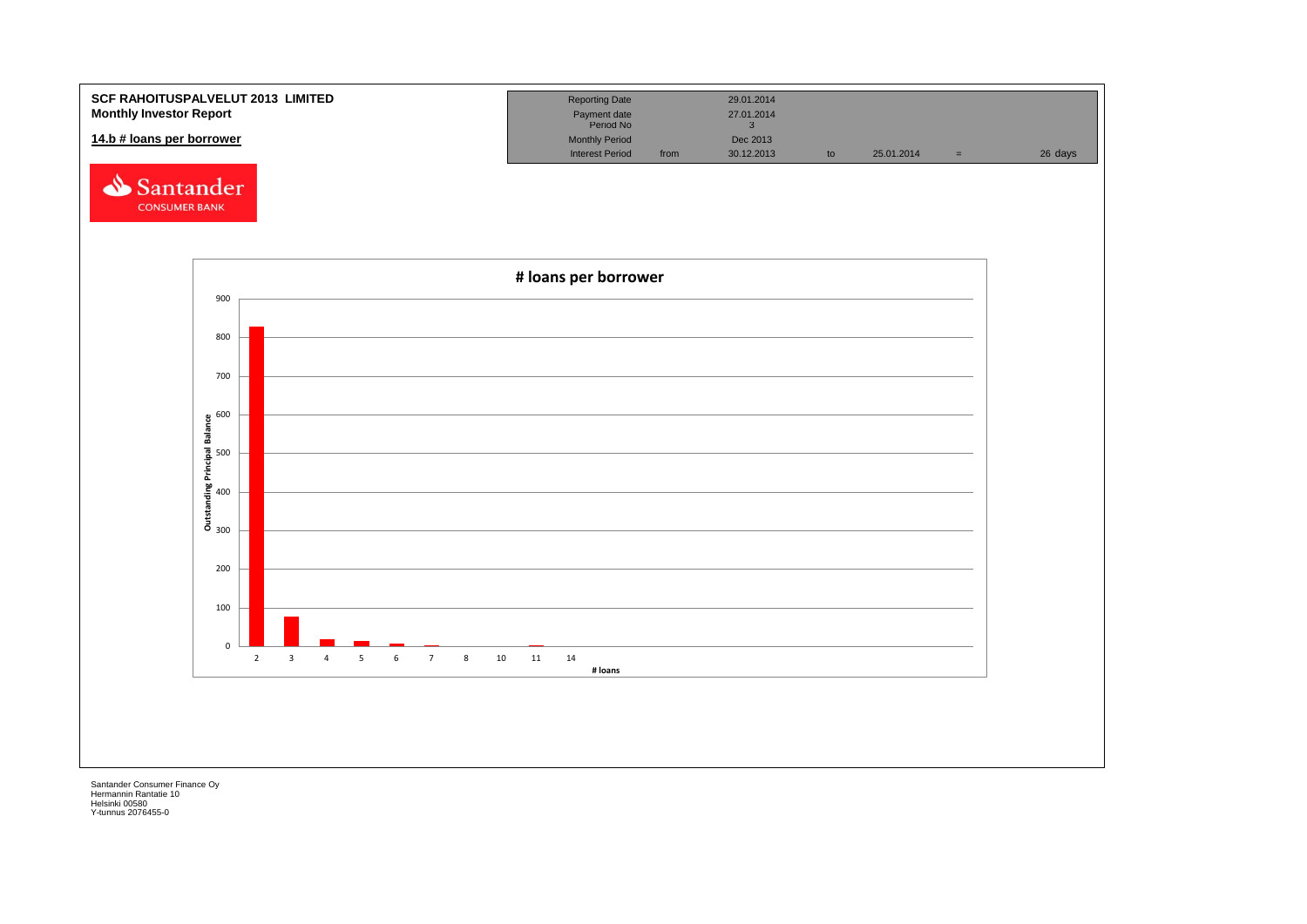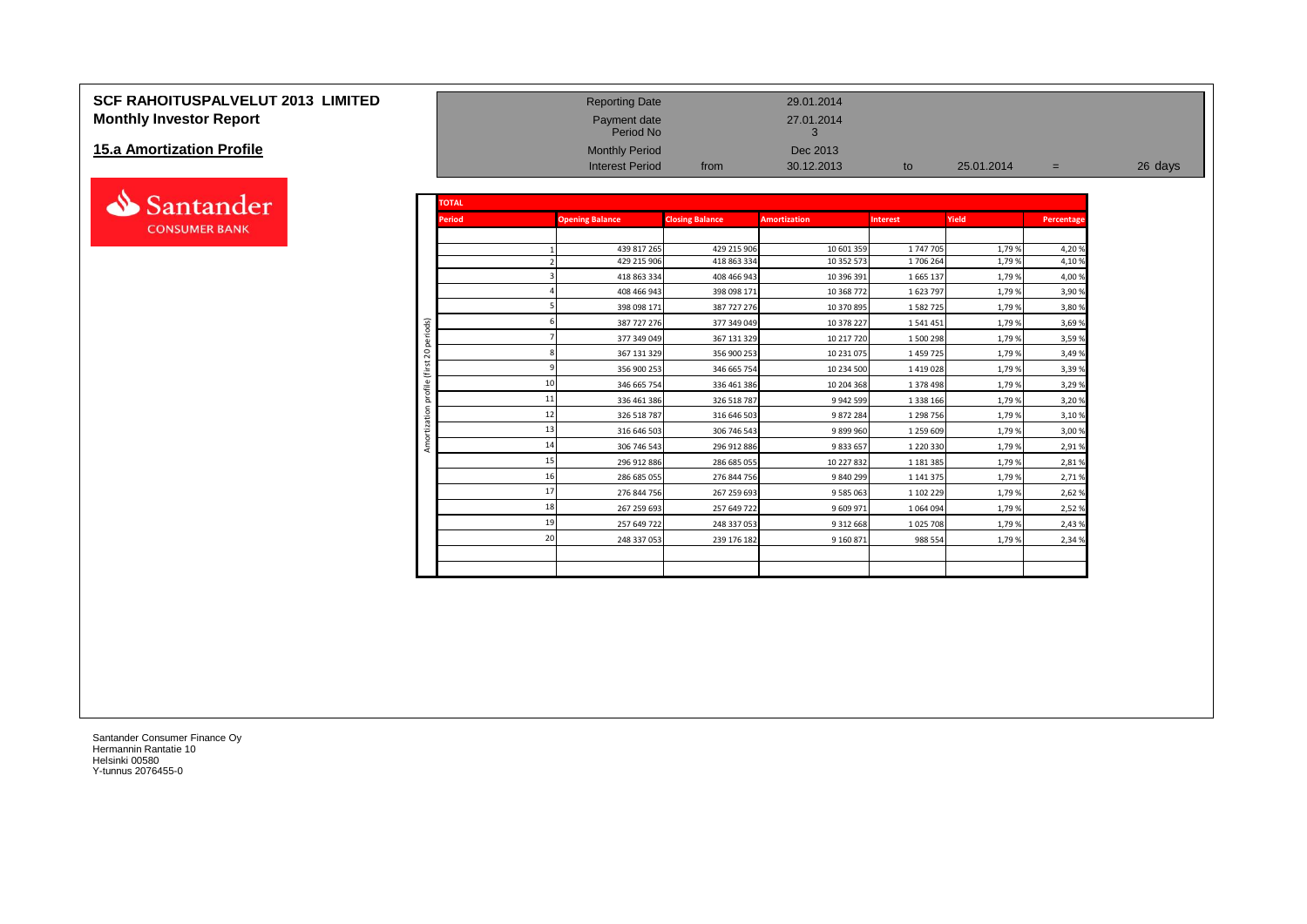# **SCF RAHOITUSPALVELUT 2013 LIMITED** Reporting Date 29.01.2014 **Monthly Investor Report Payment date** 27.01.2014

#### **15.a Amortization Profile**



|                                   |                |               | Period No              |                        | 3                   |                 |            |            |         |
|-----------------------------------|----------------|---------------|------------------------|------------------------|---------------------|-----------------|------------|------------|---------|
| <b>15.a Amortization Profile</b>  |                |               | <b>Monthly Period</b>  |                        | Dec 2013            |                 |            |            |         |
|                                   |                |               | <b>Interest Period</b> | from                   | 30.12.2013          | to              | 25.01.2014 | $=$        | 26 days |
|                                   |                |               |                        |                        |                     |                 |            |            |         |
|                                   |                | <b>TOTAL</b>  |                        |                        |                     |                 |            |            |         |
|                                   |                | <b>Period</b> | <b>Opening Balance</b> | <b>Closing Balance</b> | <b>Amortization</b> | <b>Interest</b> | Yield      | Percentage |         |
| Santander<br><b>CONSUMER BANK</b> |                |               |                        |                        |                     |                 |            |            |         |
|                                   |                |               | 439 817 265            | 429 215 906            | 10 601 359          | 1 747 705       | 1,79 %     | 4,20%      |         |
|                                   |                |               | 429 215 906            | 418 863 334            | 10 352 573          | 1706 264        | 1,79%      | 4,10%      |         |
|                                   |                |               | 418 863 334            | 408 466 943            | 10 396 391          | 1 665 137       | 1,79%      | 4,00%      |         |
|                                   |                |               | 408 466 943            | 398 098 171            | 10 368 772          | 1 623 797       | 1,79 %     | 3,90%      |         |
|                                   |                |               | 398 098 171            | 387 727 276            | 10 370 895          | 1 582 725       | 1,79 %     | 3,80%      |         |
|                                   | periods)       |               | 387 727 276            | 377 349 049            | 10 378 227          | 1541451         | 1,79 %     | 3,69%      |         |
|                                   |                |               | 377 349 049            | 367 131 329            | 10 217 720          | 1 500 298       | 1,79%      | 3,59%      |         |
|                                   | $\overline{c}$ |               | 367 131 329            | 356 900 253            | 10 231 075          | 1 459 725       | 1,79 %     | 3,49%      |         |
|                                   | $\overline{ }$ |               | 356 900 253            | 346 665 754            | 10 234 500          | 1 4 1 9 0 2 8   | 1,79%      | 3,39%      |         |
|                                   | ്ധ<br>Fil      |               | 346 665 754            | 336 461 386            | 10 204 368          | 1 378 498       | 1,79%      | 3,29%      |         |
|                                   | ă              |               | 336 461 386            | 326 518 787            | 9 9 4 2 5 9 9       | 1 3 3 1 1 6 6   | 1,79%      | 3,20%      |         |
|                                   |                |               | 326 518 787            | 316 646 503            | 9872284             | 1 298 756       | 1,79 %     | 3,10%      |         |
|                                   |                | 13            | 316 646 503            | 306 746 543            | 9899960             | 1 259 609       | 1,79 %     | 3,00 %     |         |
|                                   | Amo            | 14            | 306 746 543            | 296 912 886            | 9833657             | 1 220 330       | 1,79 %     | 2,91%      |         |
|                                   |                |               | 296 912 886            | 286 685 055            | 10 227 832          | 1 181 385       | 1,79 %     | 2,81%      |         |
|                                   |                | 16            | 286 685 055            | 276 844 756            | 9 840 299           | 1 141 375       | 1,79 %     | 2,71%      |         |
|                                   |                |               | 276 844 756            | 267 259 693            | 9 5 8 5 0 6 3       | 1 102 229       | 1,79 %     | 2,62%      |         |
|                                   |                | 18            | 267 259 693            | 257 649 722            | 9 609 971           | 1 0 6 4 0 9 4   | 1,79 %     | 2,52%      |         |
|                                   |                | 19            | 257 649 722            | 248 337 053            | 9 3 1 2 6 6 8       | 1 0 25 7 08     | 1,79 %     | 2,43%      |         |
|                                   |                | 20            | 248 337 053            | 239 176 182            | 9 160 871           | 988 554         | 1,79%      | 2,34 %     |         |
|                                   |                |               |                        |                        |                     |                 |            |            |         |
|                                   |                |               |                        |                        |                     |                 |            |            |         |
|                                   |                |               |                        |                        |                     |                 |            |            |         |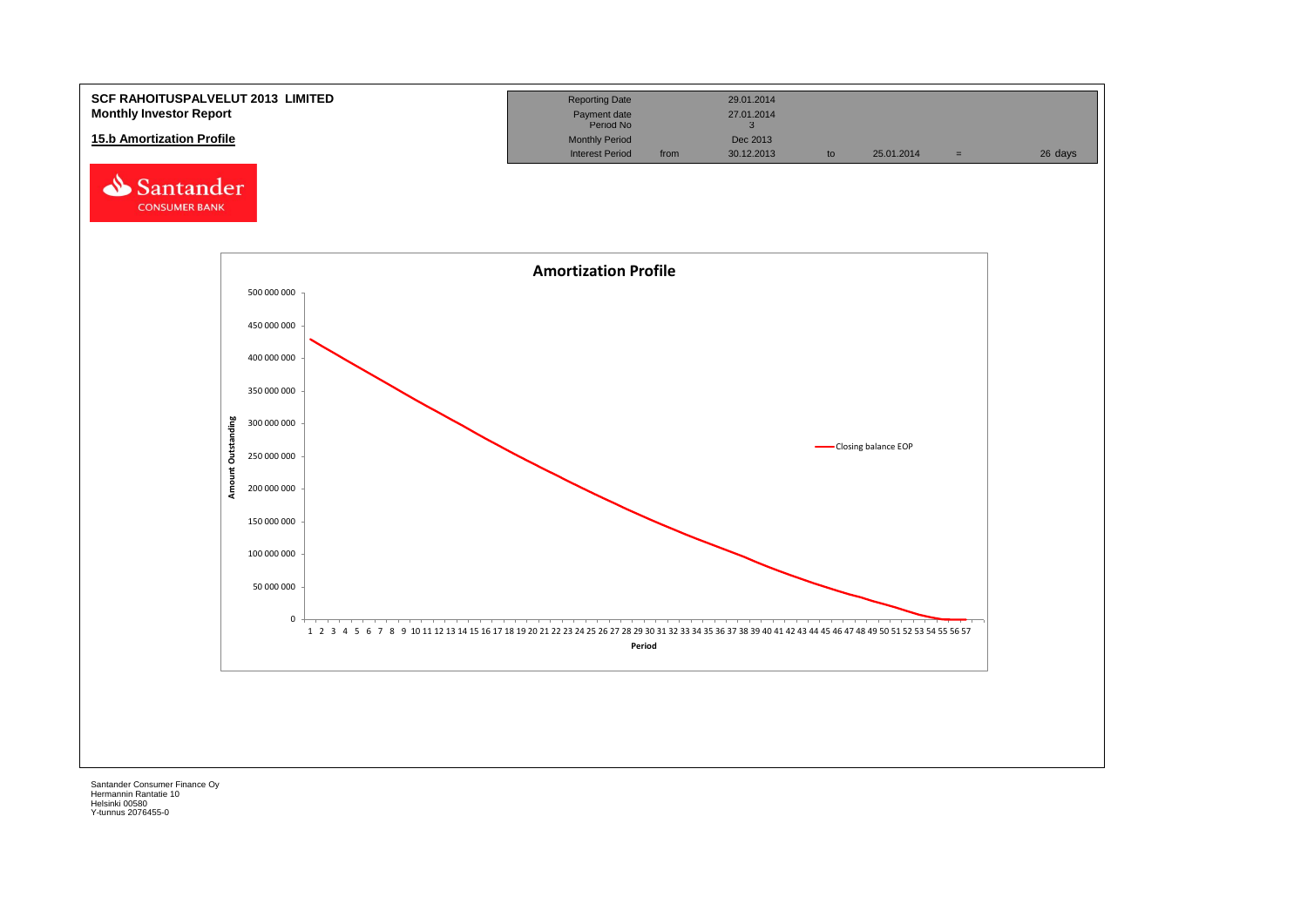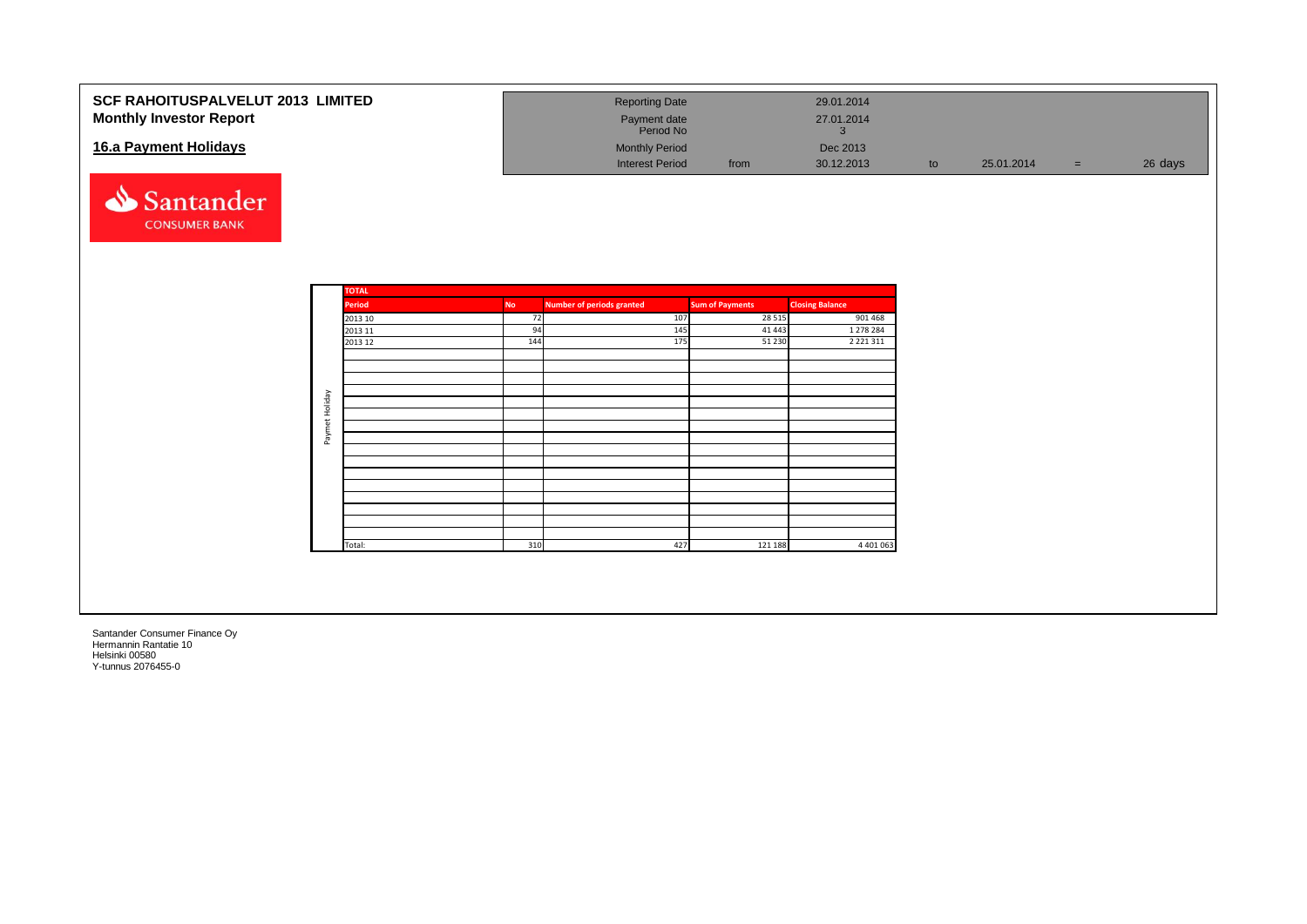| SCF RAHOITUSPALVELUT 2013 LIMITED<br><b>Monthly Investor Report</b> |           | <b>Reporting Date</b><br>Payment date<br>Period No |                        | 29.01.2014<br>27.01.2014<br>$\mathbf{3}$ |    |            |                |
|---------------------------------------------------------------------|-----------|----------------------------------------------------|------------------------|------------------------------------------|----|------------|----------------|
| 16.a Payment Holidays                                               |           | <b>Monthly Period</b><br><b>Interest Period</b>    | from                   | Dec 2013<br>30.12.2013                   | to | 25.01.2014 | 26 days<br>$=$ |
| Santander<br><b>CONSUMER BANK</b>                                   |           |                                                    |                        |                                          |    |            |                |
| <b>TOTAL</b>                                                        |           |                                                    |                        |                                          |    |            |                |
| <b>Period</b>                                                       | <b>No</b> | <b>Number of periods granted</b>                   | <b>Sum of Payments</b> | <b>Closing Balance</b>                   |    |            |                |
| 2013 10<br>2013 11                                                  | 72<br>94  | 107<br>145                                         | 28 5 15<br>41 4 43     | 901 468<br>1 278 284                     |    |            |                |
| 2013 12                                                             | 144       | 175                                                | 51 230                 | 2 2 2 1 3 1 1                            |    |            |                |
|                                                                     |           |                                                    |                        |                                          |    |            |                |
|                                                                     |           |                                                    |                        |                                          |    |            |                |
|                                                                     |           |                                                    |                        |                                          |    |            |                |
|                                                                     |           |                                                    |                        |                                          |    |            |                |
| Paymet Holiday                                                      |           |                                                    |                        |                                          |    |            |                |
|                                                                     |           |                                                    |                        |                                          |    |            |                |
|                                                                     |           |                                                    |                        |                                          |    |            |                |
|                                                                     |           |                                                    |                        |                                          |    |            |                |
|                                                                     |           |                                                    |                        |                                          |    |            |                |
|                                                                     |           |                                                    |                        |                                          |    |            |                |
|                                                                     |           |                                                    |                        |                                          |    |            |                |
|                                                                     |           |                                                    |                        |                                          |    |            |                |
|                                                                     |           |                                                    |                        |                                          |    |            |                |
| Total:                                                              | 310       | 427                                                | 121 188                | 4 4 0 1 0 6 3                            |    |            |                |
|                                                                     |           |                                                    |                        |                                          |    |            |                |
|                                                                     |           |                                                    |                        |                                          |    |            |                |
|                                                                     |           |                                                    |                        |                                          |    |            |                |
|                                                                     |           |                                                    |                        |                                          |    |            |                |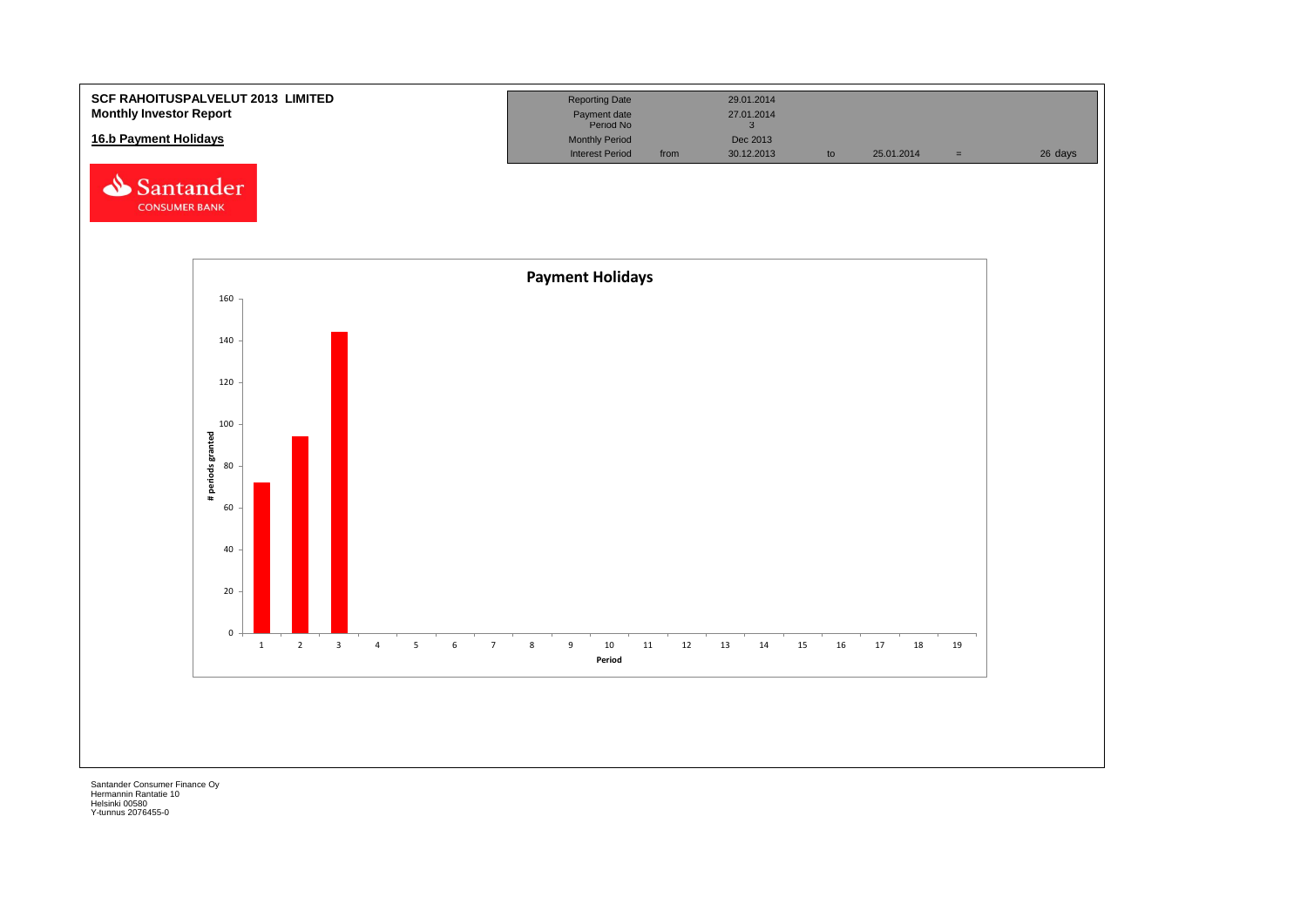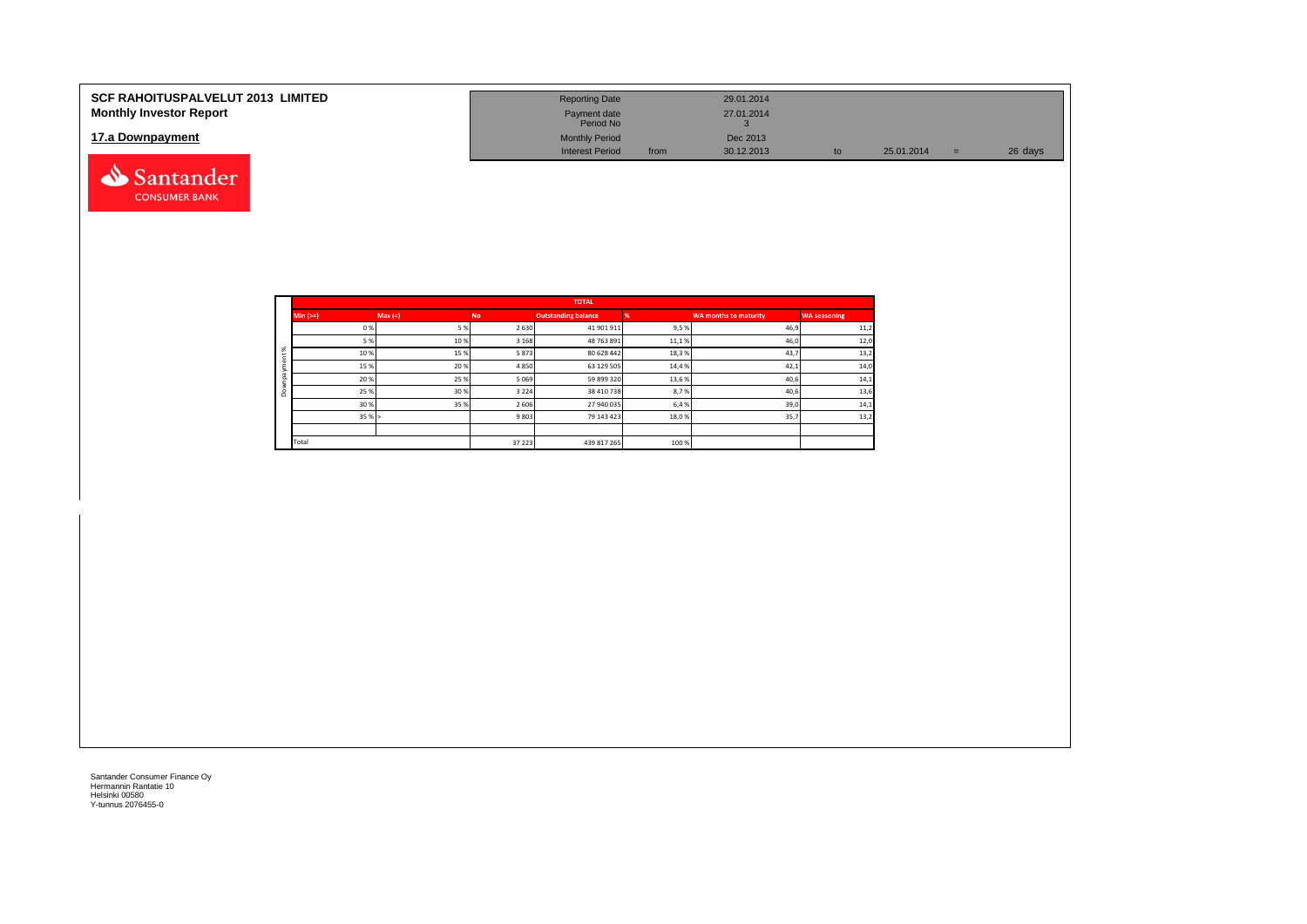| <b>SCF RAHOITUSPALVELUT 2013 LIMITED</b><br><b>Monthly Investor Report</b> | <b>Reporting Date</b><br>Payment date<br>Period No |      | 29.01.2014<br>27.01.2014 |    |            |          |         |
|----------------------------------------------------------------------------|----------------------------------------------------|------|--------------------------|----|------------|----------|---------|
| 17.a Downpayment                                                           | <b>Monthly Period</b><br><b>Interest Period</b>    | from | Dec 2013<br>30.12.2013   | tc | 25.01.2014 | $\equiv$ | 26 days |
| Santander                                                                  |                                                    |      |                          |    |            |          |         |

|           |            |         |         | <b>TOTAL</b>               |       |                              |                     |
|-----------|------------|---------|---------|----------------------------|-------|------------------------------|---------------------|
|           | Min $(>=)$ | Max (<) | No.     | <b>Outstanding balance</b> |       | <b>WA months to maturity</b> | <b>WA seasoning</b> |
|           | 0%         | 5 %     | 2 6 3 0 | 41 901 911                 | 9,5 % | 46,9                         | 11,2                |
|           | 5 %        | 10%     | 3 1 6 8 | 48 763 891                 | 11,1% | 46,0                         | 12,0                |
| $\aleph$  | 10%        | 15%     | 5873    | 80 628 442                 | 18,3% | 43,7                         | 13,2                |
|           | 15 %       | 20%     | 4850    | 63 129 505                 | 14,4% | 42,1                         | 14,0                |
| $\bar{a}$ | 20%        | 25 %    | 5 0 6 9 | 59 899 320                 | 13,6% | 40,6                         | 14,1                |
| $\circ$   | 25 %       | 30 %    | 3 2 2 4 | 38 410 738                 | 8,7%  | 40,6                         | 13,6                |
|           | 30 %       | 35 %    | 2 6 0 6 | 27 940 035                 | 6,4 % | 39,0                         | 14,1                |
|           | 35%        |         | 9803    | 79 143 423                 | 18,0% | 35,7                         | 13,2                |
|           |            |         |         |                            |       |                              |                     |
|           | Total      |         | 37 223  | 439 817 265                | 100 % |                              |                     |

**CONSUMER BANK**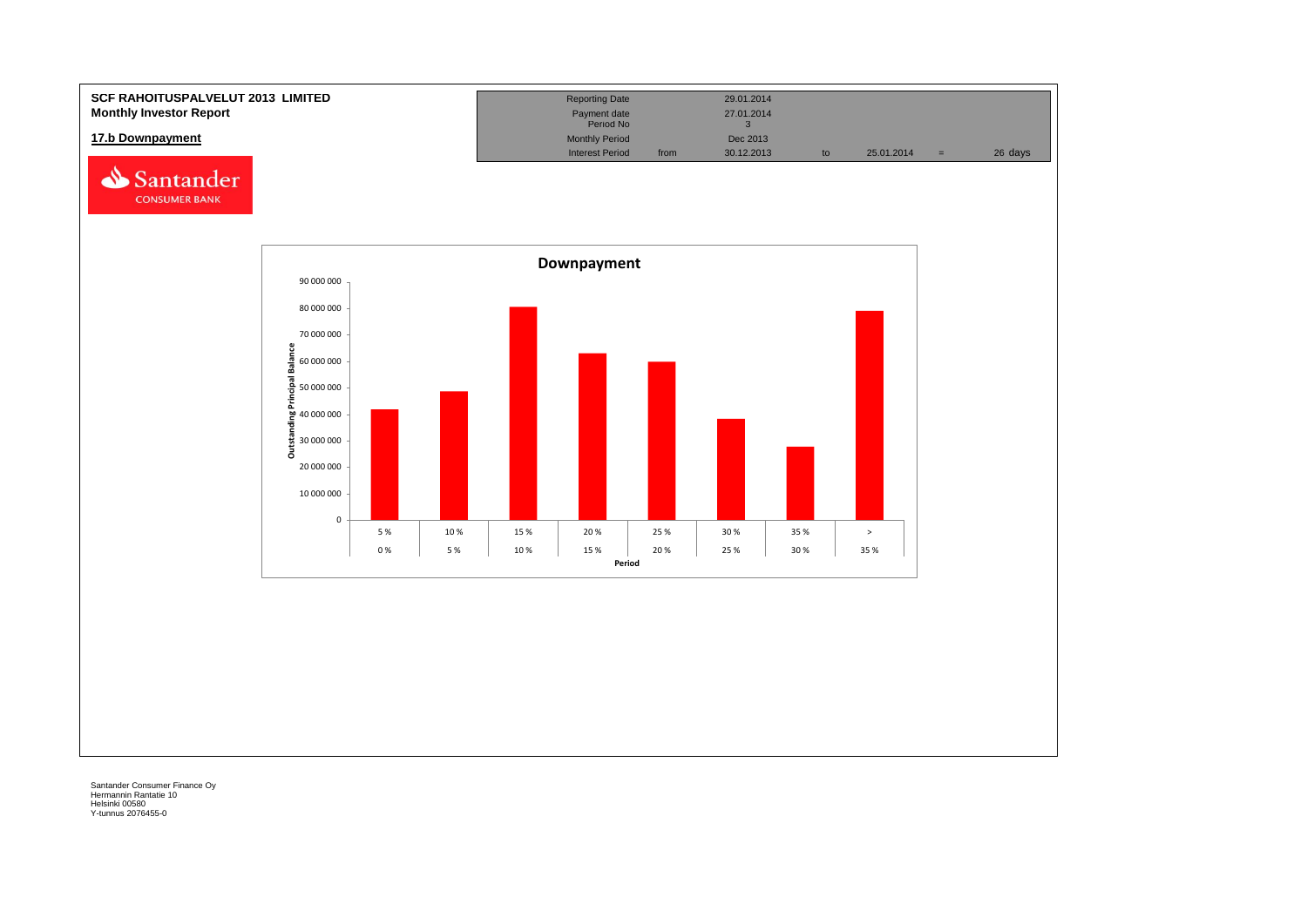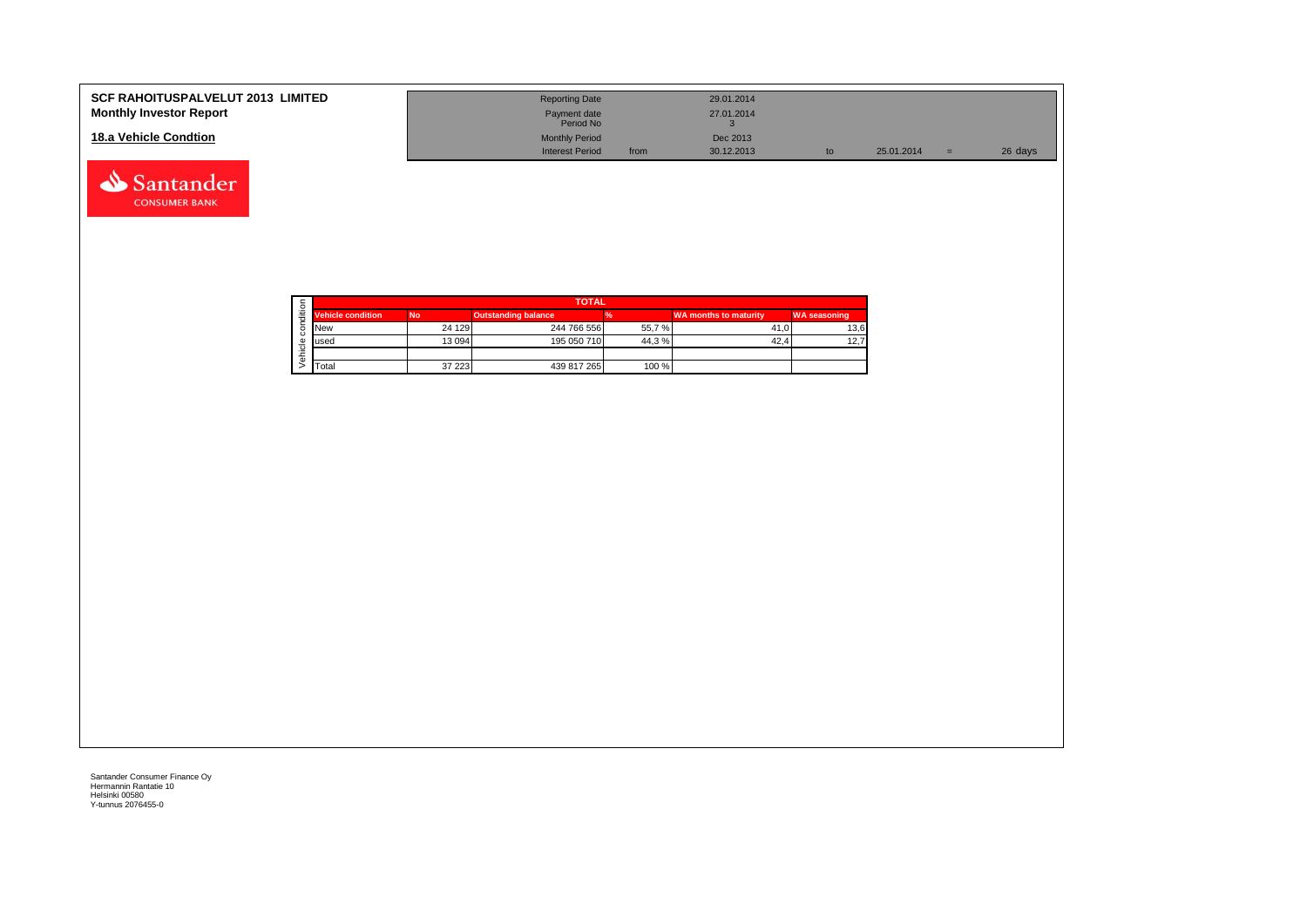| <b>SCF RAHOITUSPALVELUT 2013 LIMITED</b><br><b>Monthly Investor Report</b> | <b>Reporting Date</b><br>Payment date | 29.01.2014<br>27.01.2014 |    |            |     |         |
|----------------------------------------------------------------------------|---------------------------------------|--------------------------|----|------------|-----|---------|
|                                                                            | Period No                             |                          |    |            |     |         |
| 18.a Vehicle Condtion                                                      | <b>Monthly Period</b>                 | Dec 2013                 |    |            |     |         |
|                                                                            | <b>Interest Period</b>                | 30.12.2013<br>from       | to | 25.01.2014 | $=$ | 26 days |

|   |                          |           | <b>TOTAL</b>               |       |                              |                     |
|---|--------------------------|-----------|----------------------------|-------|------------------------------|---------------------|
| ÷ | <b>Vehicle condition</b> | <b>No</b> | <b>Outstanding balance</b> |       | <b>WA months to maturity</b> | <b>WA seasoning</b> |
|   | <b>New</b>               | 24 129    | 244 766 556                | 55,7% | 41.0                         | 13,6                |
|   | lused                    | 13 0 94   | 195 050 710                | 44.3% | 42.4                         | 12,7                |
|   |                          |           |                            |       |                              |                     |
|   | Total                    | 37 223    | 439 817 265                | 100 % |                              |                     |

Santander **CONSUMER BANK**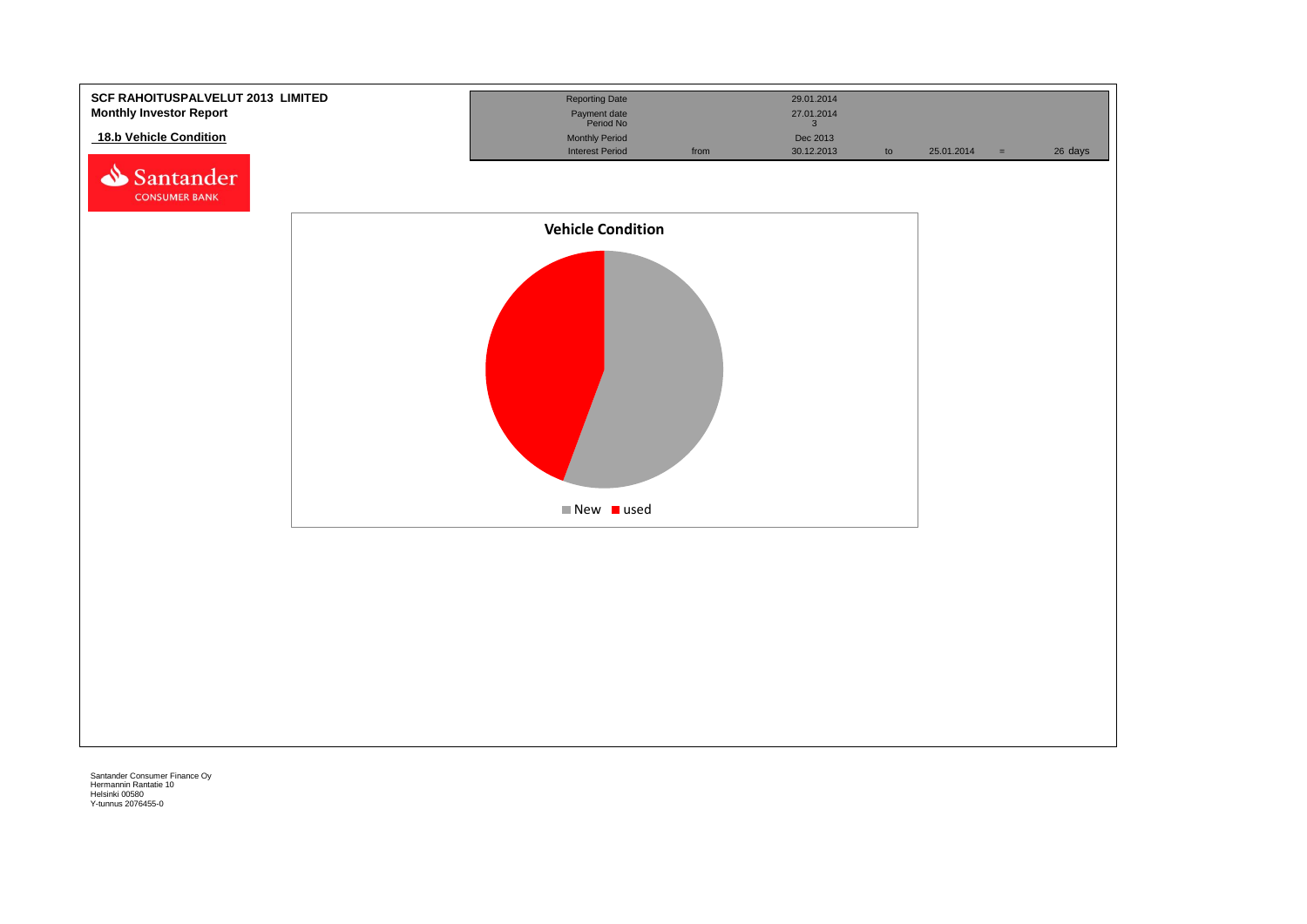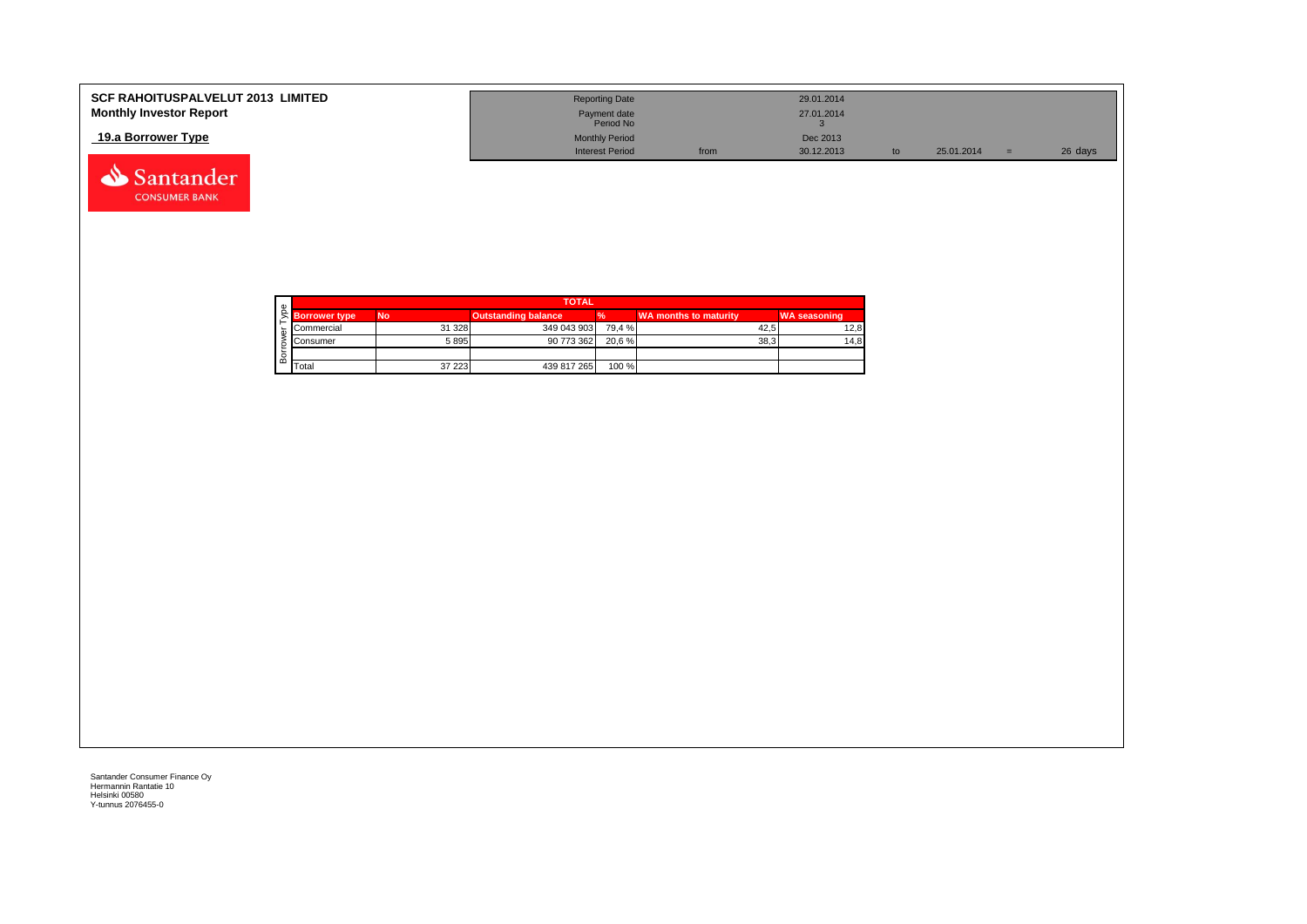| <b>SCF RAHOITUSPALVELUT 2013 LIMITED</b> | <b>Reporting Date</b>     |      | 29.01.2014 |            |         |
|------------------------------------------|---------------------------|------|------------|------------|---------|
| <b>Monthly Investor Report</b>           | Payment date<br>Period No |      | 27.01.2014 |            |         |
| 19.a Borrower Type                       | <b>Monthly Period</b>     |      | Dec 2013   |            |         |
|                                          | <b>Interest Period</b>    | from | 30.12.2013 | 25.01.2014 | 26 days |



|   |                      |           | <b>TOTAL</b>               |        |                       |                     |
|---|----------------------|-----------|----------------------------|--------|-----------------------|---------------------|
|   | <b>Borrower type</b> | <b>No</b> | <b>Outstanding balance</b> |        | WA months to maturity | <b>WA seasoning</b> |
|   | Commercial           | 31 328    | 349 043 903                | 79.4 % | 42.5                  | 12,8                |
|   | Consumer             | 5895      | 90 773 362                 | 20.6 % | 38.3                  | 14,8                |
|   |                      |           |                            |        |                       |                     |
| മ | Total                | 37 223    | 439 817 265                | 100 %  |                       |                     |

Santander **CONSUMER BANK**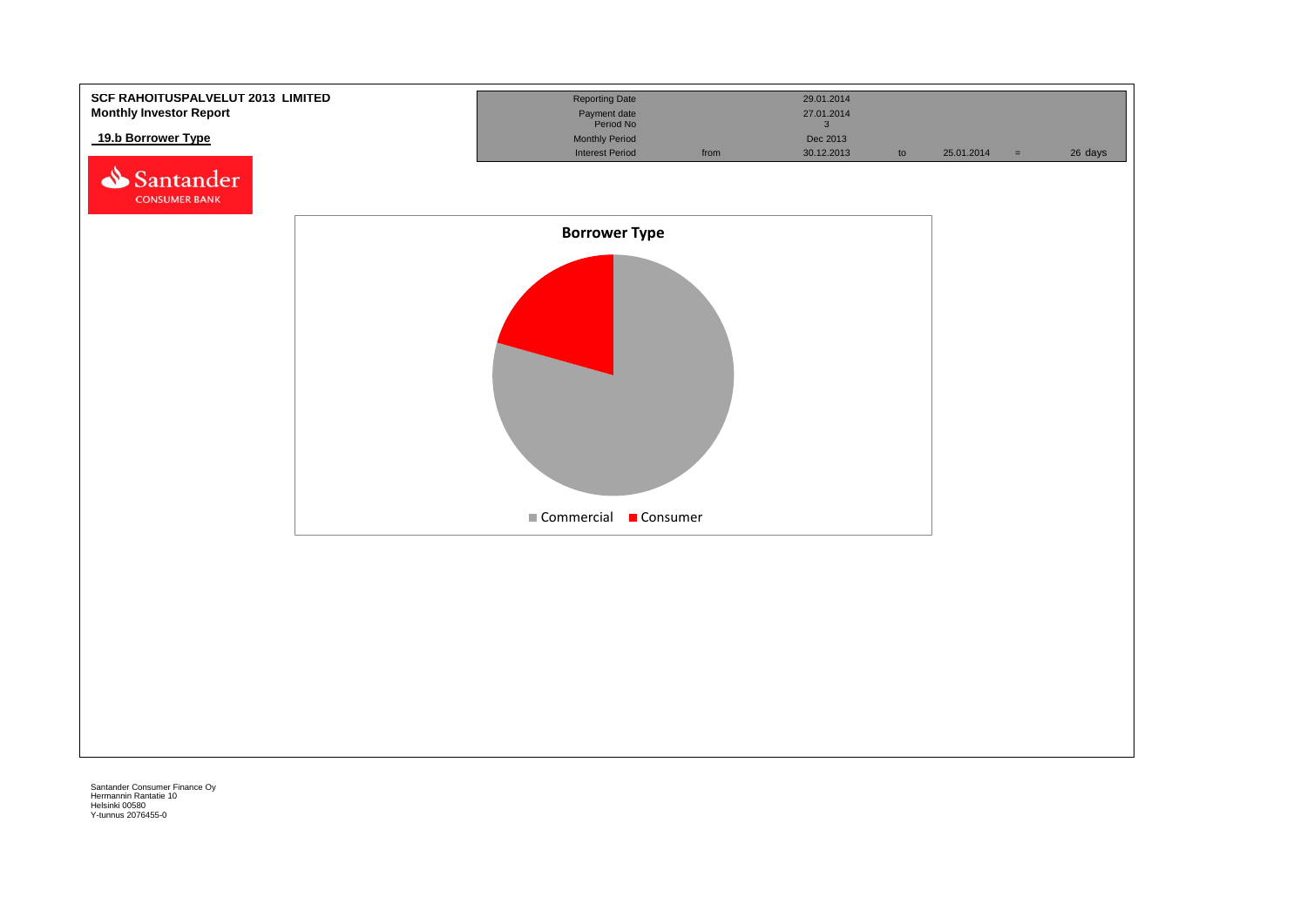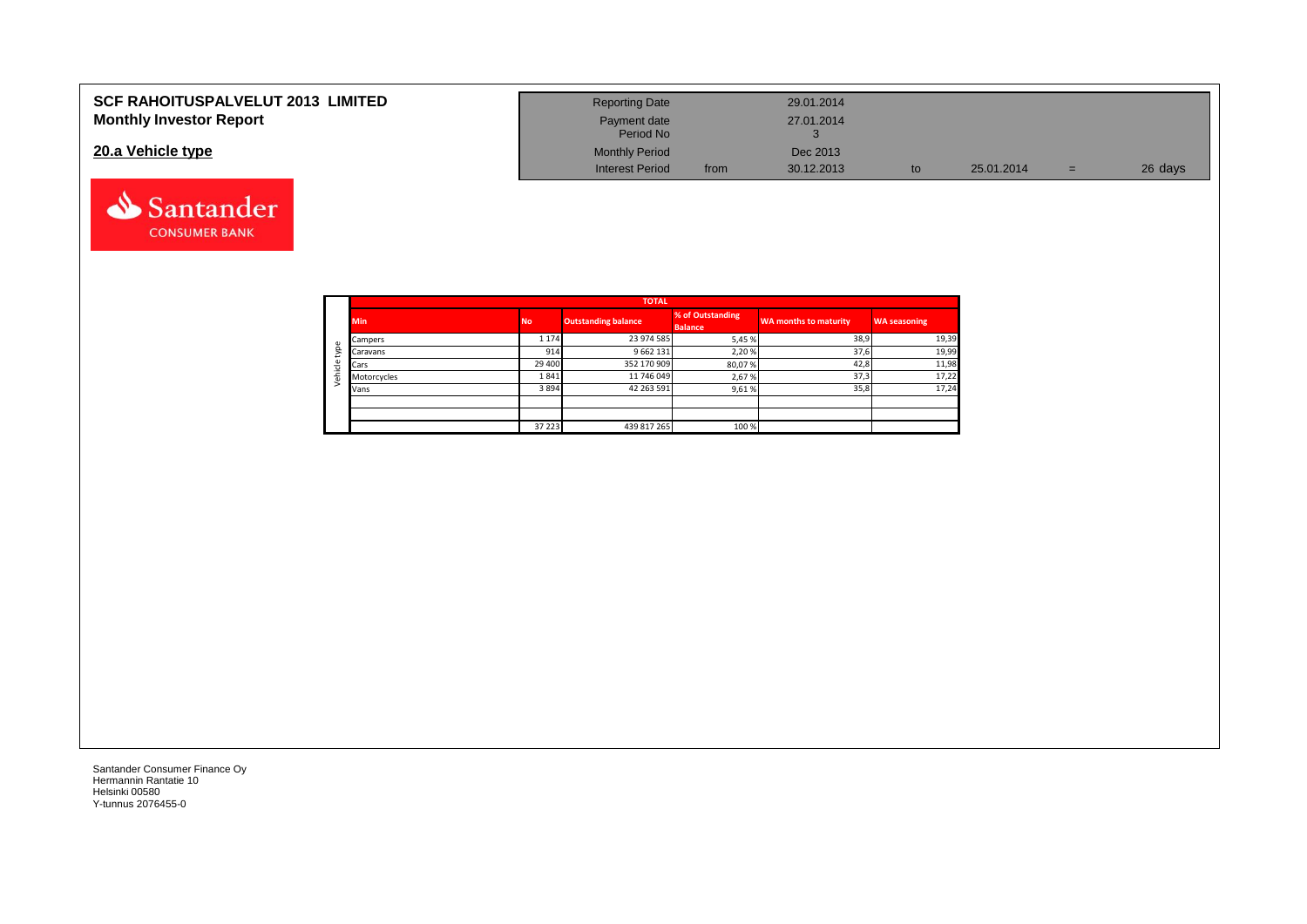| <b>SCF RAHOITUSPALVELUT 2013 LIMITED</b> | <b>Reporting Date</b>     |      | 29.01.2014 |            |     |         |
|------------------------------------------|---------------------------|------|------------|------------|-----|---------|
| <b>Monthly Investor Report</b>           | Payment date<br>Period No |      | 27.01.2014 |            |     |         |
| 20.a Vehicle type                        | <b>Monthly Period</b>     |      | Dec 2013   |            |     |         |
|                                          | <b>Interest Period</b>    | from | 30.12.2013 | 25.01.2014 | $=$ | 26 days |



Santander **CONSUMER BANK**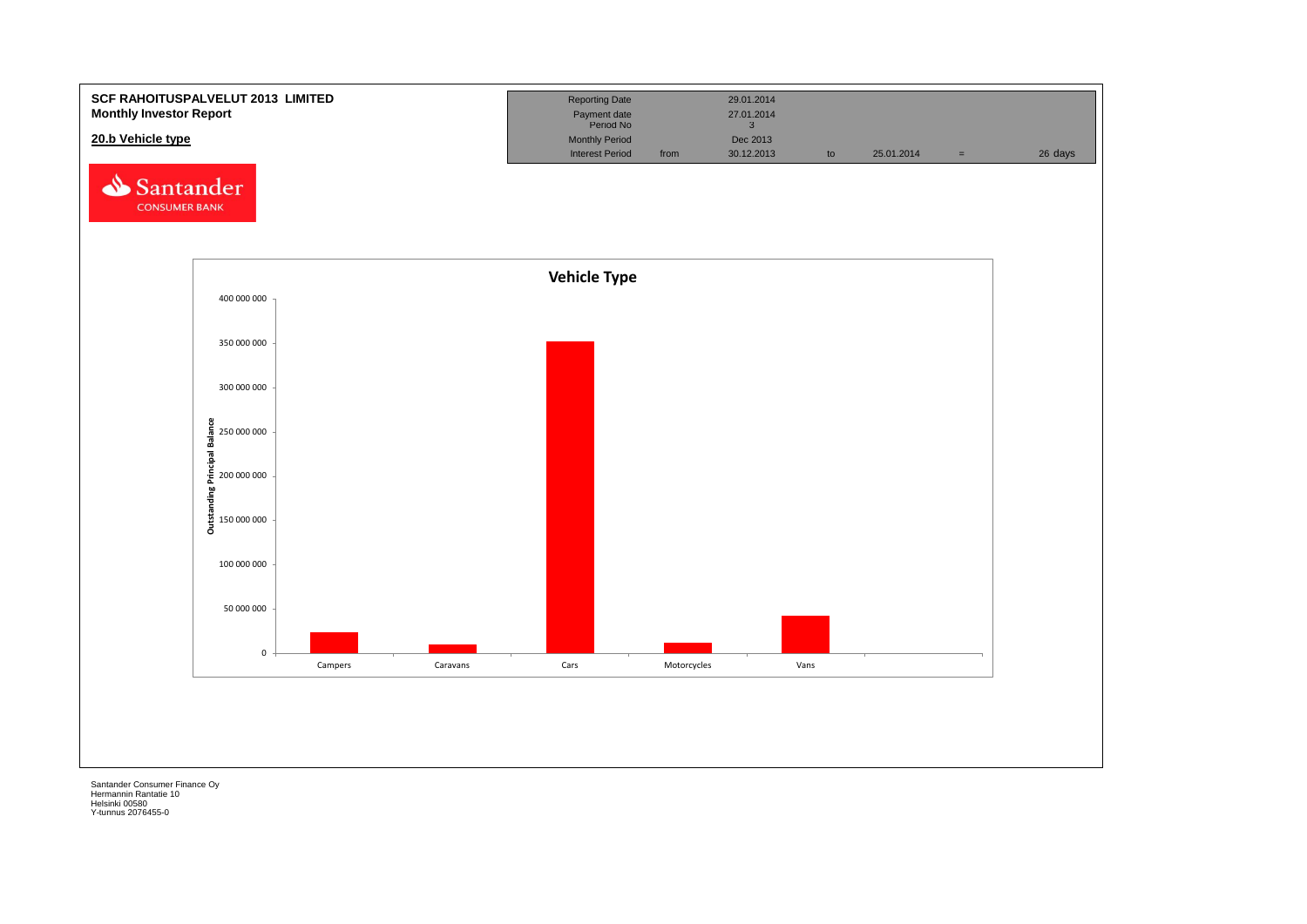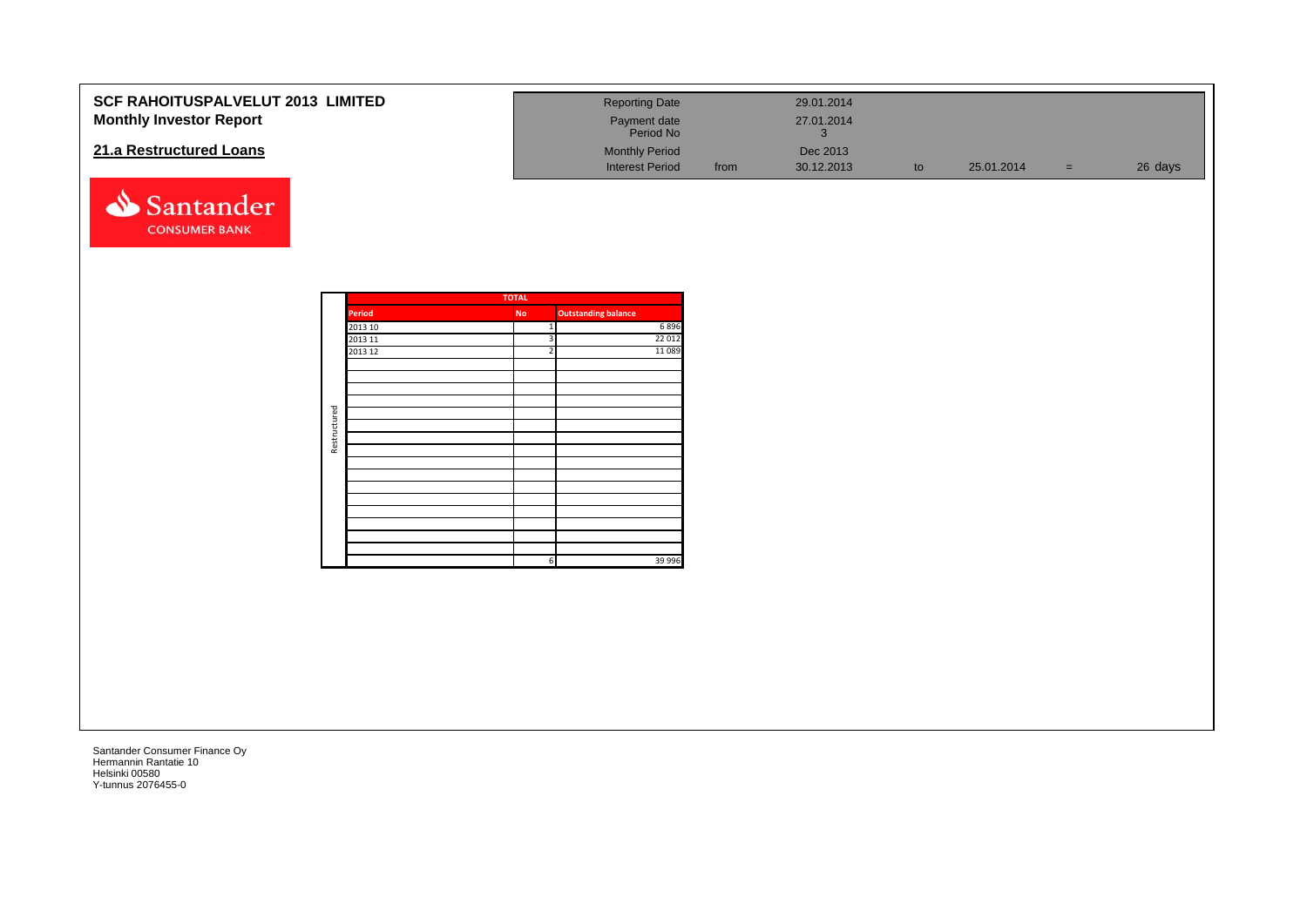| <b>SCF RAHOITUSPALVELUT 2013 LIMITED</b><br><b>Monthly Investor Report</b> |                    |                                  | <b>Reporting Date</b><br>Payment date<br>Period No |      | 29.01.2014<br>27.01.2014<br>$\mathbf{3}$ |                        |            |          |         |
|----------------------------------------------------------------------------|--------------------|----------------------------------|----------------------------------------------------|------|------------------------------------------|------------------------|------------|----------|---------|
| 21.a Restructured Loans                                                    |                    |                                  | <b>Monthly Period</b><br><b>Interest Period</b>    | from | Dec 2013<br>30.12.2013                   | $\mathop{\mathsf{to}}$ | 25.01.2014 | $=$ $\,$ | 26 days |
| Santander<br><b>CONSUMER BANK</b>                                          |                    |                                  |                                                    |      |                                          |                        |            |          |         |
|                                                                            |                    | <b>TOTAL</b>                     |                                                    |      |                                          |                        |            |          |         |
|                                                                            | <b>Period</b>      | <b>No</b>                        | <b>Outstanding balance</b>                         |      |                                          |                        |            |          |         |
|                                                                            | 2013 10<br>2013 11 | $\overline{1}$<br>$\overline{3}$ | 6896<br>22 012                                     |      |                                          |                        |            |          |         |
|                                                                            | 2013 12            | 2                                | 11 0 89                                            |      |                                          |                        |            |          |         |
|                                                                            |                    |                                  |                                                    |      |                                          |                        |            |          |         |
|                                                                            |                    |                                  |                                                    |      |                                          |                        |            |          |         |
|                                                                            |                    |                                  |                                                    |      |                                          |                        |            |          |         |
| Restructured                                                               |                    |                                  |                                                    |      |                                          |                        |            |          |         |
|                                                                            |                    |                                  |                                                    |      |                                          |                        |            |          |         |
|                                                                            |                    |                                  |                                                    |      |                                          |                        |            |          |         |
|                                                                            |                    |                                  |                                                    |      |                                          |                        |            |          |         |
|                                                                            |                    |                                  |                                                    |      |                                          |                        |            |          |         |
|                                                                            |                    |                                  |                                                    |      |                                          |                        |            |          |         |
|                                                                            |                    | 6 <sup>1</sup>                   | 39 996                                             |      |                                          |                        |            |          |         |
|                                                                            |                    |                                  |                                                    |      |                                          |                        |            |          |         |
|                                                                            |                    |                                  |                                                    |      |                                          |                        |            |          |         |
|                                                                            |                    |                                  |                                                    |      |                                          |                        |            |          |         |
|                                                                            |                    |                                  |                                                    |      |                                          |                        |            |          |         |
|                                                                            |                    |                                  |                                                    |      |                                          |                        |            |          |         |
|                                                                            |                    |                                  |                                                    |      |                                          |                        |            |          |         |
|                                                                            |                    |                                  |                                                    |      |                                          |                        |            |          |         |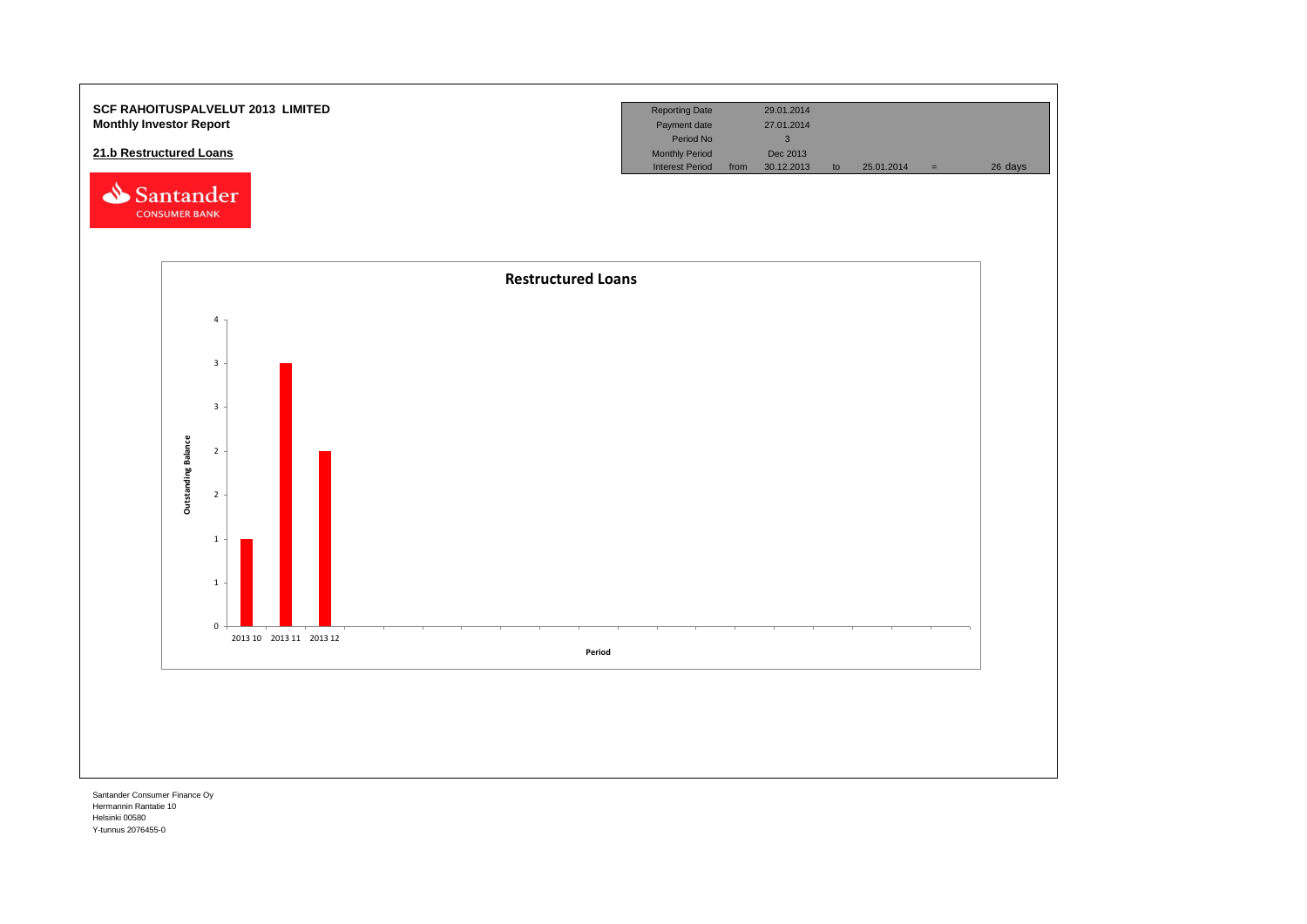

Hermannin Rantatie 10 Helsinki 00580 Y-tunnus 2076455-0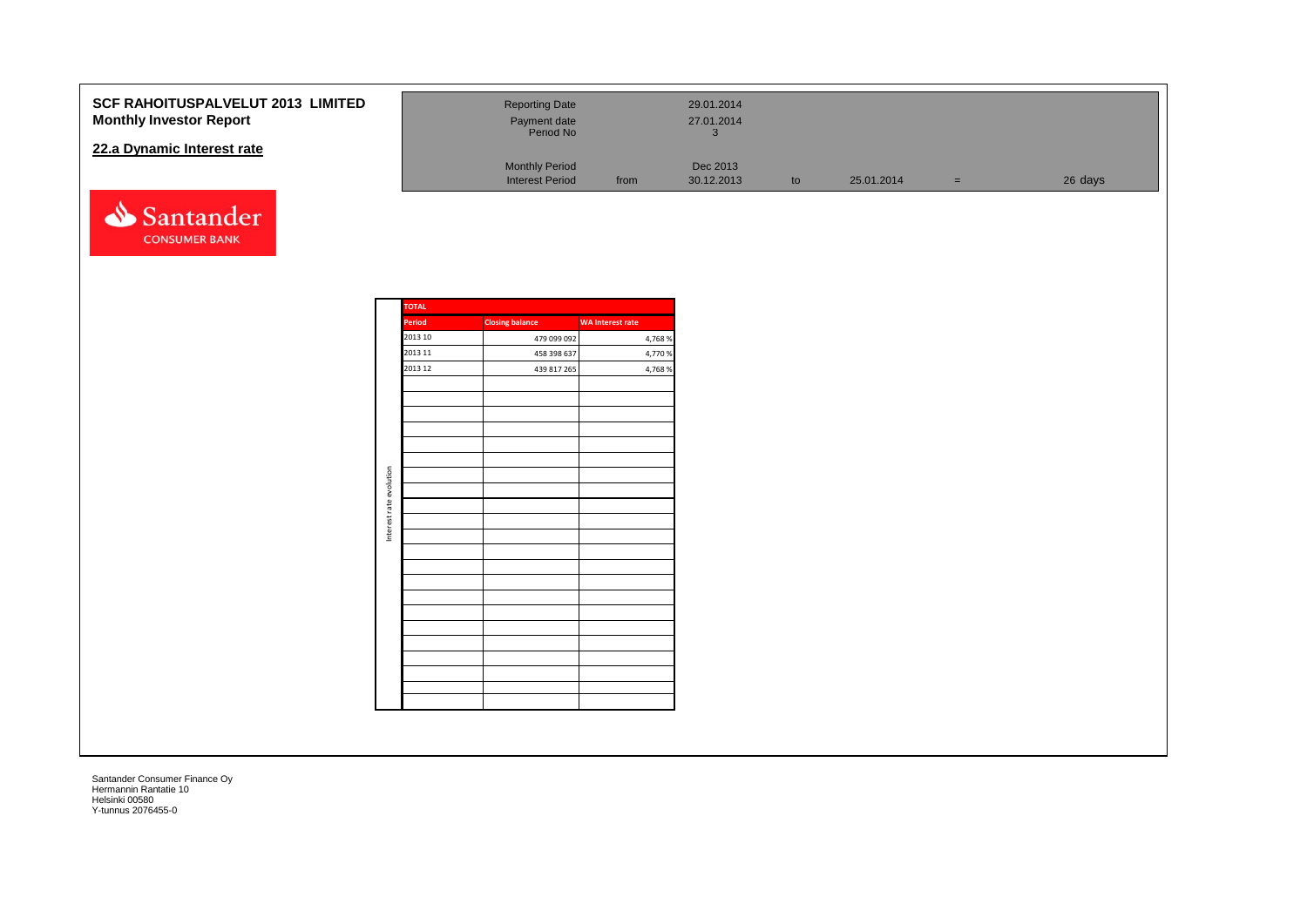## **SCF RAHOITUSPALVELUT 2013 LIMIT Monthly Investor Report**

## **22.a Dynamic Interest rate**



| <b>FED</b> | <b>Reporting Date</b><br>Payment date<br>Period No |      | 29.01.2014<br>27.01.2014 |    |            |   |         |
|------------|----------------------------------------------------|------|--------------------------|----|------------|---|---------|
|            | <b>Monthly Period</b><br><b>Interest Period</b>    | from | Dec 2013<br>30.12.2013   | to | 25.01.2014 | = | 26 days |

| <b>TOTAL</b> |                        |                         |
|--------------|------------------------|-------------------------|
| Period       | <b>Closing balance</b> | <b>WA Interest rate</b> |
| 2013 10      | 479 099 092            | 4,768 %                 |
| 2013 11      | 458 398 637            | 4,770 %                 |
| 2013 12      | 439 817 265            | 4,768 %                 |
|              |                        |                         |
|              |                        |                         |
|              |                        |                         |
|              |                        |                         |
|              |                        |                         |
|              |                        |                         |
|              |                        |                         |
|              |                        |                         |
|              |                        |                         |
|              |                        |                         |
|              |                        |                         |
|              |                        |                         |
|              |                        |                         |
|              |                        |                         |
|              |                        |                         |
|              |                        |                         |
|              |                        |                         |
|              |                        |                         |
|              |                        |                         |
|              |                        |                         |
|              |                        |                         |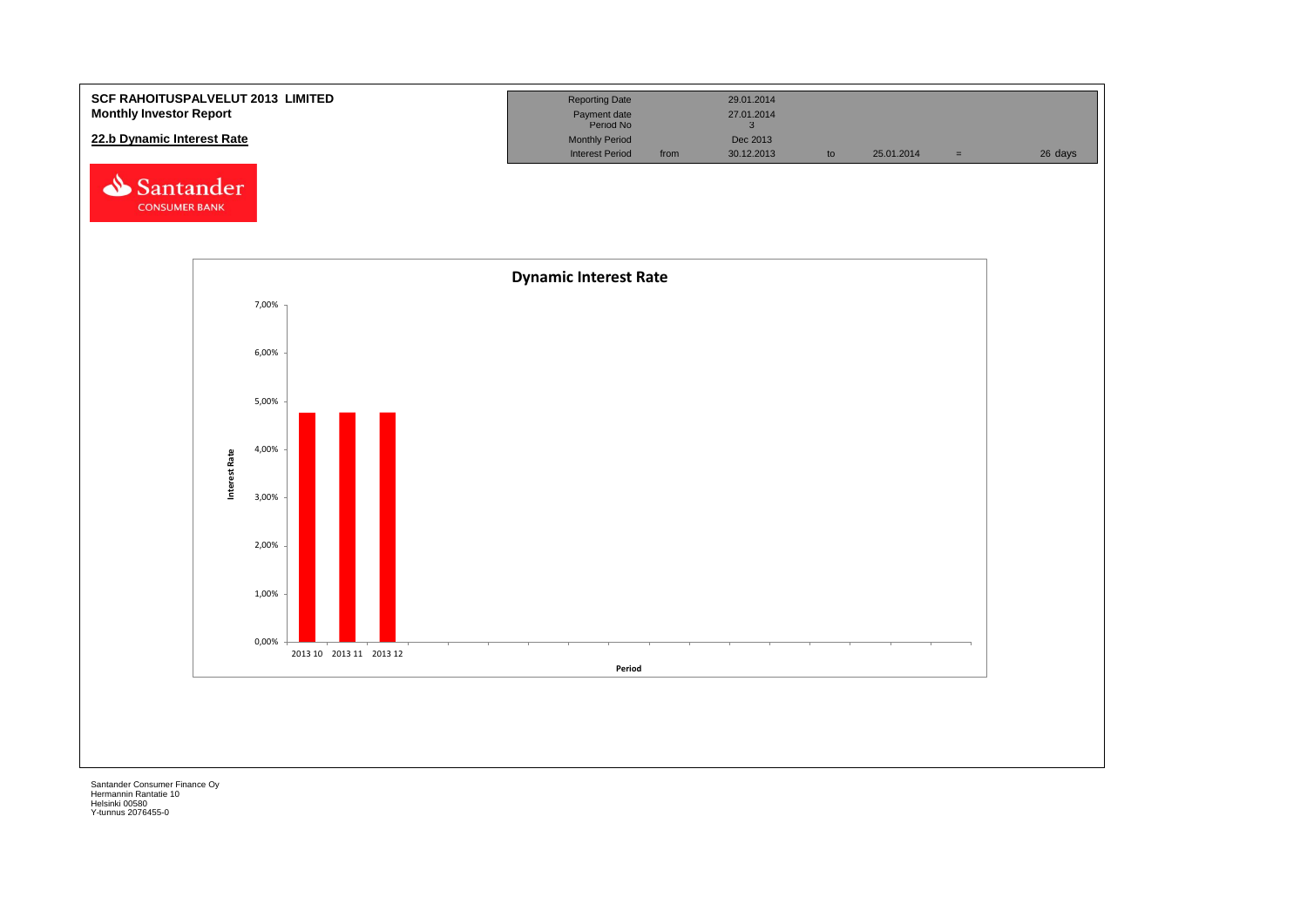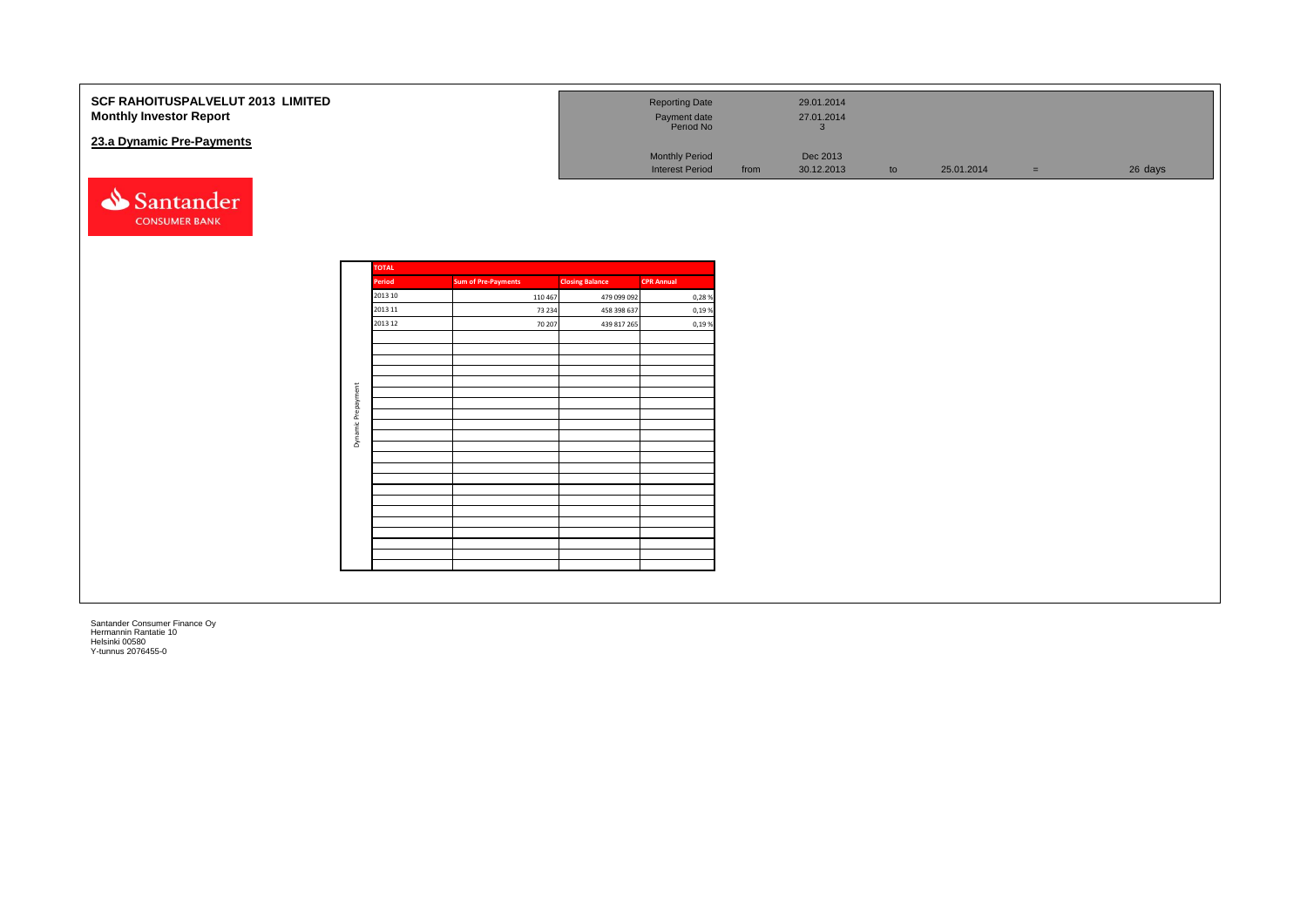| SCF RAHOITUSPALVELUT 2013 LIMITED<br><b>Monthly Investor Report</b><br>23.a Dynamic Pre-Payments |            |                    |                            |                  |                            | <b>Reporting Date</b><br>Payment date<br>Period No |      | 29.01.2014<br>27.01.2014<br>$\overline{3}$ |    |            |          |         |
|--------------------------------------------------------------------------------------------------|------------|--------------------|----------------------------|------------------|----------------------------|----------------------------------------------------|------|--------------------------------------------|----|------------|----------|---------|
|                                                                                                  |            |                    |                            |                  |                            | <b>Monthly Period</b><br><b>Interest Period</b>    | from | Dec 2013<br>30.12.2013                     | to | 25.01.2014 | $=$ $\,$ | 26 days |
| Santander<br><b>CONSUMER BANK</b>                                                                |            |                    |                            |                  |                            |                                                    |      |                                            |    |            |          |         |
|                                                                                                  |            | <b>TOTAL</b>       |                            |                  |                            |                                                    |      |                                            |    |            |          |         |
|                                                                                                  |            | Period             | <b>Sum of Pre-Payments</b> |                  | <b>Closing Balance</b>     | <b>CPR Annual</b>                                  |      |                                            |    |            |          |         |
|                                                                                                  |            | 2013 10<br>2013 11 | 110 467                    |                  | 479 099 092                | 0,28%                                              |      |                                            |    |            |          |         |
|                                                                                                  |            | 2013 12            |                            | 73 234<br>70 207 | 458 398 637<br>439 817 265 | 0,19%<br>0,19%                                     |      |                                            |    |            |          |         |
|                                                                                                  |            |                    |                            |                  |                            |                                                    |      |                                            |    |            |          |         |
|                                                                                                  |            |                    |                            |                  |                            |                                                    |      |                                            |    |            |          |         |
|                                                                                                  |            |                    |                            |                  |                            |                                                    |      |                                            |    |            |          |         |
|                                                                                                  |            |                    |                            |                  |                            |                                                    |      |                                            |    |            |          |         |
|                                                                                                  | Prepayment |                    |                            |                  |                            |                                                    |      |                                            |    |            |          |         |
|                                                                                                  | $\cong$    |                    |                            |                  |                            |                                                    |      |                                            |    |            |          |         |
|                                                                                                  | Dynam      |                    |                            |                  |                            |                                                    |      |                                            |    |            |          |         |
|                                                                                                  |            |                    |                            |                  |                            |                                                    |      |                                            |    |            |          |         |
|                                                                                                  |            |                    |                            |                  |                            |                                                    |      |                                            |    |            |          |         |
|                                                                                                  |            |                    |                            |                  |                            |                                                    |      |                                            |    |            |          |         |
|                                                                                                  |            |                    |                            |                  |                            |                                                    |      |                                            |    |            |          |         |
|                                                                                                  |            |                    |                            |                  |                            |                                                    |      |                                            |    |            |          |         |
|                                                                                                  |            |                    |                            |                  |                            |                                                    |      |                                            |    |            |          |         |
|                                                                                                  |            |                    |                            |                  |                            |                                                    |      |                                            |    |            |          |         |
|                                                                                                  |            |                    |                            |                  |                            |                                                    |      |                                            |    |            |          |         |
|                                                                                                  |            |                    |                            |                  |                            |                                                    |      |                                            |    |            |          |         |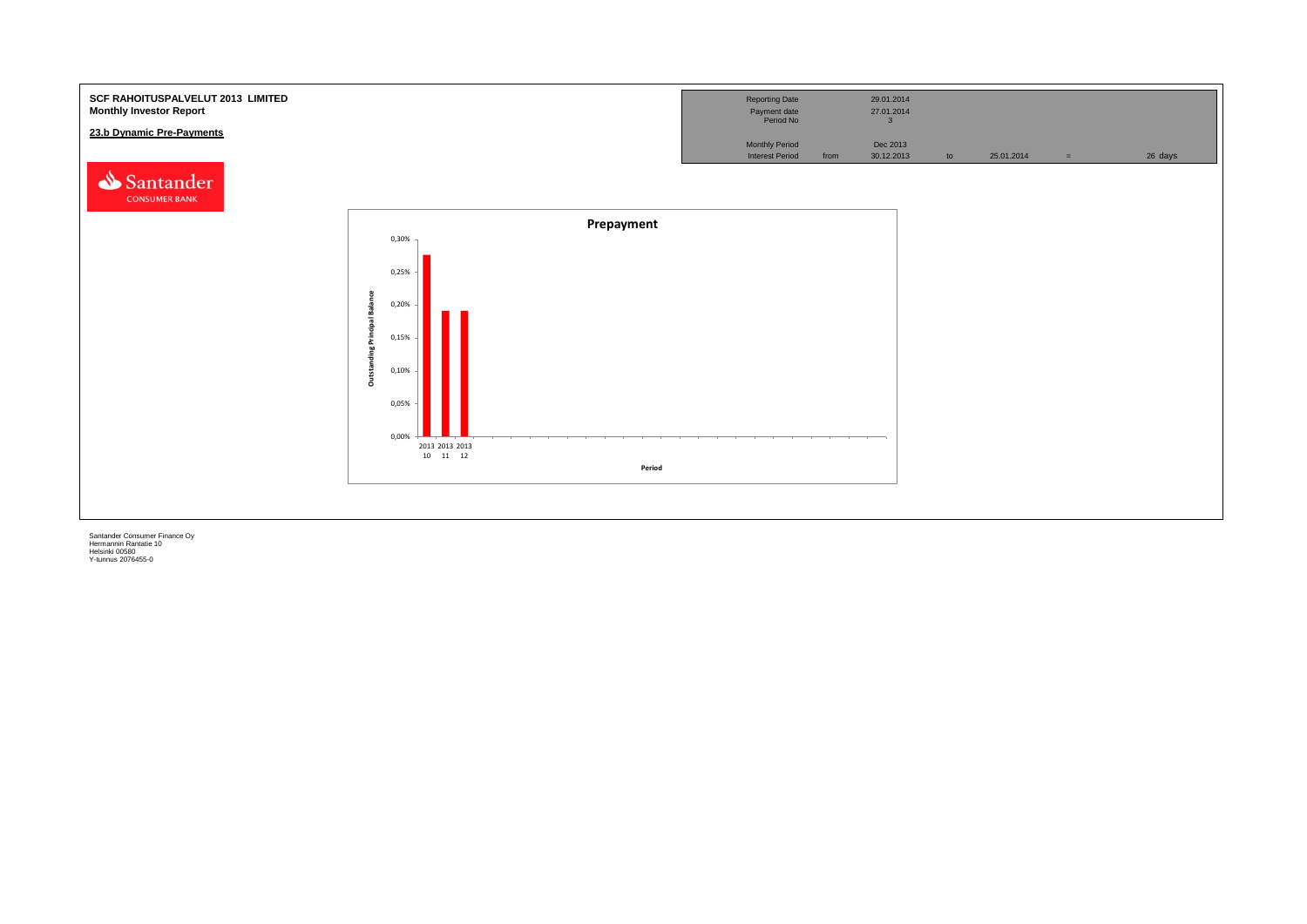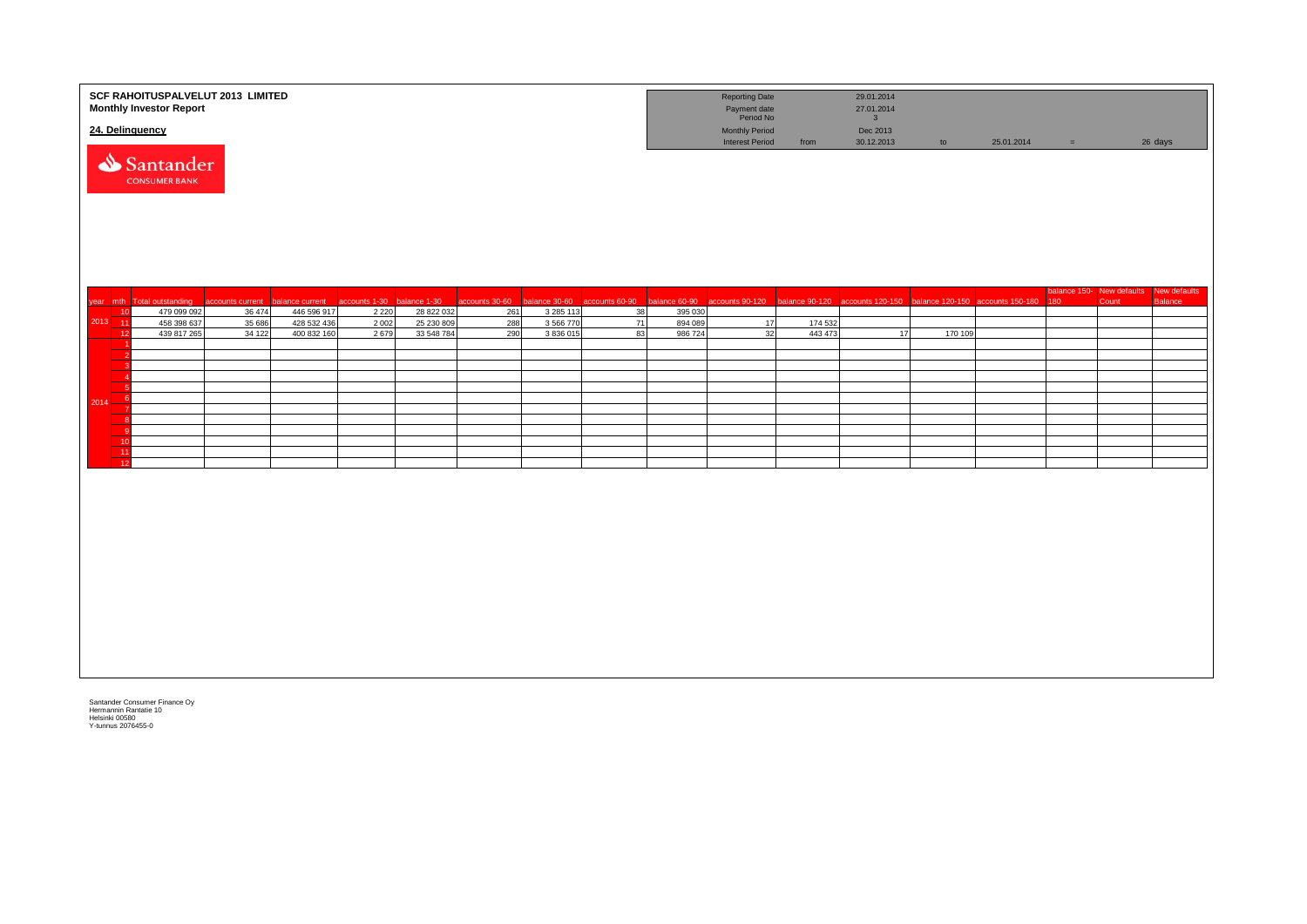|                 | SCF RAHOITUSPALVELUT 2013 LIMITED<br><b>Monthly Investor Report</b> |                  |                            |                            |                          |                |                            |                |                    | <b>Reporting Date</b><br>Payment date<br>Period No |         | 29.01.2014<br>27.01.2014<br>3                                                                  |         |            |          |       |                                                   |
|-----------------|---------------------------------------------------------------------|------------------|----------------------------|----------------------------|--------------------------|----------------|----------------------------|----------------|--------------------|----------------------------------------------------|---------|------------------------------------------------------------------------------------------------|---------|------------|----------|-------|---------------------------------------------------|
| 24. Delinquency |                                                                     |                  |                            |                            |                          |                |                            |                |                    | <b>Monthly Period</b><br><b>Interest Period</b>    | from    | Dec 2013<br>30.12.2013                                                                         | to      | 25.01.2014 | $\equiv$ |       | 26 days                                           |
|                 | Santander<br><b>CONSUMER BANK</b>                                   |                  |                            |                            |                          |                |                            |                |                    |                                                    |         |                                                                                                |         |            |          |       |                                                   |
|                 | year mth Total outstanding                                          | accounts current | balance current            | accounts 1-30 balance 1-30 |                          | accounts 30-60 | balance 30-60              | accounts 60-90 |                    |                                                    |         | balance 60-90 accounts 90-120 balance 90-120 accounts 120-150 balance 120-150 accounts 150-180 |         |            | 180      | Count | balance 150- New defaults New defaults<br>Balance |
| 10<br>2013 11   | 479 099 092<br>458 398 637                                          | 36 474<br>35 686 | 446 596 917<br>428 532 436 | 2 2 2 0<br>2 0 0 2         | 28 822 032<br>25 230 809 | 261<br>288     | 3 2 8 5 1 1 3<br>3 566 770 | 38<br>71       | 395 030<br>894 089 | 17                                                 | 174 532 |                                                                                                |         |            |          |       |                                                   |
| 12              | 439 817 265                                                         | 34 122           | 400 832 160                | 2679                       | 33 548 784               | 290            | 3836015                    | 83             | 986 724            | 32                                                 | 443 473 | 17                                                                                             | 170 109 |            |          |       |                                                   |
|                 |                                                                     |                  |                            |                            |                          |                |                            |                |                    |                                                    |         |                                                                                                |         |            |          |       |                                                   |
|                 |                                                                     |                  |                            |                            |                          |                |                            |                |                    |                                                    |         |                                                                                                |         |            |          |       |                                                   |
|                 |                                                                     |                  |                            |                            |                          |                |                            |                |                    |                                                    |         |                                                                                                |         |            |          |       |                                                   |
|                 |                                                                     |                  |                            |                            |                          |                |                            |                |                    |                                                    |         |                                                                                                |         |            |          |       |                                                   |
| - 6<br>2014     |                                                                     |                  |                            |                            |                          |                |                            |                |                    |                                                    |         |                                                                                                |         |            |          |       |                                                   |
|                 |                                                                     |                  |                            |                            |                          |                |                            |                |                    |                                                    |         |                                                                                                |         |            |          |       |                                                   |
| - c             |                                                                     |                  |                            |                            |                          |                |                            |                |                    |                                                    |         |                                                                                                |         |            |          |       |                                                   |
| 10              |                                                                     |                  |                            |                            |                          |                |                            |                |                    |                                                    |         |                                                                                                |         |            |          |       |                                                   |
| $\frac{11}{12}$ |                                                                     |                  |                            |                            |                          |                |                            |                |                    |                                                    |         |                                                                                                |         |            |          |       |                                                   |
|                 |                                                                     |                  |                            |                            |                          |                |                            |                |                    |                                                    |         |                                                                                                |         |            |          |       |                                                   |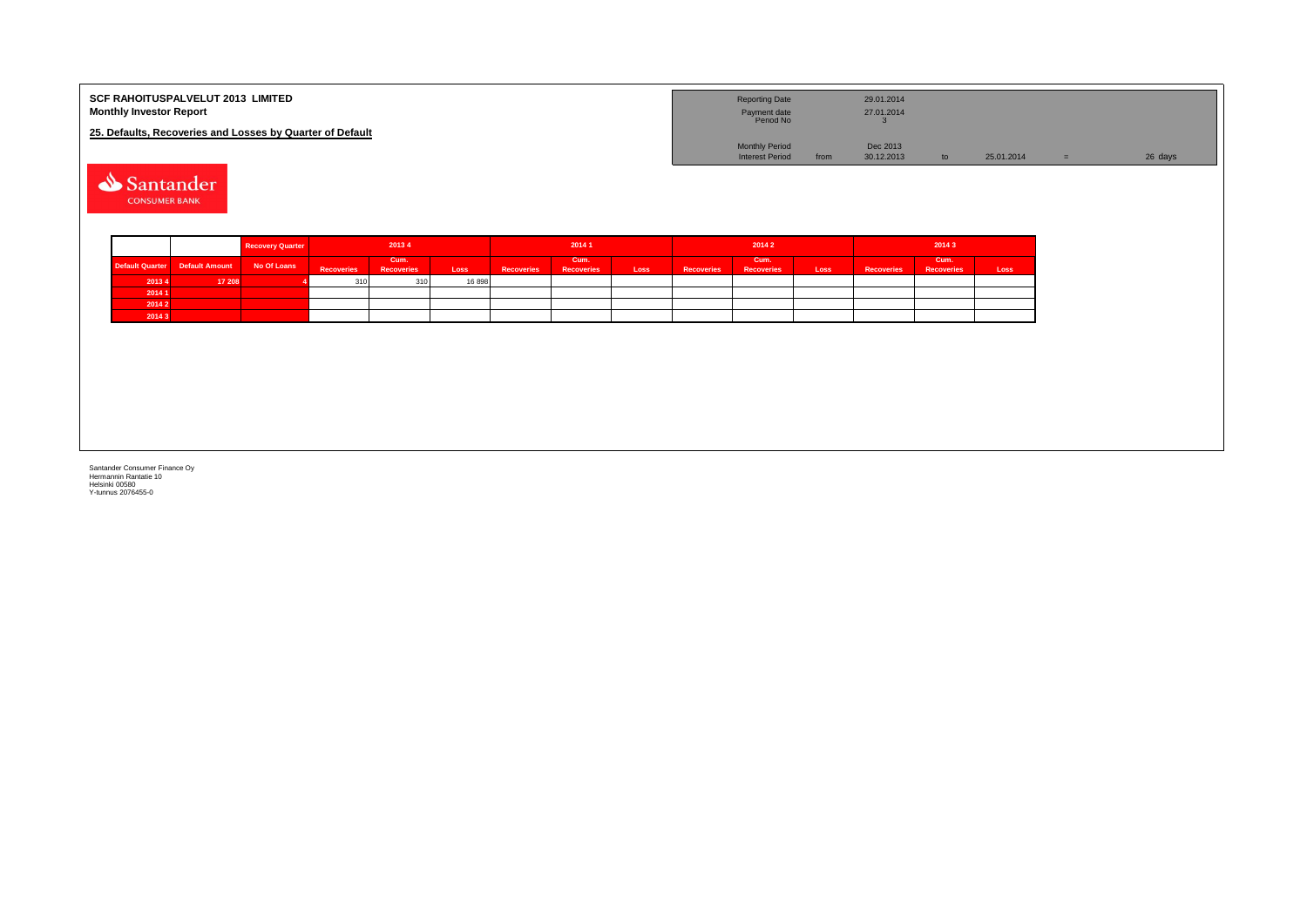| <b>SCF RAHOITUSPALVELUT 2013 LIMITED</b><br><b>Monthly Investor Report</b> | <b>Reporting Date</b><br>Payment date<br>Period No |      | 29.01.2014<br>27.01.2014 |            |         |
|----------------------------------------------------------------------------|----------------------------------------------------|------|--------------------------|------------|---------|
| 25. Defaults, Recoveries and Losses by Quarter of Default                  |                                                    |      |                          |            |         |
|                                                                            | <b>Monthly Period</b>                              |      | Dec 2013                 |            |         |
|                                                                            | <b>Interest Period</b>                             | from | 30.12.2013               | 25.01.2014 | 26 days |

Santander **CONSUMER BANK** 

|        |                                | <b>Recovery Quarter</b> | 20134             |                           |        | 2014 1            |                          |      |                   | 20142                     |      | 20143             |                           |      |  |
|--------|--------------------------------|-------------------------|-------------------|---------------------------|--------|-------------------|--------------------------|------|-------------------|---------------------------|------|-------------------|---------------------------|------|--|
|        | Default Quarter Default Amount | No Of Loans             | <b>Recoveries</b> | Cum.<br><b>Recoveries</b> | Loss   | <b>Recoveries</b> | Cum<br><b>Recoveries</b> | Loss | <b>Recoveries</b> | Cum.<br><b>Recoveries</b> | Loss | <b>Recoveries</b> | Cum.<br><b>Recoveries</b> | Loss |  |
| 20134  | 17 208                         |                         | 310               | $\sim$                    | 16 898 |                   |                          |      |                   |                           |      |                   |                           |      |  |
| 20141  |                                |                         |                   |                           |        |                   |                          |      |                   |                           |      |                   |                           |      |  |
| 2014 2 |                                |                         |                   |                           |        |                   |                          |      |                   |                           |      |                   |                           |      |  |
| 20143  |                                |                         |                   |                           |        |                   |                          |      |                   |                           |      |                   |                           |      |  |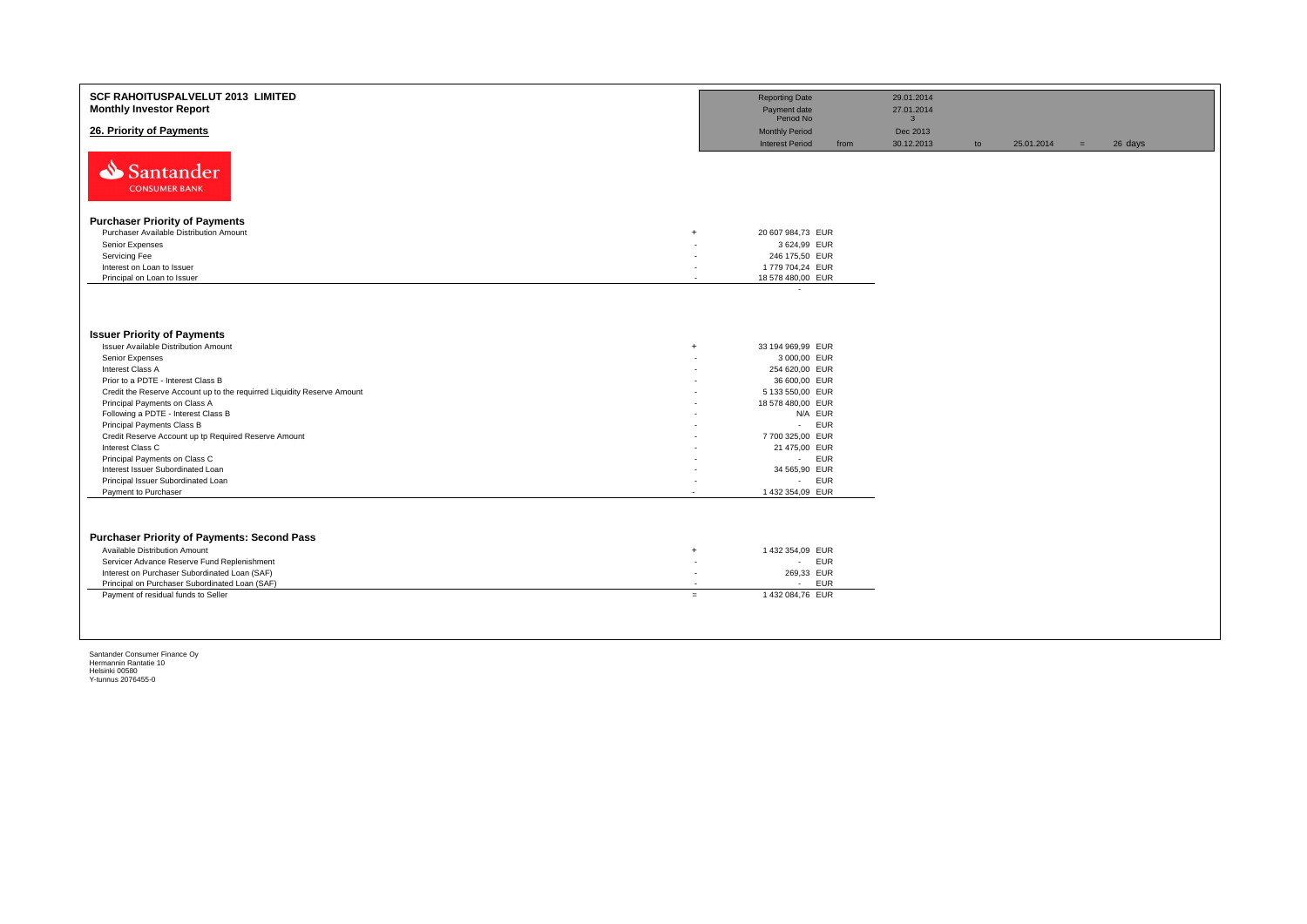| <b>SCF RAHOITUSPALVELUT 2013 LIMITED</b><br><b>Monthly Investor Report</b>                   |        | <b>Reporting Date</b><br>Payment date<br>Period No  |      | 29.01.2014<br>27.01.2014<br>3 <sup>5</sup> |    |            |     |         |
|----------------------------------------------------------------------------------------------|--------|-----------------------------------------------------|------|--------------------------------------------|----|------------|-----|---------|
| 26. Priority of Payments                                                                     |        | <b>Monthly Period</b><br><b>Interest Period</b>     | from | Dec 2013<br>30.12.2013                     | to | 25.01.2014 | $=$ | 26 days |
| Santander<br><b>CONSUMER BANK</b>                                                            |        |                                                     |      |                                            |    |            |     |         |
| <b>Purchaser Priority of Payments</b>                                                        |        |                                                     |      |                                            |    |            |     |         |
| Purchaser Available Distribution Amount<br>$+$                                               |        | 20 607 984,73 EUR                                   |      |                                            |    |            |     |         |
| Senior Expenses                                                                              |        | 3 624,99 EUR                                        |      |                                            |    |            |     |         |
| Servicing Fee                                                                                |        | 246 175,50 EUR                                      |      |                                            |    |            |     |         |
| Interest on Loan to Issuer                                                                   | ٠      | 1779 704,24 EUR                                     |      |                                            |    |            |     |         |
| Principal on Loan to Issuer                                                                  | $\sim$ | 18 578 480,00 EUR                                   |      |                                            |    |            |     |         |
|                                                                                              |        | $\sim$                                              |      |                                            |    |            |     |         |
| <b>Issuer Priority of Payments</b>                                                           |        |                                                     |      |                                            |    |            |     |         |
| <b>Issuer Available Distribution Amount</b><br>$^{+}$                                        |        | 33 194 969,99 EUR                                   |      |                                            |    |            |     |         |
| Senior Expenses                                                                              |        | 3 000,00 EUR                                        |      |                                            |    |            |     |         |
| Interest Class A                                                                             | ٠      | 254 620,00 EUR                                      |      |                                            |    |            |     |         |
| Prior to a PDTE - Interest Class B                                                           |        | 36 600,00 EUR                                       |      |                                            |    |            |     |         |
| Credit the Reserve Account up to the requirred Liquidity Reserve Amount                      |        | 5 133 550,00 EUR                                    |      |                                            |    |            |     |         |
| Principal Payments on Class A                                                                |        | 18 578 480,00 EUR                                   |      |                                            |    |            |     |         |
| Following a PDTE - Interest Class B<br>Principal Payments Class B                            | ٠      | N/A EUR<br>EUR<br>$\sim$                            |      |                                            |    |            |     |         |
| Credit Reserve Account up tp Required Reserve Amount                                         | ٠      | 7700 325,00 EUR                                     |      |                                            |    |            |     |         |
| Interest Class C                                                                             |        | 21 475,00 EUR                                       |      |                                            |    |            |     |         |
| Principal Payments on Class C                                                                | ٠      | - EUR                                               |      |                                            |    |            |     |         |
| Interest Issuer Subordinated Loan                                                            |        | 34 565,90 EUR                                       |      |                                            |    |            |     |         |
| Principal Issuer Subordinated Loan                                                           | ٠      | - EUR                                               |      |                                            |    |            |     |         |
| Payment to Purchaser<br>$\sim$                                                               |        | 1 432 354,09 EUR                                    |      |                                            |    |            |     |         |
|                                                                                              |        |                                                     |      |                                            |    |            |     |         |
| <b>Purchaser Priority of Payments: Second Pass</b>                                           |        |                                                     |      |                                            |    |            |     |         |
| Available Distribution Amount<br>$\ddot{}$                                                   |        | 1 432 354,09 EUR                                    |      |                                            |    |            |     |         |
| Servicer Advance Reserve Fund Replenishment                                                  | $\sim$ | - EUR                                               |      |                                            |    |            |     |         |
| Interest on Purchaser Subordinated Loan (SAF)                                                | $\sim$ | 269,33 EUR                                          |      |                                            |    |            |     |         |
| Principal on Purchaser Subordinated Loan (SAF)<br>Payment of residual funds to Seller<br>$=$ | $\sim$ | EUR<br>$\overline{\phantom{a}}$<br>1 432 084,76 EUR |      |                                            |    |            |     |         |
|                                                                                              |        |                                                     |      |                                            |    |            |     |         |
|                                                                                              |        |                                                     |      |                                            |    |            |     |         |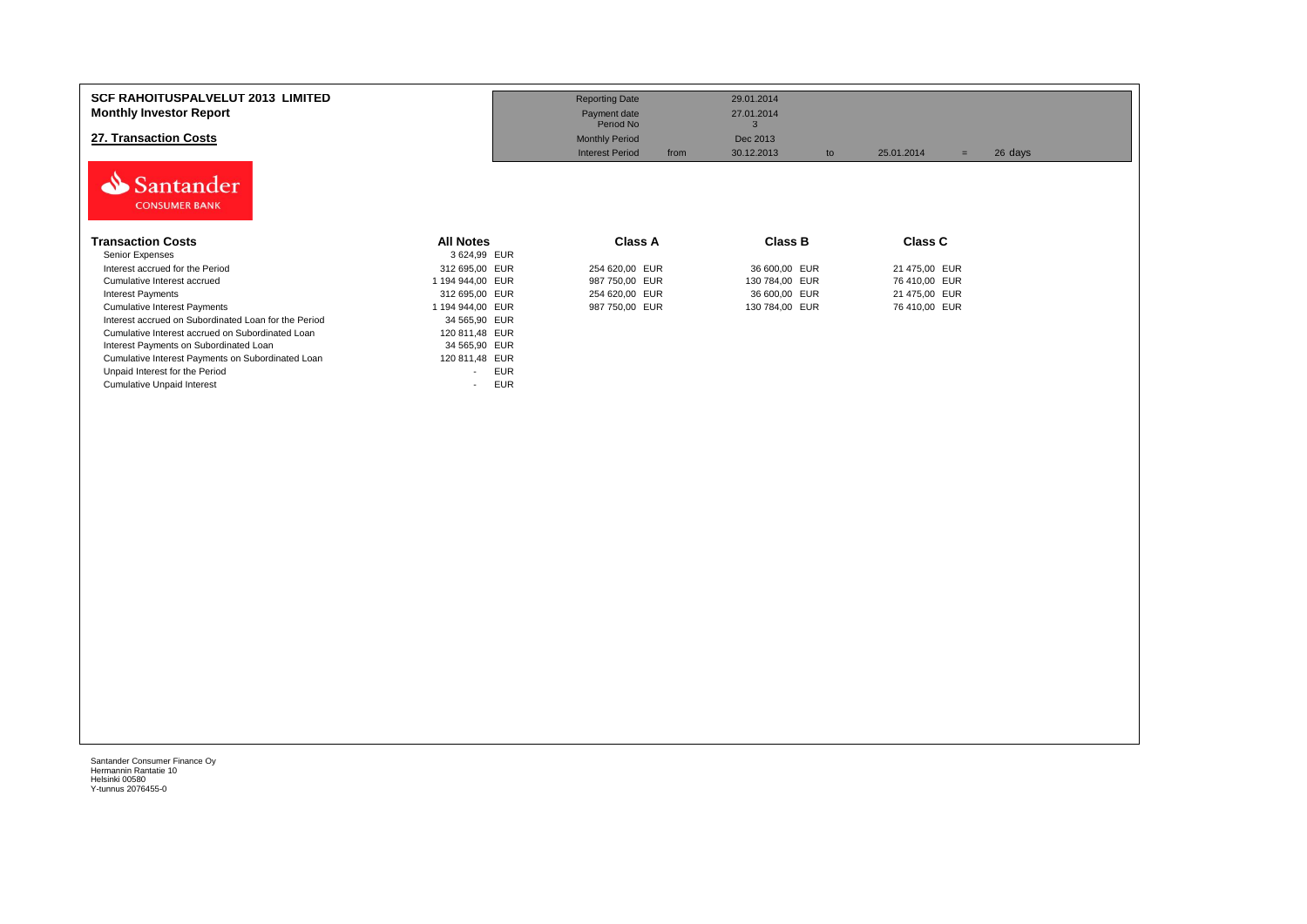| <b>SCF RAHOITUSPALVELUT 2013 LIMITED</b><br><b>Monthly Investor Report</b><br>27. Transaction Costs |                                        | <b>Reporting Date</b><br>Payment date<br>Period No<br><b>Monthly Period</b><br><b>Interest Period</b><br>from | 29.01.2014<br>27.01.2014<br>Dec 2013<br>30.12.2013<br>to | 26 days<br>25.01.2014<br>$=$ |  |
|-----------------------------------------------------------------------------------------------------|----------------------------------------|---------------------------------------------------------------------------------------------------------------|----------------------------------------------------------|------------------------------|--|
| Santander<br><b>CONSUMER BANK</b><br><b>Transaction Costs</b>                                       | <b>All Notes</b>                       | Class A                                                                                                       | Class B                                                  | <b>Class C</b>               |  |
| Senior Expenses                                                                                     | 3 624,99 EUR                           |                                                                                                               |                                                          |                              |  |
| Interest accrued for the Period                                                                     | 312 695,00 EUR                         | 254 620,00 EUR                                                                                                | 36 600,00 EUR                                            | 21 475,00 EUR                |  |
| Cumulative Interest accrued                                                                         | 1 194 944,00 EUR                       | 987 750,00 EUR                                                                                                | 130 784,00 EUR                                           | 76 410,00 EUR                |  |
| <b>Interest Payments</b>                                                                            | 312 695,00 EUR                         | 254 620,00 EUR                                                                                                | 36 600,00 EUR                                            | 21 475,00 EUR                |  |
| <b>Cumulative Interest Payments</b>                                                                 | 1 194 944,00 EUR                       | 987 750,00 EUR                                                                                                | 130 784,00 EUR                                           | 76 410,00 EUR                |  |
| Interest accrued on Subordinated Loan for the Period                                                | 34 565,90 EUR                          |                                                                                                               |                                                          |                              |  |
| Cumulative Interest accrued on Subordinated Loan                                                    | 120 811,48 EUR                         |                                                                                                               |                                                          |                              |  |
| Interest Payments on Subordinated Loan                                                              | 34 565,90 EUR                          |                                                                                                               |                                                          |                              |  |
| Cumulative Interest Payments on Subordinated Loan                                                   | 120 811,48 EUR                         |                                                                                                               |                                                          |                              |  |
| Unpaid Interest for the Period                                                                      | <b>EUR</b><br>$\overline{\phantom{a}}$ |                                                                                                               |                                                          |                              |  |
| <b>Cumulative Unpaid Interest</b>                                                                   | <b>EUR</b><br>$\overline{\phantom{a}}$ |                                                                                                               |                                                          |                              |  |